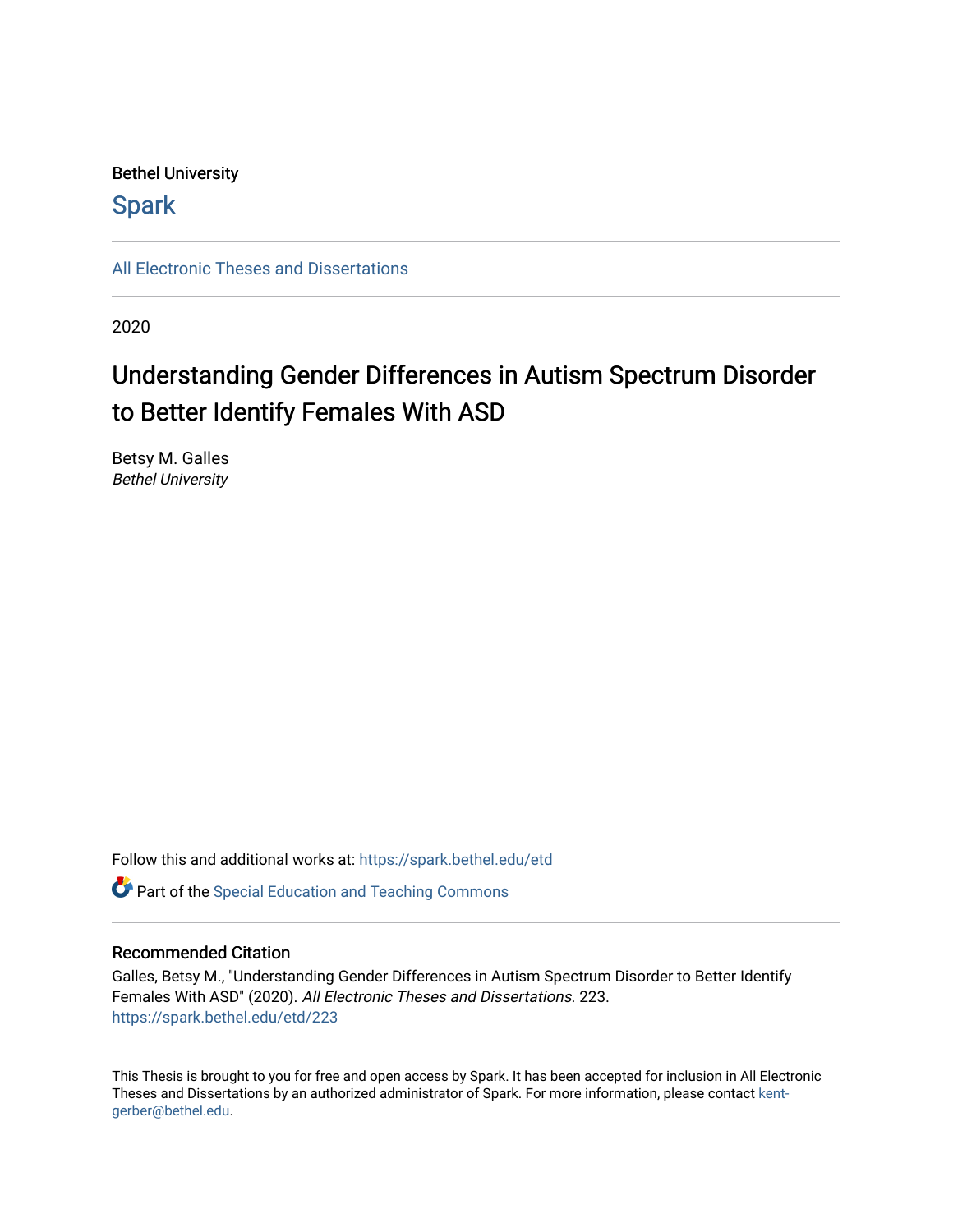## Bethel University

# **Spark**

[All Electronic Theses and Dissertations](https://spark.bethel.edu/etd) 

2020

# Understanding Gender Differences in Autism Spectrum Disorder to Better Identify Females With ASD

Betsy M. Galles Bethel University

Follow this and additional works at: [https://spark.bethel.edu/etd](https://spark.bethel.edu/etd?utm_source=spark.bethel.edu%2Fetd%2F223&utm_medium=PDF&utm_campaign=PDFCoverPages)

**C** Part of the Special Education and Teaching Commons

### Recommended Citation

Galles, Betsy M., "Understanding Gender Differences in Autism Spectrum Disorder to Better Identify Females With ASD" (2020). All Electronic Theses and Dissertations. 223. [https://spark.bethel.edu/etd/223](https://spark.bethel.edu/etd/223?utm_source=spark.bethel.edu%2Fetd%2F223&utm_medium=PDF&utm_campaign=PDFCoverPages)

This Thesis is brought to you for free and open access by Spark. It has been accepted for inclusion in All Electronic Theses and Dissertations by an authorized administrator of Spark. For more information, please contact [kent](mailto:kent-gerber@bethel.edu)[gerber@bethel.edu.](mailto:kent-gerber@bethel.edu)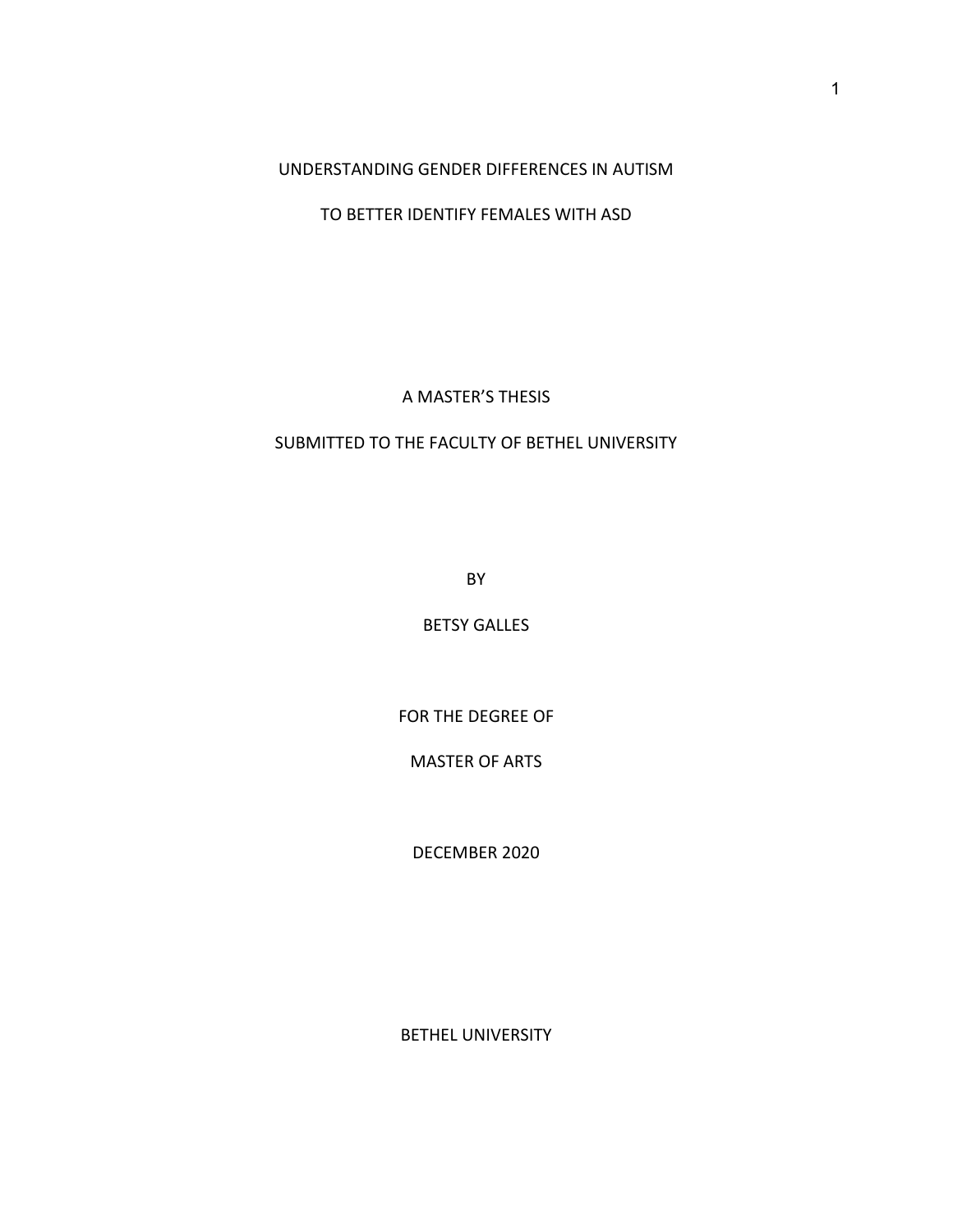UNDERSTANDING GENDER DIFFERENCES IN AUTISM

TO BETTER IDENTIFY FEMALES WITH ASD

A MASTER'S THESIS

## SUBMITTED TO THE FACULTY OF BETHEL UNIVERSITY

BY

BETSY GALLES

FOR THE DEGREE OF

MASTER OF ARTS

DECEMBER 2020

BETHEL UNIVERSITY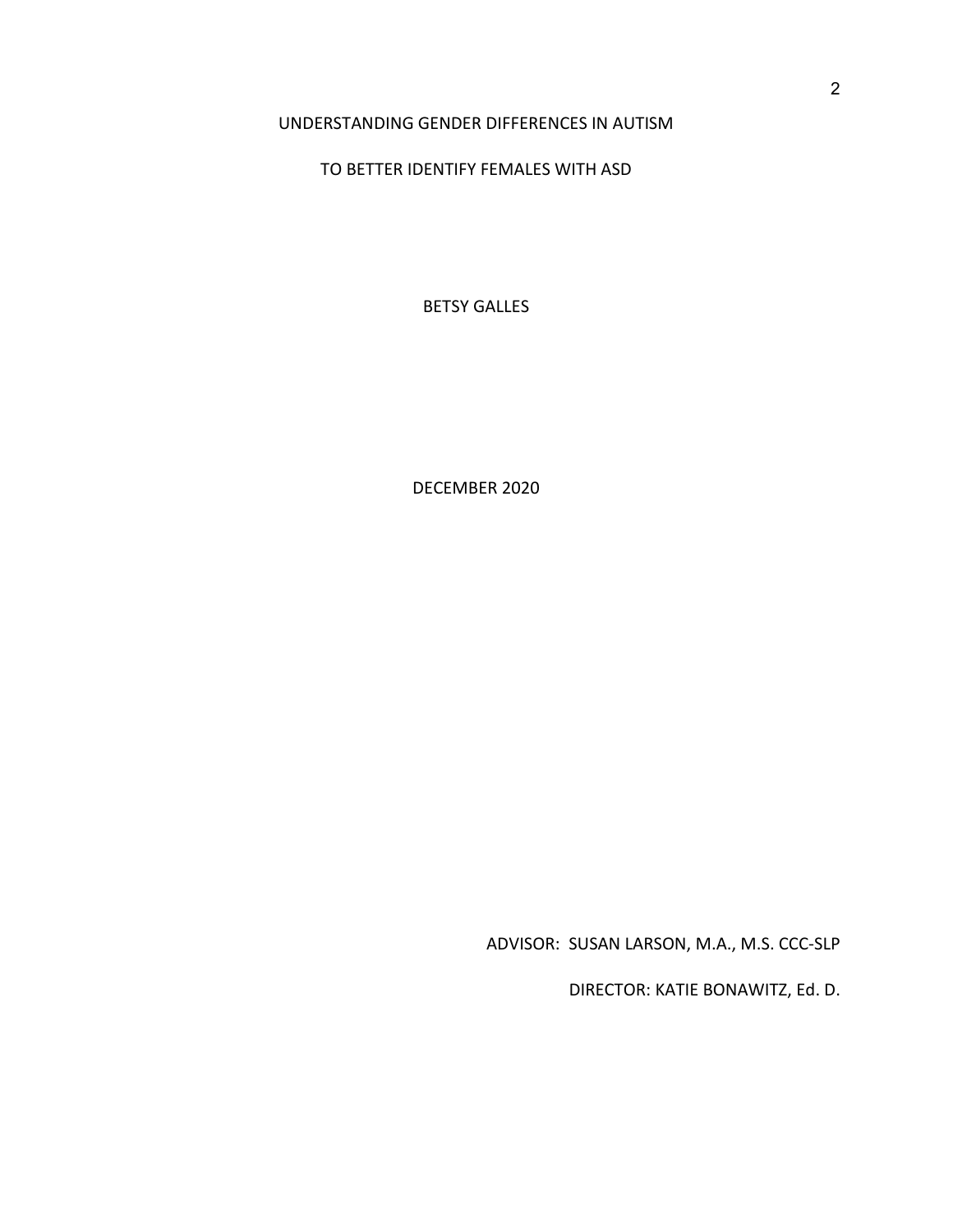### UNDERSTANDING GENDER DIFFERENCES IN AUTISM

### TO BETTER IDENTIFY FEMALES WITH ASD

BETSY GALLES

DECEMBER 2020

ADVISOR: SUSAN LARSON, M.A., M.S. CCC-SLP

DIRECTOR: KATIE BONAWITZ, Ed. D.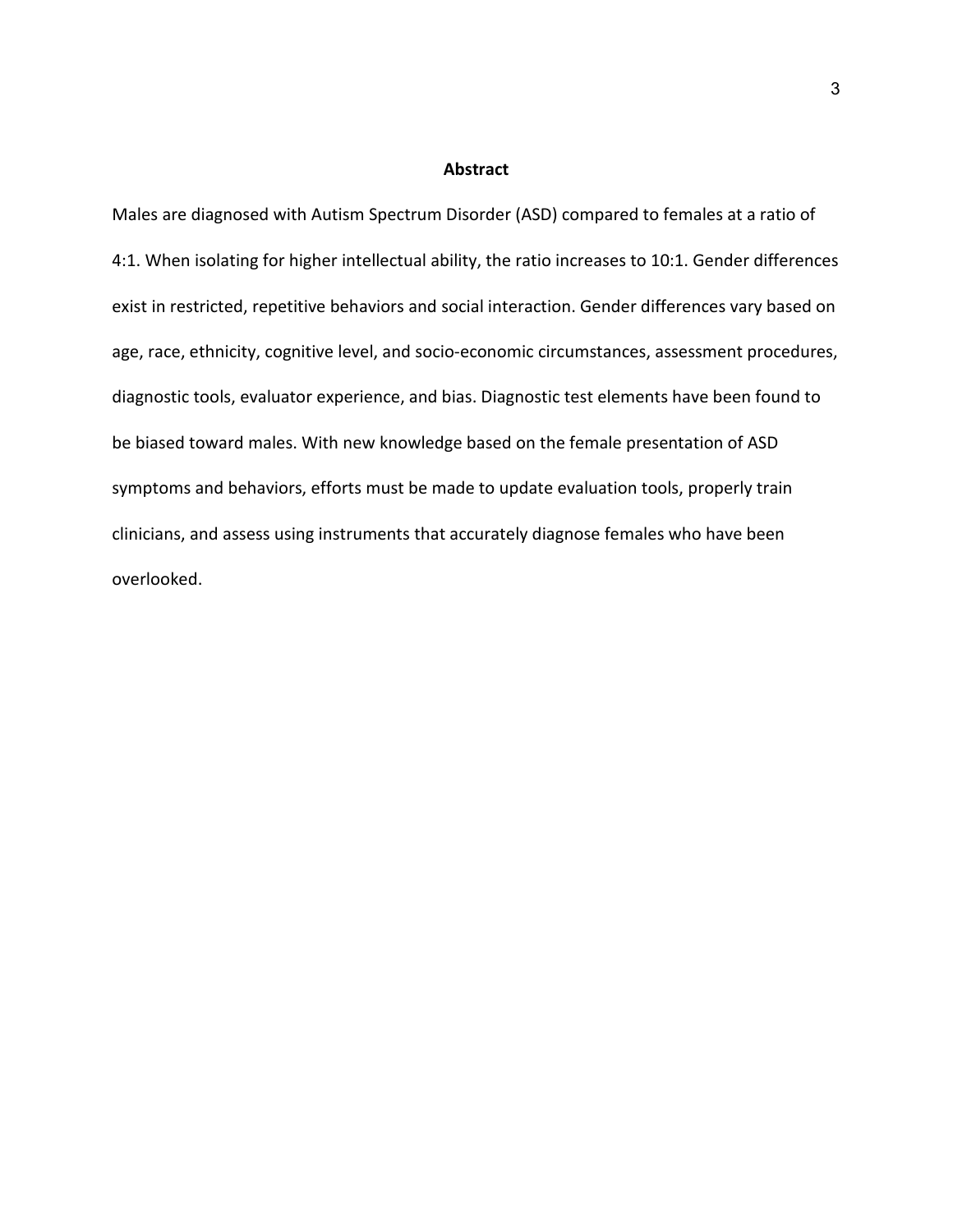#### **Abstract**

Males are diagnosed with Autism Spectrum Disorder (ASD) compared to females at a ratio of 4:1. When isolating for higher intellectual ability, the ratio increases to 10:1. Gender differences exist in restricted, repetitive behaviors and social interaction. Gender differences vary based on age, race, ethnicity, cognitive level, and socio-economic circumstances, assessment procedures, diagnostic tools, evaluator experience, and bias. Diagnostic test elements have been found to be biased toward males. With new knowledge based on the female presentation of ASD symptoms and behaviors, efforts must be made to update evaluation tools, properly train clinicians, and assess using instruments that accurately diagnose females who have been overlooked.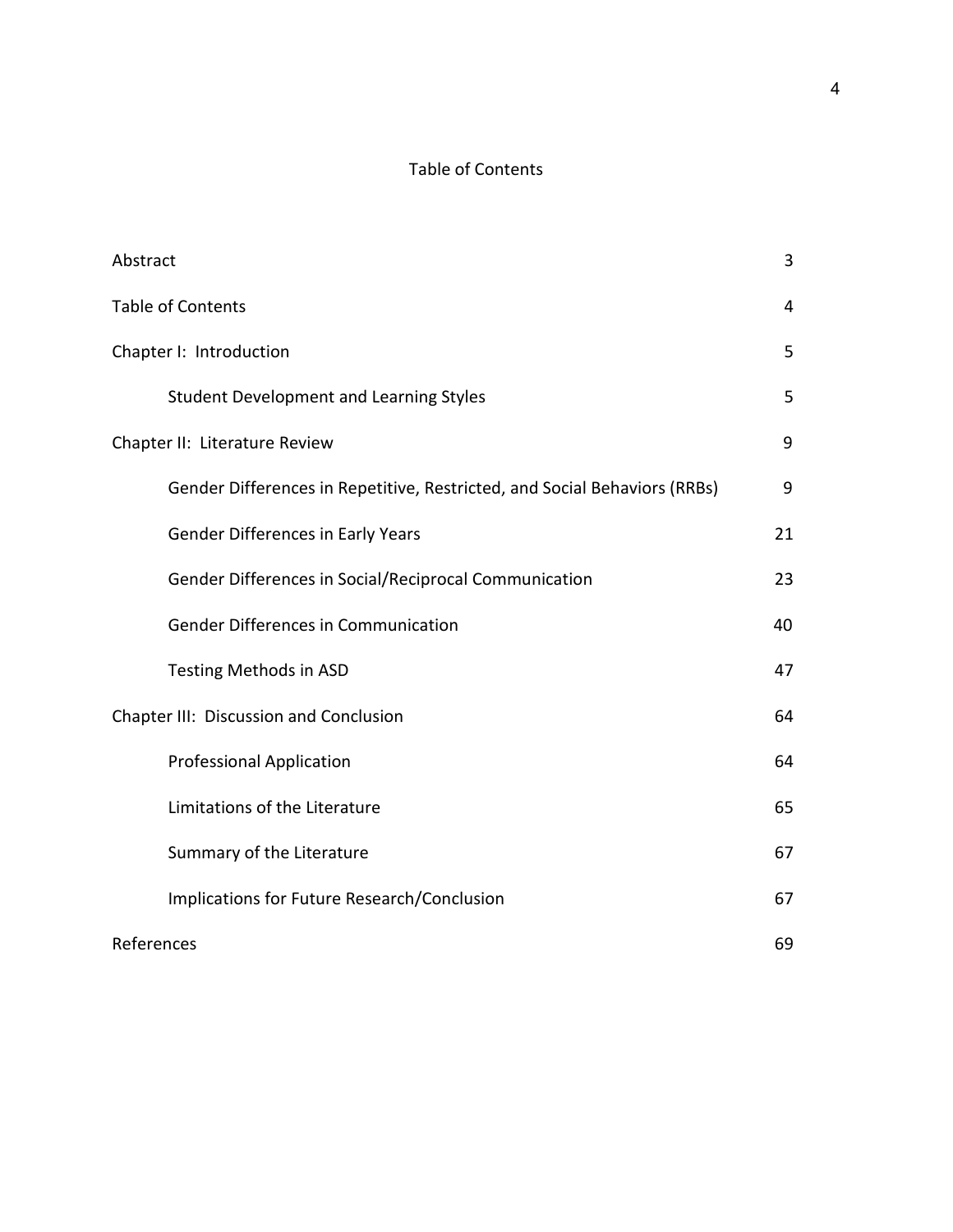# Table of Contents

| Abstract                                                                  | 3  |
|---------------------------------------------------------------------------|----|
| <b>Table of Contents</b>                                                  | 4  |
| Chapter I: Introduction                                                   | 5  |
| <b>Student Development and Learning Styles</b>                            | 5  |
| Chapter II: Literature Review                                             | 9  |
| Gender Differences in Repetitive, Restricted, and Social Behaviors (RRBs) | 9  |
| <b>Gender Differences in Early Years</b>                                  | 21 |
| Gender Differences in Social/Reciprocal Communication                     | 23 |
| <b>Gender Differences in Communication</b>                                | 40 |
| Testing Methods in ASD                                                    | 47 |
| Chapter III: Discussion and Conclusion                                    | 64 |
| <b>Professional Application</b>                                           | 64 |
| Limitations of the Literature                                             | 65 |
| Summary of the Literature                                                 | 67 |
| Implications for Future Research/Conclusion                               | 67 |
| References                                                                | 69 |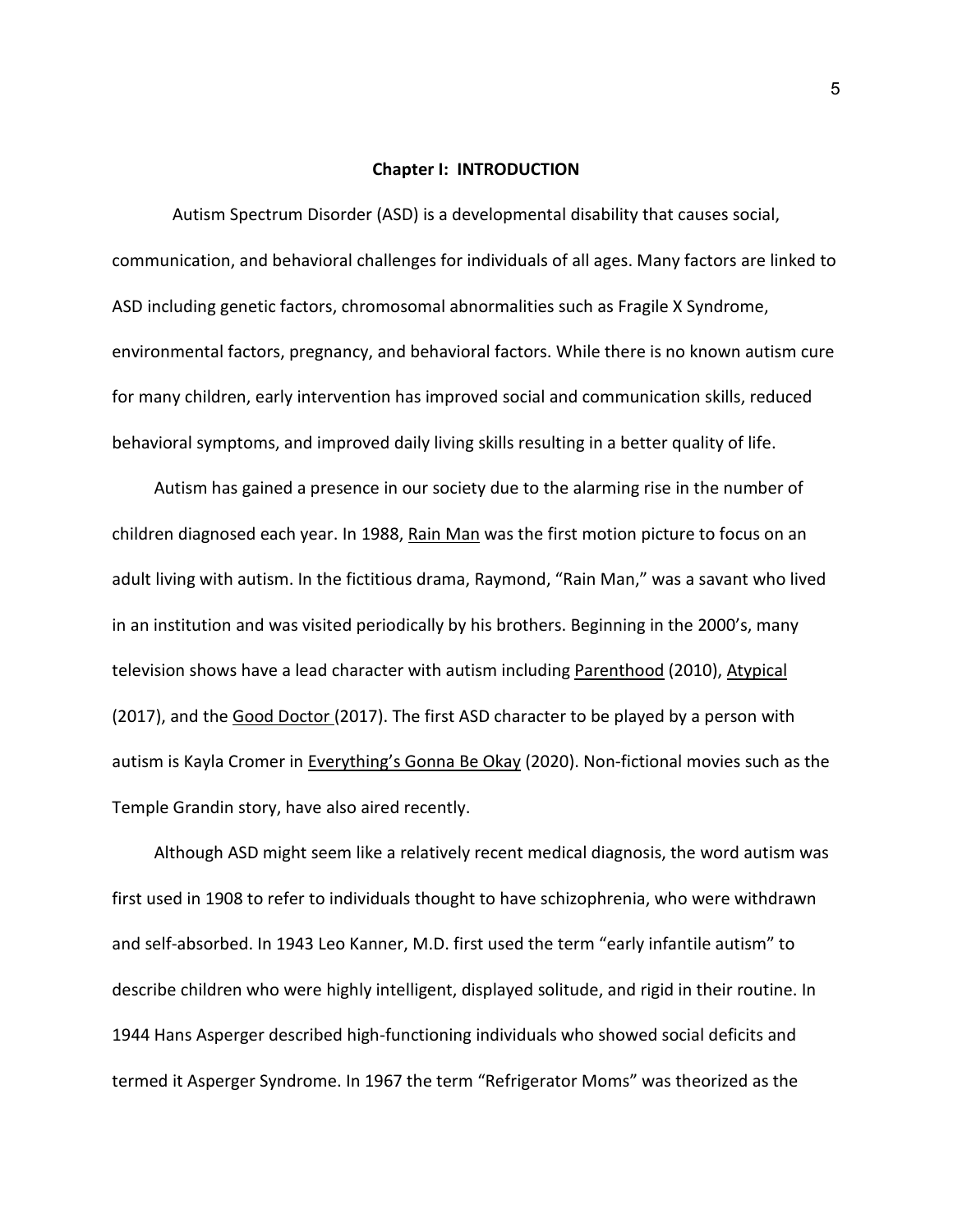#### **Chapter I: INTRODUCTION**

Autism Spectrum Disorder (ASD) is a developmental disability that causes social, communication, and behavioral challenges for individuals of all ages. Many factors are linked to ASD including genetic factors, chromosomal abnormalities such as Fragile X Syndrome, environmental factors, pregnancy, and behavioral factors. While there is no known autism cure for many children, early intervention has improved social and communication skills, reduced behavioral symptoms, and improved daily living skills resulting in a better quality of life.

Autism has gained a presence in our society due to the alarming rise in the number of children diagnosed each year. In 1988, Rain Man was the first motion picture to focus on an adult living with autism. In the fictitious drama, Raymond, "Rain Man," was a savant who lived in an institution and was visited periodically by his brothers. Beginning in the 2000's, many television shows have a lead character with autism including Parenthood (2010), Atypical (2017), and the Good Doctor (2017). The first ASD character to be played by a person with autism is Kayla Cromer in Everything's Gonna Be Okay (2020). Non-fictional movies such as the Temple Grandin story, have also aired recently.

Although ASD might seem like a relatively recent medical diagnosis, the word autism was first used in 1908 to refer to individuals thought to have schizophrenia, who were withdrawn and self-absorbed. In 1943 Leo Kanner, M.D. first used the term "early infantile autism" to describe children who were highly intelligent, displayed solitude, and rigid in their routine. In 1944 Hans Asperger described high-functioning individuals who showed social deficits and termed it Asperger Syndrome. In 1967 the term "Refrigerator Moms" was theorized as the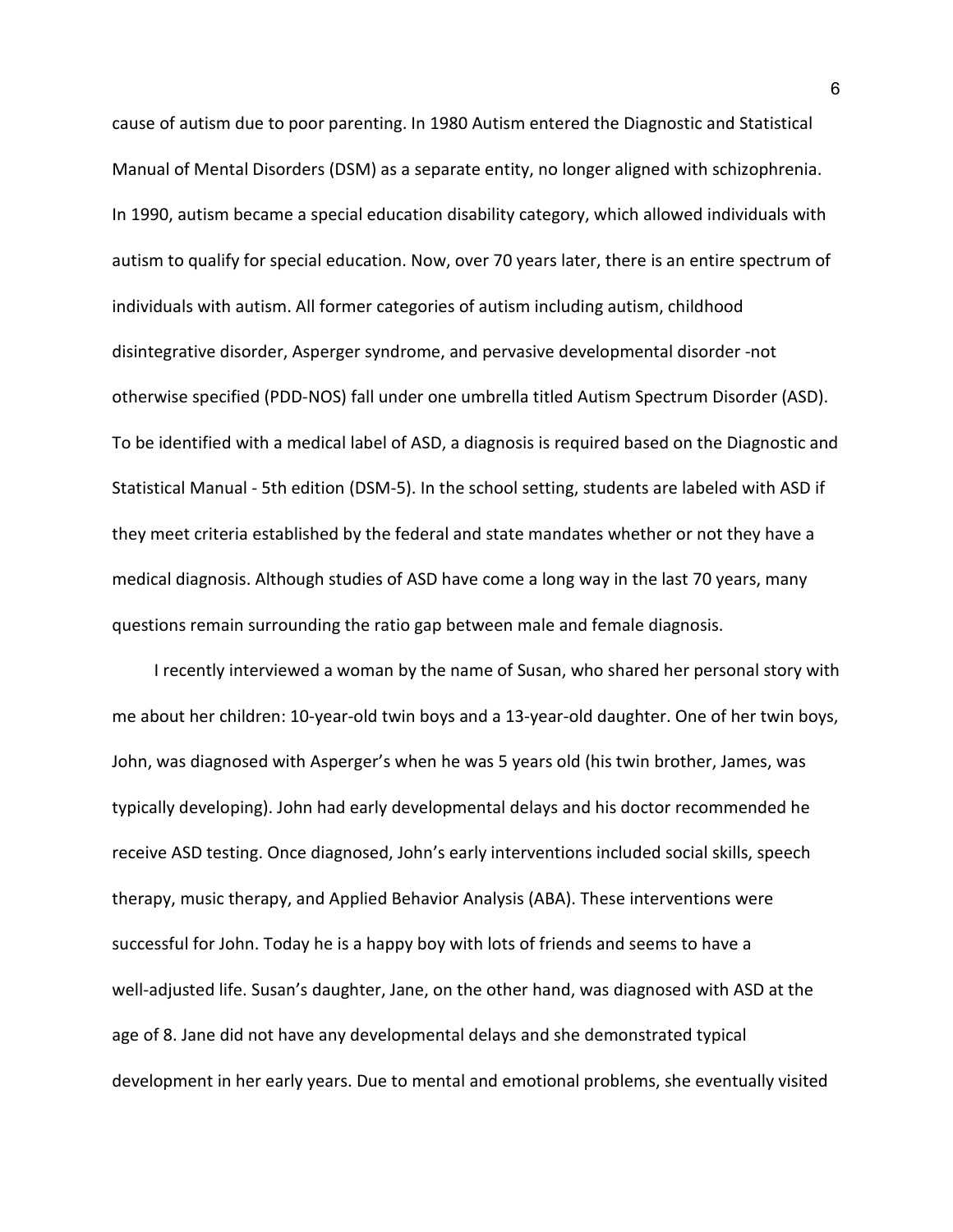cause of autism due to poor parenting. In 1980 Autism entered the Diagnostic and Statistical Manual of Mental Disorders (DSM) as a separate entity, no longer aligned with schizophrenia. In 1990, autism became a special education disability category, which allowed individuals with autism to qualify for special education. Now, over 70 years later, there is an entire spectrum of individuals with autism. All former categories of autism including autism, childhood disintegrative disorder, Asperger syndrome, and pervasive developmental disorder -not otherwise specified (PDD-NOS) fall under one umbrella titled Autism Spectrum Disorder (ASD). To be identified with a medical label of ASD, a diagnosis is required based on the Diagnostic and Statistical Manual - 5th edition (DSM-5). In the school setting, students are labeled with ASD if they meet criteria established by the federal and state mandates whether or not they have a medical diagnosis. Although studies of ASD have come a long way in the last 70 years, many questions remain surrounding the ratio gap between male and female diagnosis.

I recently interviewed a woman by the name of Susan, who shared her personal story with me about her children: 10-year-old twin boys and a 13-year-old daughter. One of her twin boys, John, was diagnosed with Asperger's when he was 5 years old (his twin brother, James, was typically developing). John had early developmental delays and his doctor recommended he receive ASD testing. Once diagnosed, John's early interventions included social skills, speech therapy, music therapy, and Applied Behavior Analysis (ABA). These interventions were successful for John. Today he is a happy boy with lots of friends and seems to have a well-adjusted life. Susan's daughter, Jane, on the other hand, was diagnosed with ASD at the age of 8. Jane did not have any developmental delays and she demonstrated typical development in her early years. Due to mental and emotional problems, she eventually visited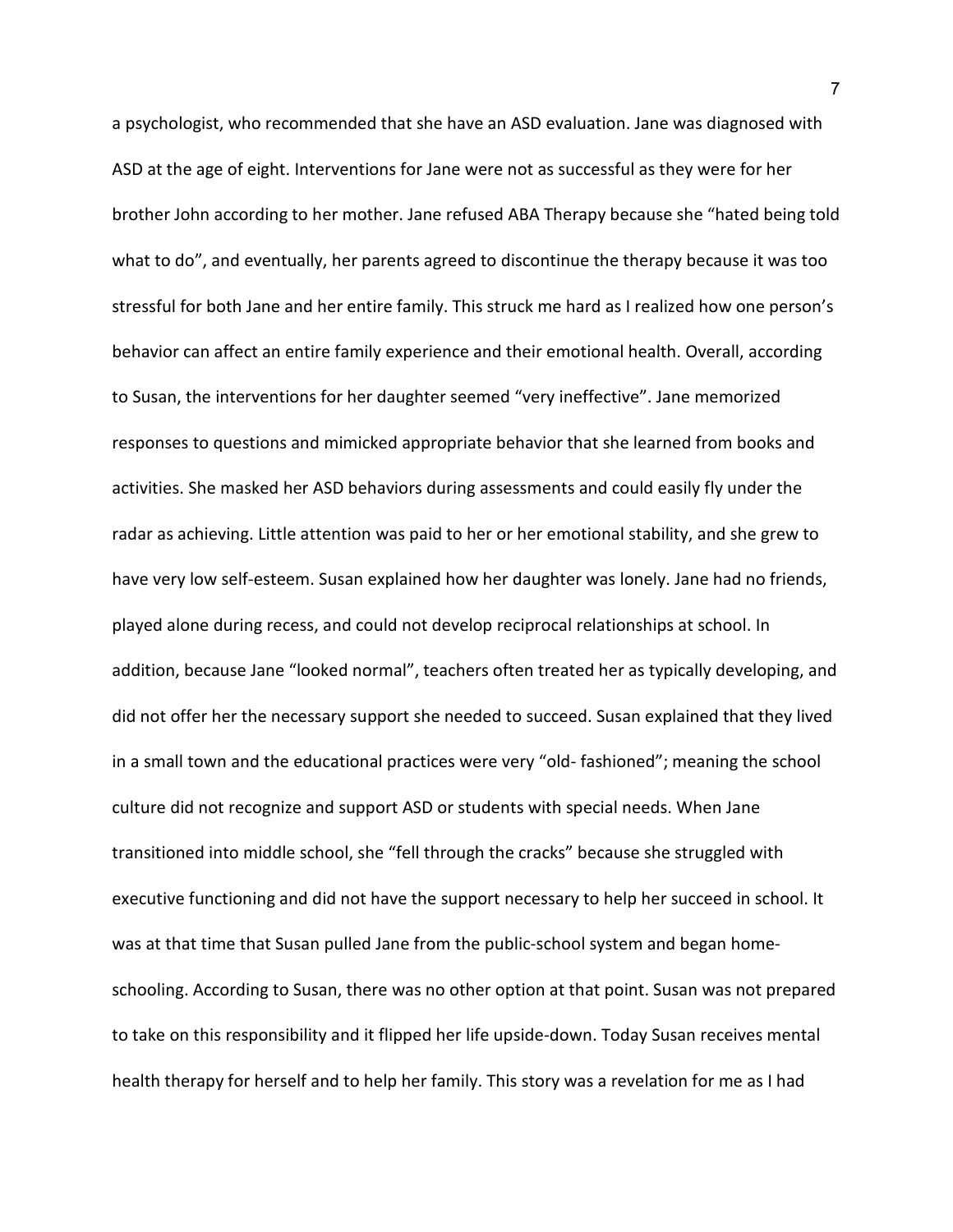a psychologist, who recommended that she have an ASD evaluation. Jane was diagnosed with ASD at the age of eight. Interventions for Jane were not as successful as they were for her brother John according to her mother. Jane refused ABA Therapy because she "hated being told what to do", and eventually, her parents agreed to discontinue the therapy because it was too stressful for both Jane and her entire family. This struck me hard as I realized how one person's behavior can affect an entire family experience and their emotional health. Overall, according to Susan, the interventions for her daughter seemed "very ineffective". Jane memorized responses to questions and mimicked appropriate behavior that she learned from books and activities. She masked her ASD behaviors during assessments and could easily fly under the radar as achieving. Little attention was paid to her or her emotional stability, and she grew to have very low self-esteem. Susan explained how her daughter was lonely. Jane had no friends, played alone during recess, and could not develop reciprocal relationships at school. In addition, because Jane "looked normal", teachers often treated her as typically developing, and did not offer her the necessary support she needed to succeed. Susan explained that they lived in a small town and the educational practices were very "old- fashioned"; meaning the school culture did not recognize and support ASD or students with special needs. When Jane transitioned into middle school, she "fell through the cracks" because she struggled with executive functioning and did not have the support necessary to help her succeed in school. It was at that time that Susan pulled Jane from the public-school system and began homeschooling. According to Susan, there was no other option at that point. Susan was not prepared to take on this responsibility and it flipped her life upside-down. Today Susan receives mental health therapy for herself and to help her family. This story was a revelation for me as I had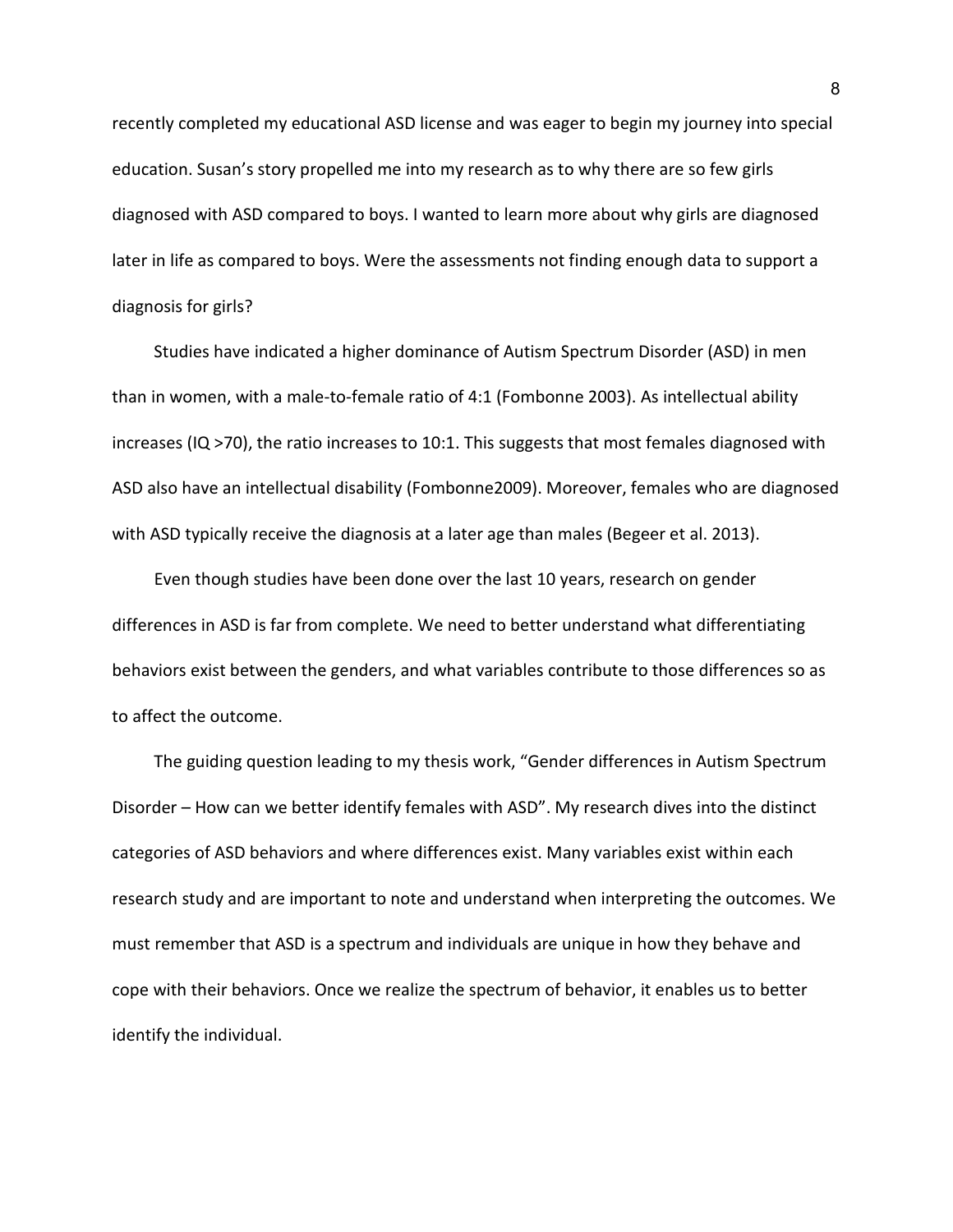recently completed my educational ASD license and was eager to begin my journey into special education. Susan's story propelled me into my research as to why there are so few girls diagnosed with ASD compared to boys. I wanted to learn more about why girls are diagnosed later in life as compared to boys. Were the assessments not finding enough data to support a diagnosis for girls?

Studies have indicated a higher dominance of Autism Spectrum Disorder (ASD) in men than in women, with a male-to-female ratio of 4:1 (Fombonne 2003). As intellectual ability increases (IQ >70), the ratio increases to 10:1. This suggests that most females diagnosed with ASD also have an intellectual disability (Fombonne2009). Moreover, females who are diagnosed with ASD typically receive the diagnosis at a later age than males (Begeer et al. 2013).

Even though studies have been done over the last 10 years, research on gender differences in ASD is far from complete. We need to better understand what differentiating behaviors exist between the genders, and what variables contribute to those differences so as to affect the outcome.

The guiding question leading to my thesis work, "Gender differences in Autism Spectrum Disorder – How can we better identify females with ASD". My research dives into the distinct categories of ASD behaviors and where differences exist. Many variables exist within each research study and are important to note and understand when interpreting the outcomes. We must remember that ASD is a spectrum and individuals are unique in how they behave and cope with their behaviors. Once we realize the spectrum of behavior, it enables us to better identify the individual.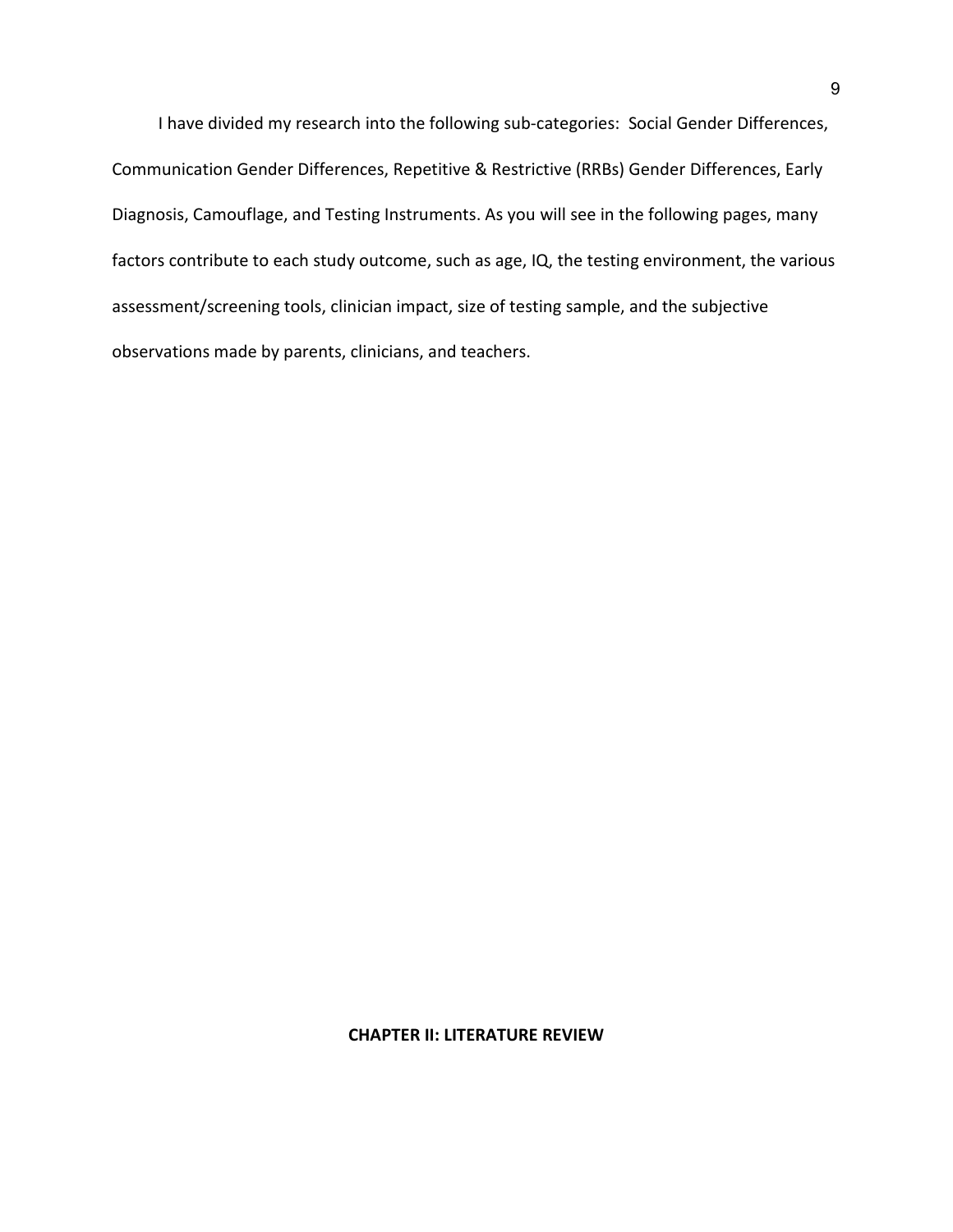I have divided my research into the following sub-categories: Social Gender Differences, Communication Gender Differences, Repetitive & Restrictive (RRBs) Gender Differences, Early Diagnosis, Camouflage, and Testing Instruments. As you will see in the following pages, many factors contribute to each study outcome, such as age, IQ, the testing environment, the various assessment/screening tools, clinician impact, size of testing sample, and the subjective observations made by parents, clinicians, and teachers.

### **CHAPTER II: LITERATURE REVIEW**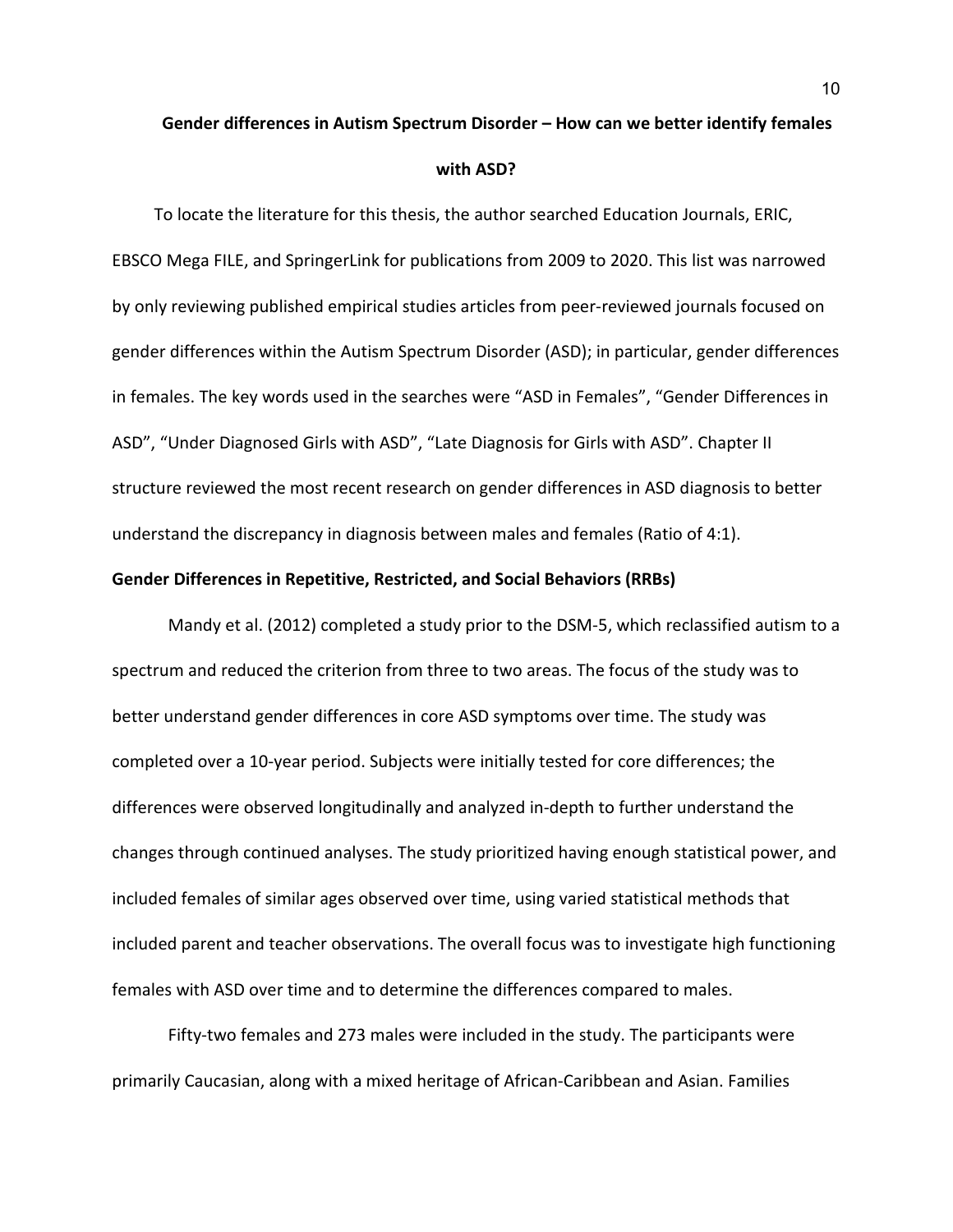# **Gender differences in Autism Spectrum Disorder – How can we better identify females with ASD?**

To locate the literature for this thesis, the author searched Education Journals, ERIC, EBSCO Mega FILE, and SpringerLink for publications from 2009 to 2020. This list was narrowed by only reviewing published empirical studies articles from peer-reviewed journals focused on gender differences within the Autism Spectrum Disorder (ASD); in particular, gender differences in females. The key words used in the searches were "ASD in Females", "Gender Differences in ASD", "Under Diagnosed Girls with ASD", "Late Diagnosis for Girls with ASD". Chapter II structure reviewed the most recent research on gender differences in ASD diagnosis to better understand the discrepancy in diagnosis between males and females (Ratio of 4:1).

### **Gender Differences in Repetitive, Restricted, and Social Behaviors (RRBs)**

 Mandy et al. (2012) completed a study prior to the DSM-5, which reclassified autism to a spectrum and reduced the criterion from three to two areas. The focus of the study was to better understand gender differences in core ASD symptoms over time. The study was completed over a 10-year period. Subjects were initially tested for core differences; the differences were observed longitudinally and analyzed in-depth to further understand the changes through continued analyses. The study prioritized having enough statistical power, and included females of similar ages observed over time, using varied statistical methods that included parent and teacher observations. The overall focus was to investigate high functioning females with ASD over time and to determine the differences compared to males.

Fifty-two females and 273 males were included in the study. The participants were primarily Caucasian, along with a mixed heritage of African-Caribbean and Asian. Families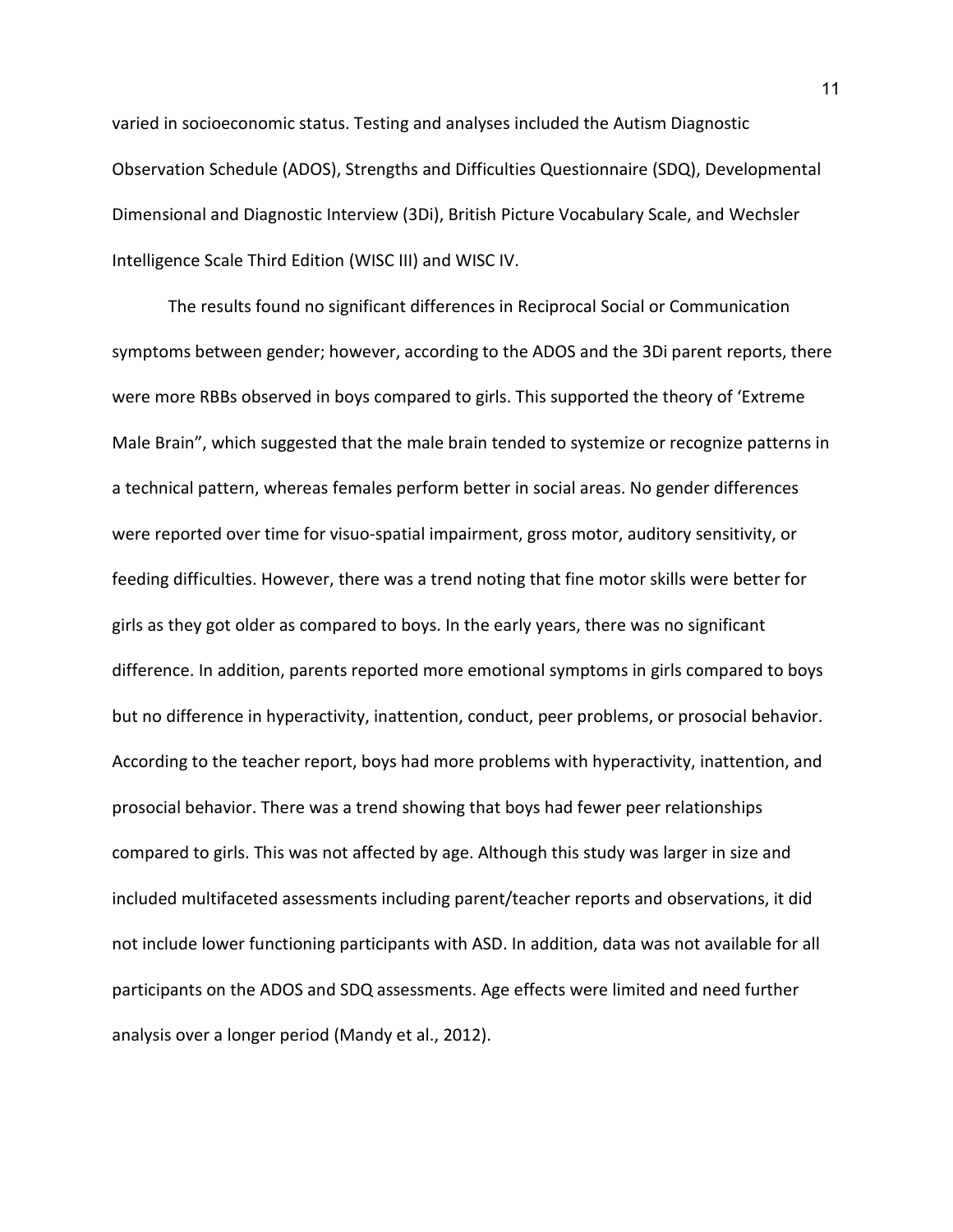varied in socioeconomic status. Testing and analyses included the Autism Diagnostic Observation Schedule (ADOS), Strengths and Difficulties Questionnaire (SDQ), Developmental Dimensional and Diagnostic Interview (3Di), British Picture Vocabulary Scale, and Wechsler Intelligence Scale Third Edition (WISC III) and WISC IV.

The results found no significant differences in Reciprocal Social or Communication symptoms between gender; however, according to the ADOS and the 3Di parent reports, there were more RBBs observed in boys compared to girls. This supported the theory of 'Extreme Male Brain", which suggested that the male brain tended to systemize or recognize patterns in a technical pattern, whereas females perform better in social areas. No gender differences were reported over time for visuo-spatial impairment, gross motor, auditory sensitivity, or feeding difficulties. However, there was a trend noting that fine motor skills were better for girls as they got older as compared to boys. In the early years, there was no significant difference. In addition, parents reported more emotional symptoms in girls compared to boys but no difference in hyperactivity, inattention, conduct, peer problems, or prosocial behavior. According to the teacher report, boys had more problems with hyperactivity, inattention, and prosocial behavior. There was a trend showing that boys had fewer peer relationships compared to girls. This was not affected by age. Although this study was larger in size and included multifaceted assessments including parent/teacher reports and observations, it did not include lower functioning participants with ASD. In addition, data was not available for all participants on the ADOS and SDQ assessments. Age effects were limited and need further analysis over a longer period (Mandy et al., 2012).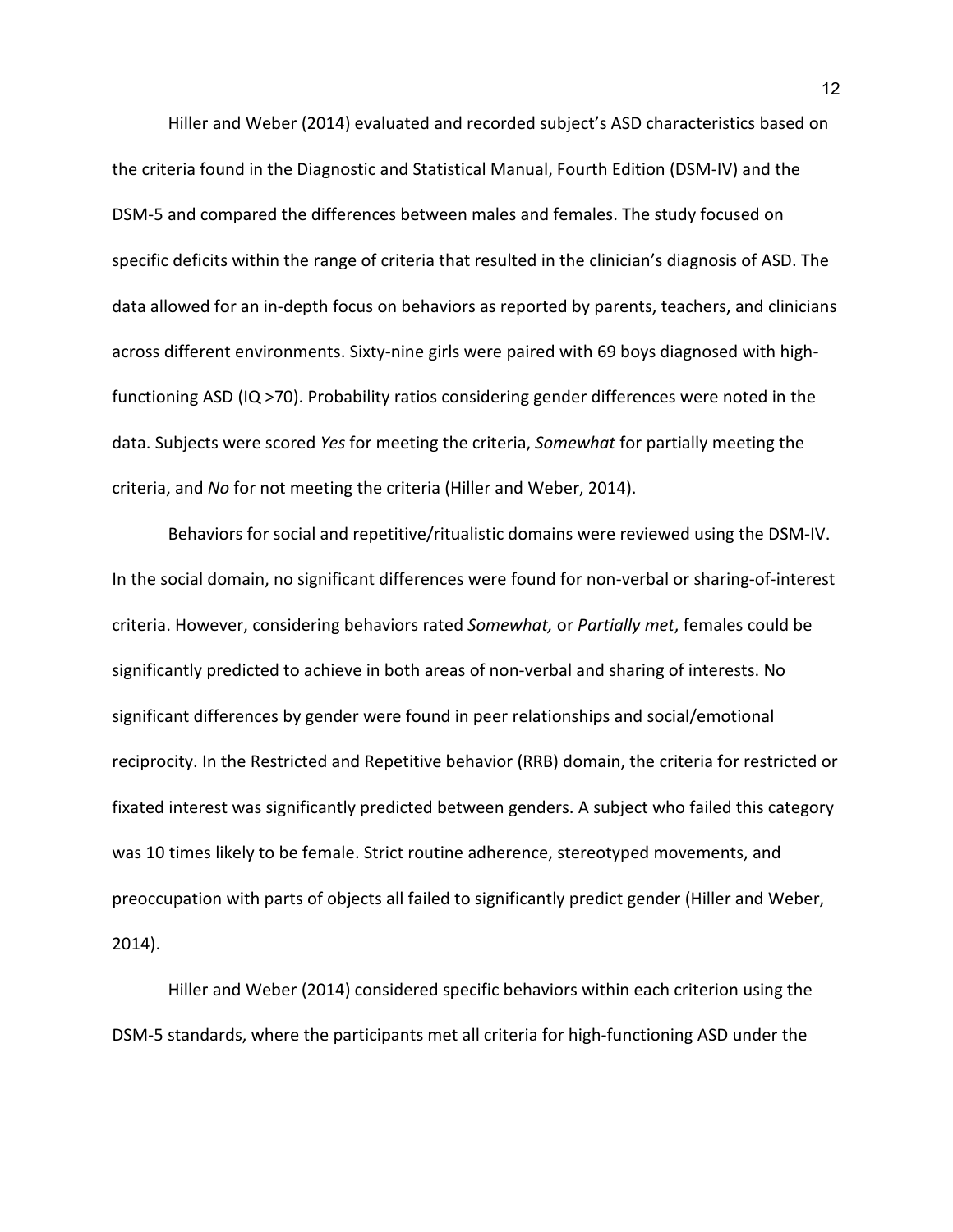Hiller and Weber (2014) evaluated and recorded subject's ASD characteristics based on the criteria found in the Diagnostic and Statistical Manual, Fourth Edition (DSM-IV) and the DSM-5 and compared the differences between males and females. The study focused on specific deficits within the range of criteria that resulted in the clinician's diagnosis of ASD. The data allowed for an in-depth focus on behaviors as reported by parents, teachers, and clinicians across different environments. Sixty-nine girls were paired with 69 boys diagnosed with highfunctioning ASD (IQ >70). Probability ratios considering gender differences were noted in the data. Subjects were scored *Yes* for meeting the criteria, *Somewhat* for partially meeting the criteria, and *No* for not meeting the criteria (Hiller and Weber, 2014).

 Behaviors for social and repetitive/ritualistic domains were reviewed using the DSM-IV. In the social domain, no significant differences were found for non-verbal or sharing-of-interest criteria. However, considering behaviors rated *Somewhat,* or *Partially met*, females could be significantly predicted to achieve in both areas of non-verbal and sharing of interests. No significant differences by gender were found in peer relationships and social/emotional reciprocity. In the Restricted and Repetitive behavior (RRB) domain, the criteria for restricted or fixated interest was significantly predicted between genders. A subject who failed this category was 10 times likely to be female. Strict routine adherence, stereotyped movements, and preoccupation with parts of objects all failed to significantly predict gender (Hiller and Weber, 2014).

 Hiller and Weber (2014) considered specific behaviors within each criterion using the DSM-5 standards, where the participants met all criteria for high-functioning ASD under the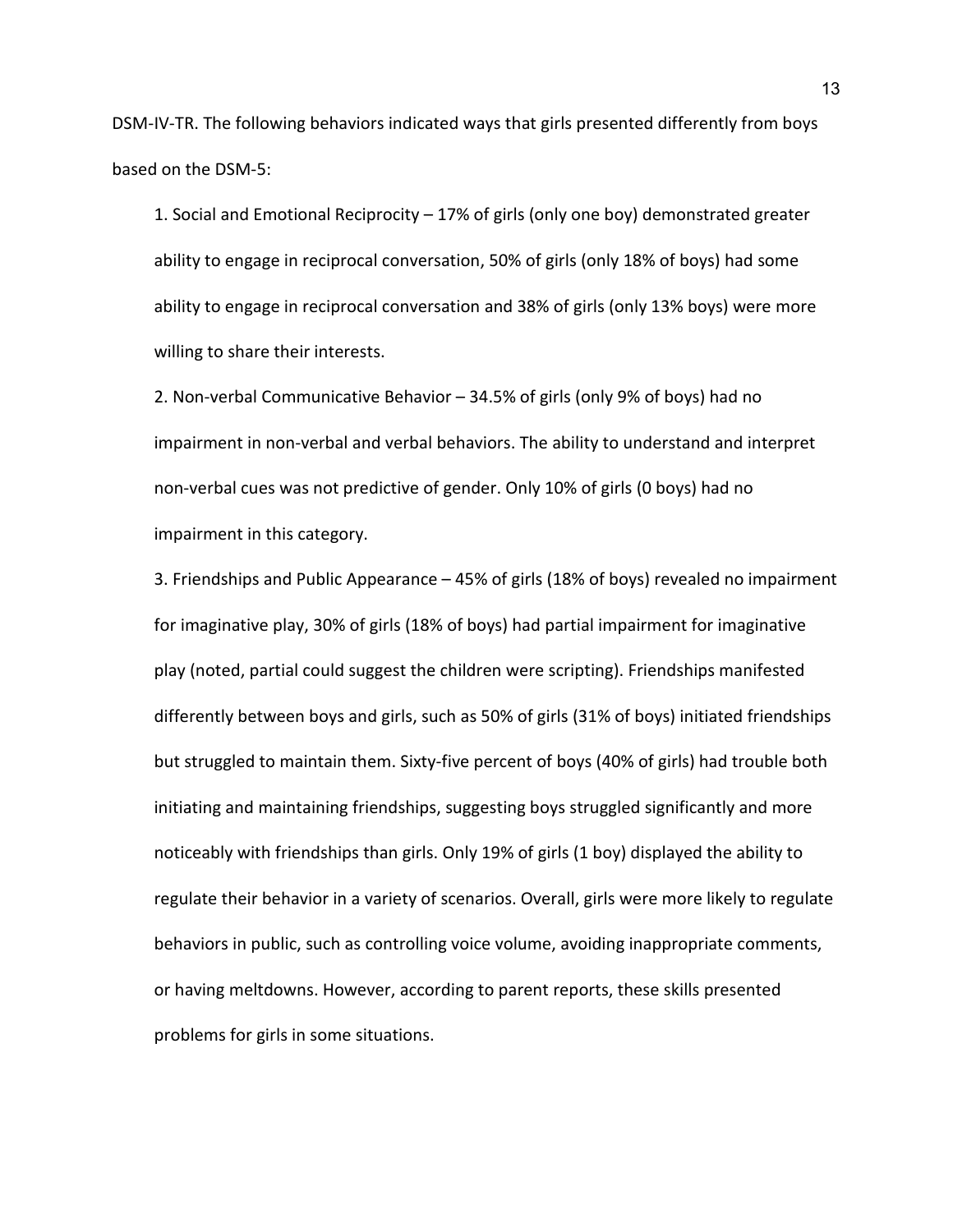DSM-IV-TR. The following behaviors indicated ways that girls presented differently from boys based on the DSM-5:

1. Social and Emotional Reciprocity – 17% of girls (only one boy) demonstrated greater ability to engage in reciprocal conversation, 50% of girls (only 18% of boys) had some ability to engage in reciprocal conversation and 38% of girls (only 13% boys) were more willing to share their interests.

2. Non-verbal Communicative Behavior – 34.5% of girls (only 9% of boys) had no impairment in non-verbal and verbal behaviors. The ability to understand and interpret non-verbal cues was not predictive of gender. Only 10% of girls (0 boys) had no impairment in this category.

3. Friendships and Public Appearance – 45% of girls (18% of boys) revealed no impairment for imaginative play, 30% of girls (18% of boys) had partial impairment for imaginative play (noted, partial could suggest the children were scripting). Friendships manifested differently between boys and girls, such as 50% of girls (31% of boys) initiated friendships but struggled to maintain them. Sixty-five percent of boys (40% of girls) had trouble both initiating and maintaining friendships, suggesting boys struggled significantly and more noticeably with friendships than girls. Only 19% of girls (1 boy) displayed the ability to regulate their behavior in a variety of scenarios. Overall, girls were more likely to regulate behaviors in public, such as controlling voice volume, avoiding inappropriate comments, or having meltdowns. However, according to parent reports, these skills presented problems for girls in some situations.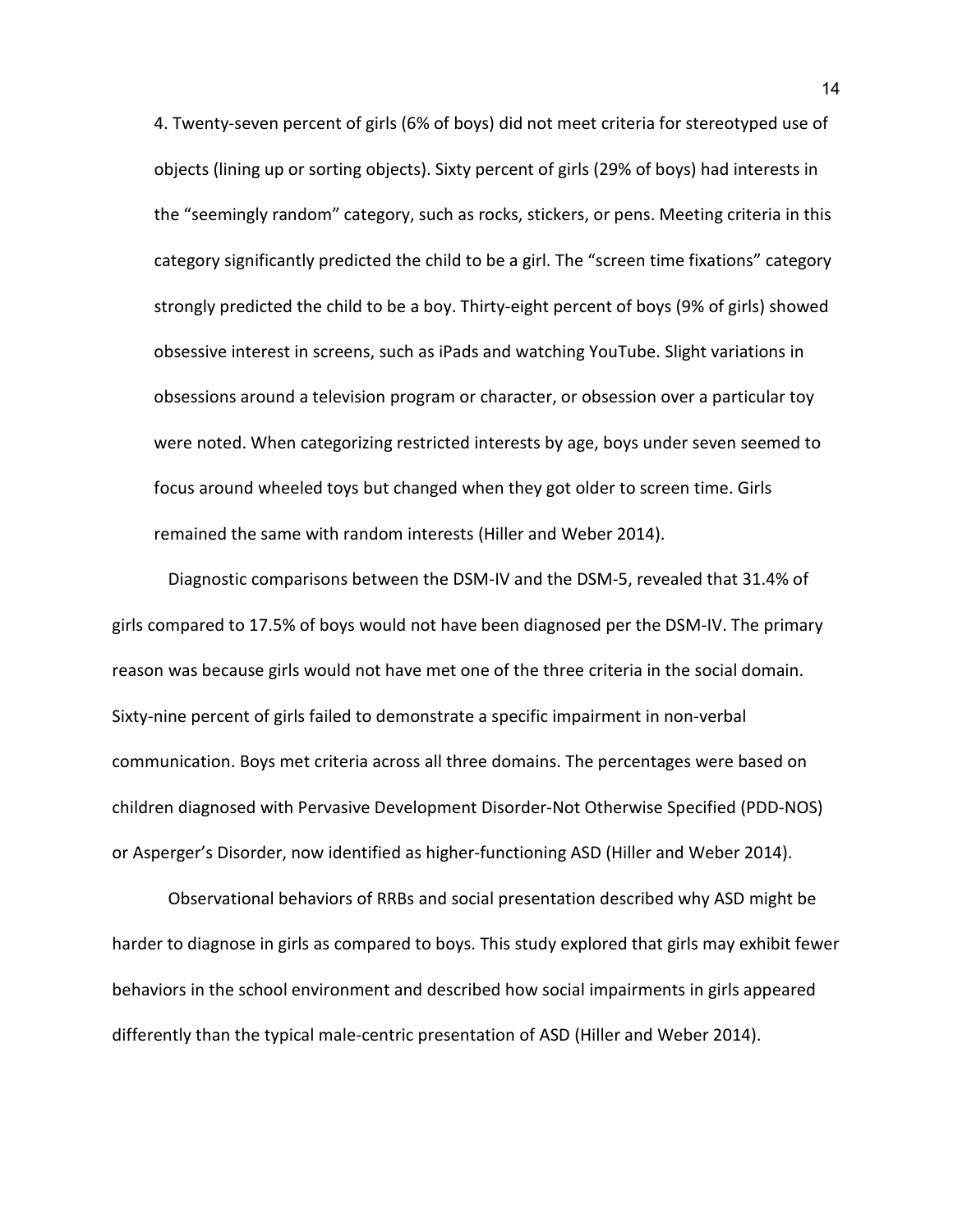4. Twenty-seven percent of girls (6% of boys) did not meet criteria for stereotyped use of objects (lining up or sorting objects). Sixty percent of girls (29% of boys) had interests in the "seemingly random" category, such as rocks, stickers, or pens. Meeting criteria in this category significantly predicted the child to be a girl. The "screen time fixations" category strongly predicted the child to be a boy. Thirty-eight percent of boys (9% of girls) showed obsessive interest in screens, such as iPads and watching YouTube. Slight variations in obsessions around a television program or character, or obsession over a particular toy were noted. When categorizing restricted interests by age, boys under seven seemed to focus around wheeled toys but changed when they got older to screen time. Girls remained the same with random interests (Hiller and Weber 2014).

Diagnostic comparisons between the DSM-IV and the DSM-5, revealed that 31.4% of girls compared to 17.5% of boys would not have been diagnosed per the DSM-IV. The primary reason was because girls would not have met one of the three criteria in the social domain. Sixty-nine percent of girls failed to demonstrate a specific impairment in non-verbal communication. Boys met criteria across all three domains. The percentages were based on children diagnosed with Pervasive Development Disorder-Not Otherwise Specified (PDD-NOS) or Asperger's Disorder, now identified as higher-functioning ASD (Hiller and Weber 2014).

 Observational behaviors of RRBs and social presentation described why ASD might be harder to diagnose in girls as compared to boys. This study explored that girls may exhibit fewer behaviors in the school environment and described how social impairments in girls appeared differently than the typical male-centric presentation of ASD (Hiller and Weber 2014).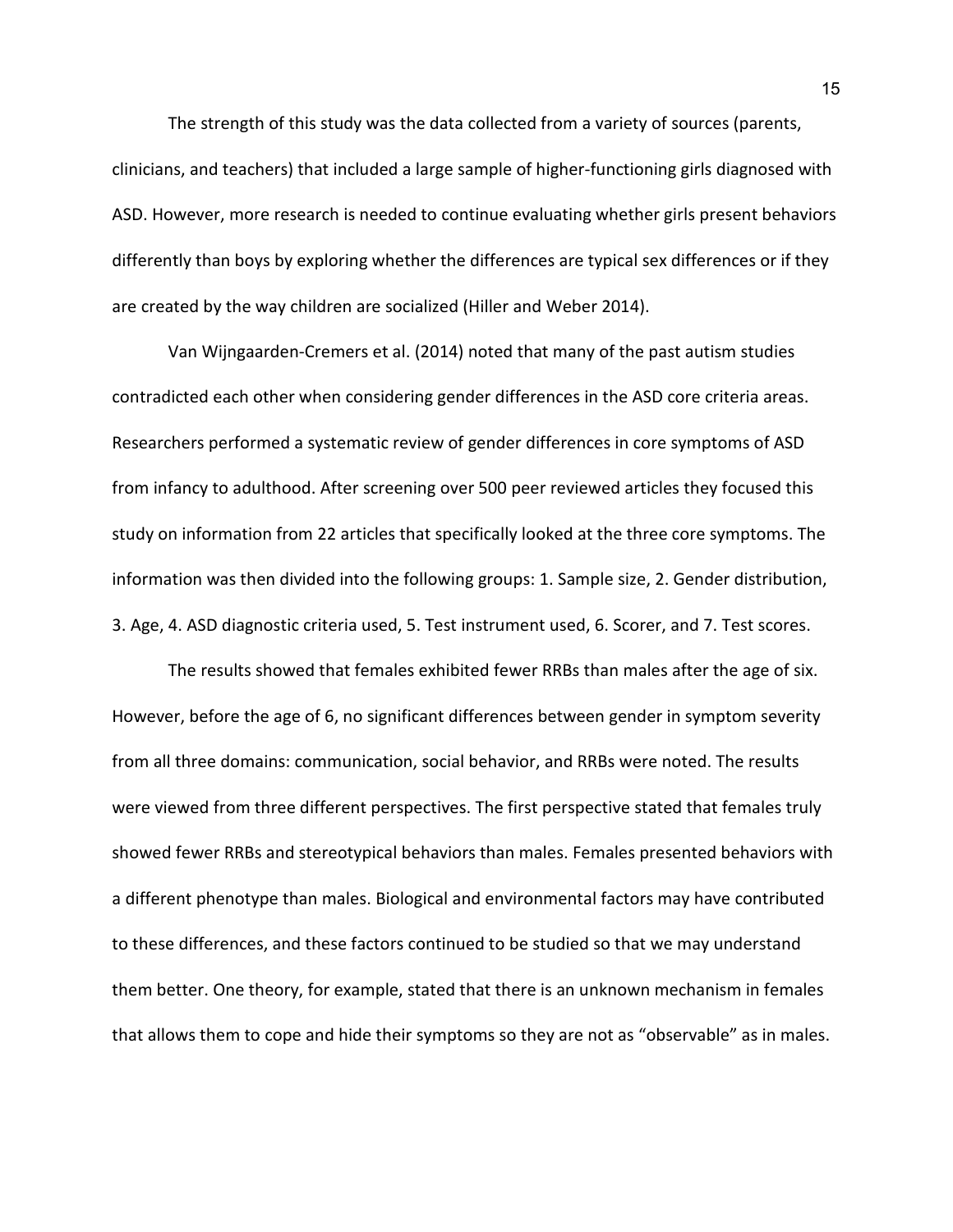The strength of this study was the data collected from a variety of sources (parents, clinicians, and teachers) that included a large sample of higher-functioning girls diagnosed with ASD. However, more research is needed to continue evaluating whether girls present behaviors differently than boys by exploring whether the differences are typical sex differences or if they are created by the way children are socialized (Hiller and Weber 2014).

 Van Wijngaarden-Cremers et al. (2014) noted that many of the past autism studies contradicted each other when considering gender differences in the ASD core criteria areas. Researchers performed a systematic review of gender differences in core symptoms of ASD from infancy to adulthood. After screening over 500 peer reviewed articles they focused this study on information from 22 articles that specifically looked at the three core symptoms. The information was then divided into the following groups: 1. Sample size, 2. Gender distribution, 3. Age, 4. ASD diagnostic criteria used, 5. Test instrument used, 6. Scorer, and 7. Test scores.

The results showed that females exhibited fewer RRBs than males after the age of six. However, before the age of 6, no significant differences between gender in symptom severity from all three domains: communication, social behavior, and RRBs were noted. The results were viewed from three different perspectives. The first perspective stated that females truly showed fewer RRBs and stereotypical behaviors than males. Females presented behaviors with a different phenotype than males. Biological and environmental factors may have contributed to these differences, and these factors continued to be studied so that we may understand them better. One theory, for example, stated that there is an unknown mechanism in females that allows them to cope and hide their symptoms so they are not as "observable" as in males.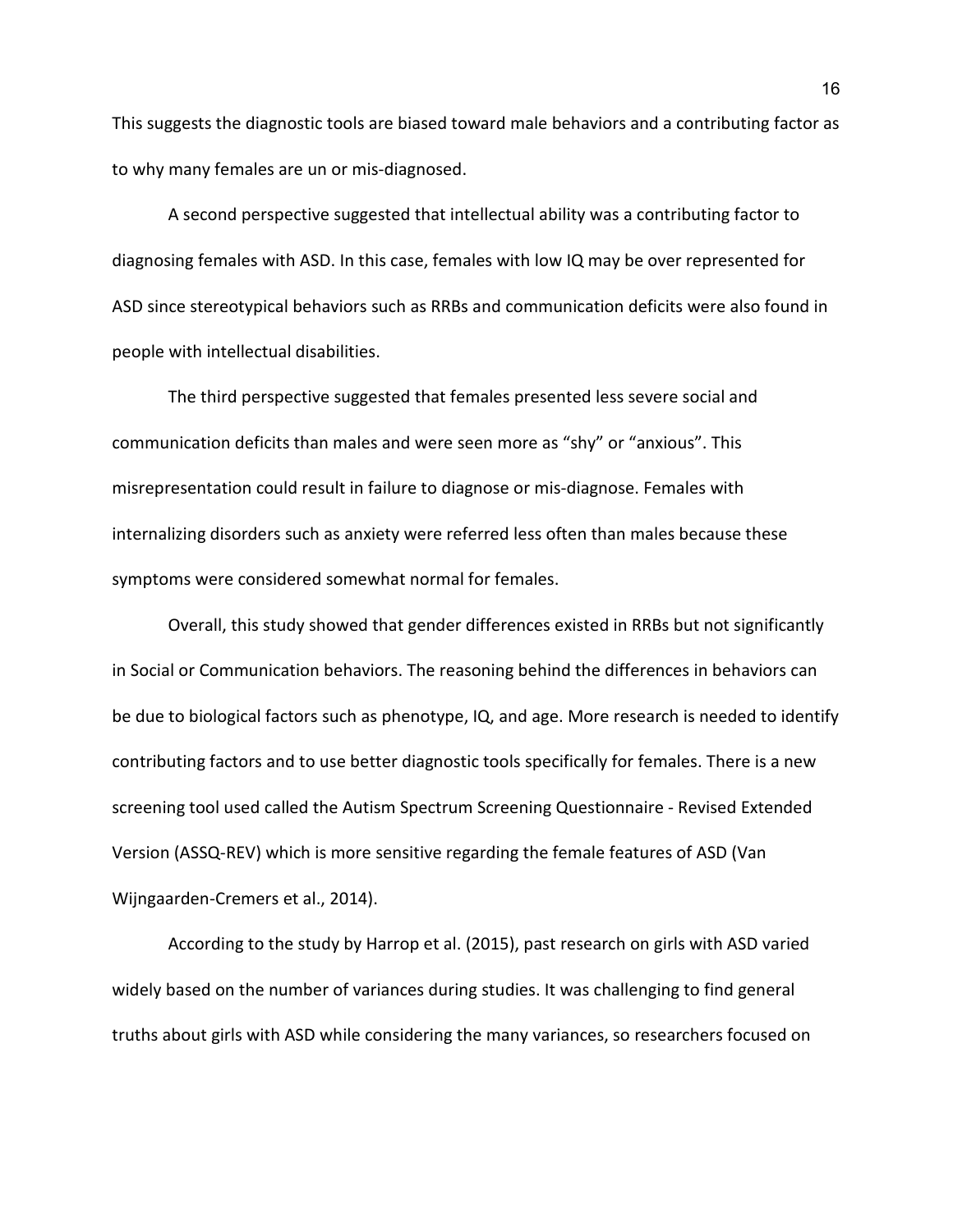This suggests the diagnostic tools are biased toward male behaviors and a contributing factor as to why many females are un or mis-diagnosed.

A second perspective suggested that intellectual ability was a contributing factor to diagnosing females with ASD. In this case, females with low IQ may be over represented for ASD since stereotypical behaviors such as RRBs and communication deficits were also found in people with intellectual disabilities.

The third perspective suggested that females presented less severe social and communication deficits than males and were seen more as "shy" or "anxious". This misrepresentation could result in failure to diagnose or mis-diagnose. Females with internalizing disorders such as anxiety were referred less often than males because these symptoms were considered somewhat normal for females.

Overall, this study showed that gender differences existed in RRBs but not significantly in Social or Communication behaviors. The reasoning behind the differences in behaviors can be due to biological factors such as phenotype, IQ, and age. More research is needed to identify contributing factors and to use better diagnostic tools specifically for females. There is a new screening tool used called the Autism Spectrum Screening Questionnaire - Revised Extended Version (ASSQ-REV) which is more sensitive regarding the female features of ASD (Van Wijngaarden-Cremers et al., 2014).

According to the study by Harrop et al. (2015), past research on girls with ASD varied widely based on the number of variances during studies. It was challenging to find general truths about girls with ASD while considering the many variances, so researchers focused on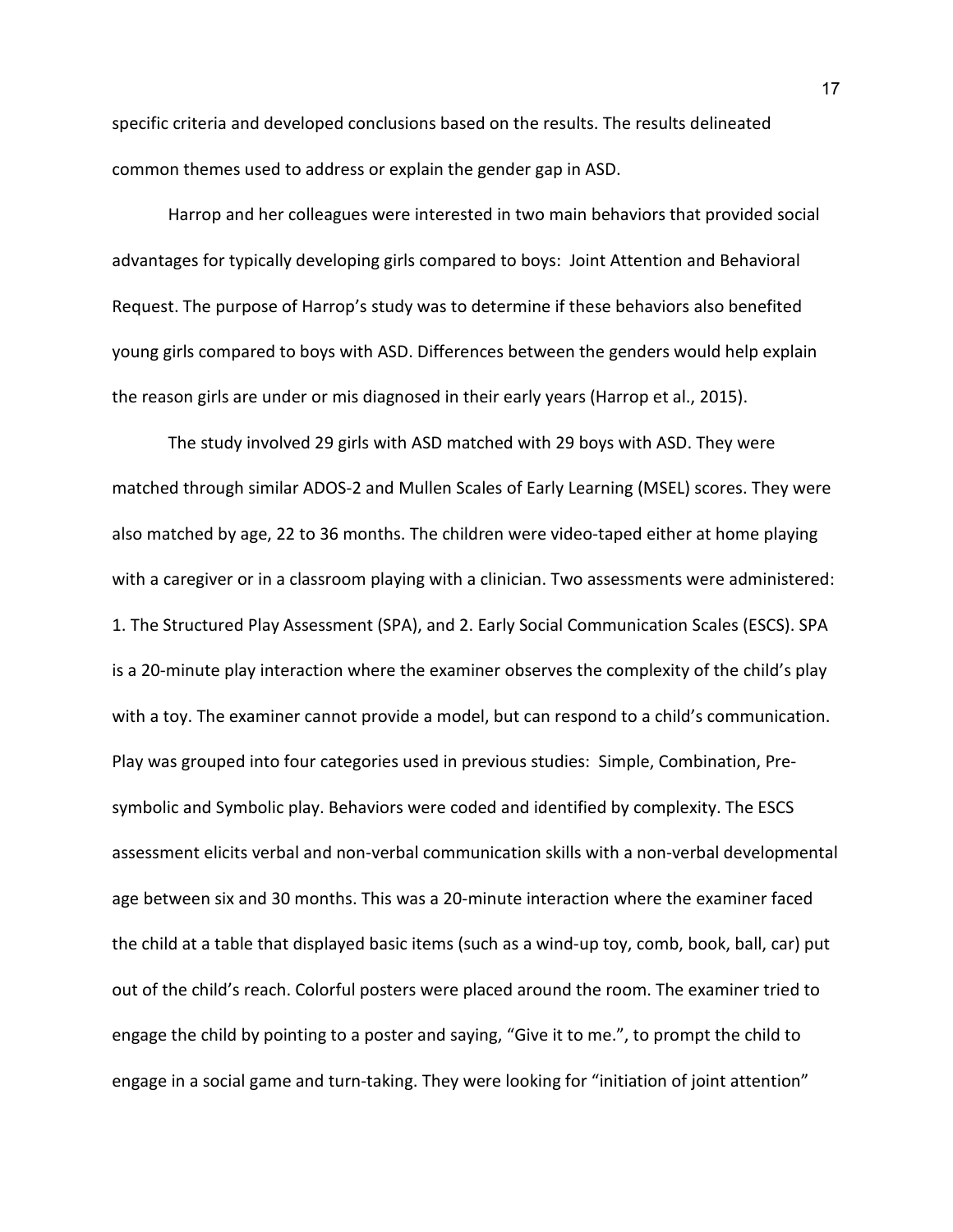specific criteria and developed conclusions based on the results. The results delineated common themes used to address or explain the gender gap in ASD.

Harrop and her colleagues were interested in two main behaviors that provided social advantages for typically developing girls compared to boys: Joint Attention and Behavioral Request. The purpose of Harrop's study was to determine if these behaviors also benefited young girls compared to boys with ASD. Differences between the genders would help explain the reason girls are under or mis diagnosed in their early years (Harrop et al., 2015).

 The study involved 29 girls with ASD matched with 29 boys with ASD. They were matched through similar ADOS-2 and Mullen Scales of Early Learning (MSEL) scores. They were also matched by age, 22 to 36 months. The children were video-taped either at home playing with a caregiver or in a classroom playing with a clinician. Two assessments were administered: 1. The Structured Play Assessment (SPA), and 2. Early Social Communication Scales (ESCS). SPA is a 20-minute play interaction where the examiner observes the complexity of the child's play with a toy. The examiner cannot provide a model, but can respond to a child's communication. Play was grouped into four categories used in previous studies: Simple, Combination, Presymbolic and Symbolic play. Behaviors were coded and identified by complexity. The ESCS assessment elicits verbal and non-verbal communication skills with a non-verbal developmental age between six and 30 months. This was a 20-minute interaction where the examiner faced the child at a table that displayed basic items (such as a wind-up toy, comb, book, ball, car) put out of the child's reach. Colorful posters were placed around the room. The examiner tried to engage the child by pointing to a poster and saying, "Give it to me.", to prompt the child to engage in a social game and turn-taking. They were looking for "initiation of joint attention"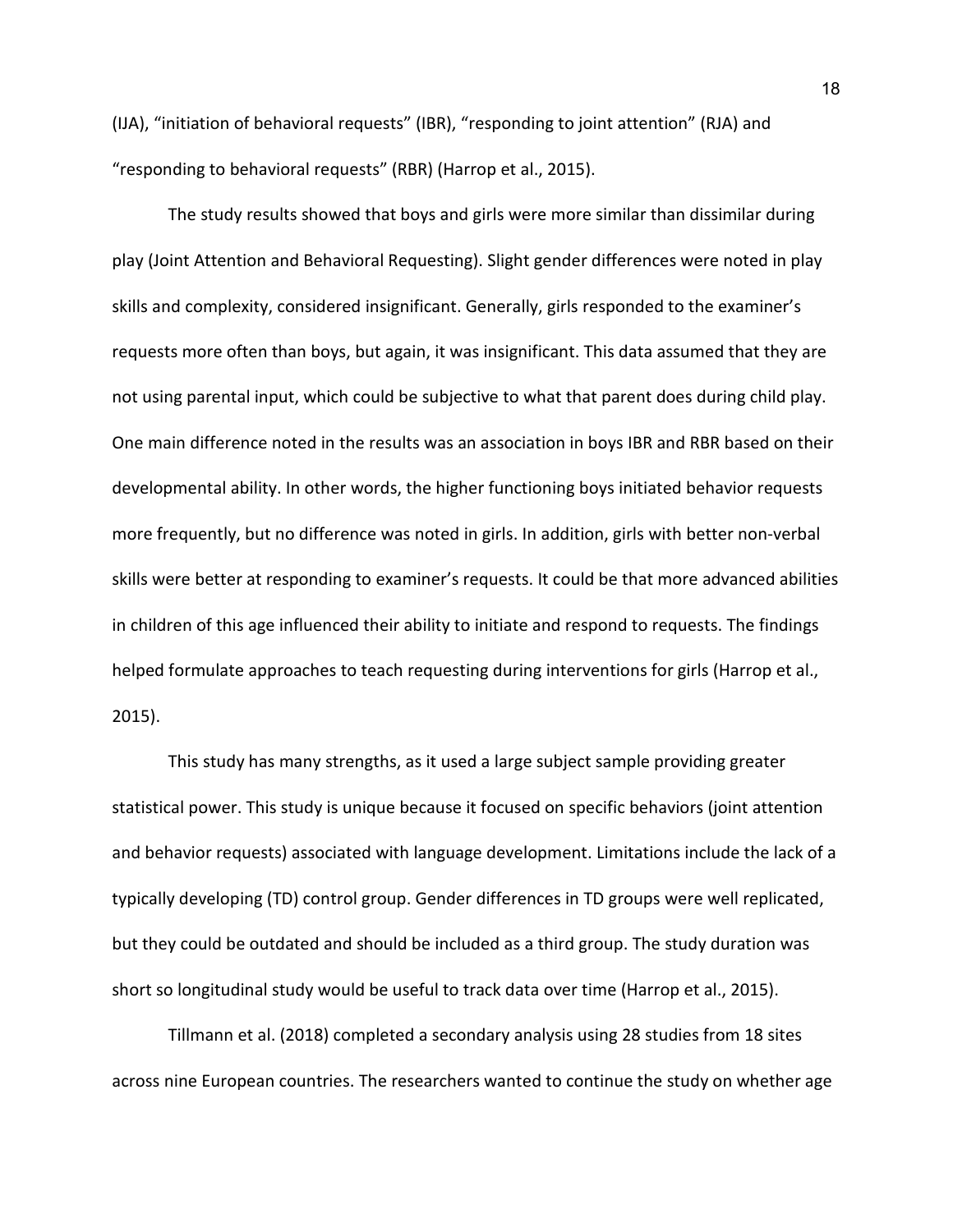(IJA), "initiation of behavioral requests" (IBR), "responding to joint attention" (RJA) and "responding to behavioral requests" (RBR) (Harrop et al., 2015).

 The study results showed that boys and girls were more similar than dissimilar during play (Joint Attention and Behavioral Requesting). Slight gender differences were noted in play skills and complexity, considered insignificant. Generally, girls responded to the examiner's requests more often than boys, but again, it was insignificant. This data assumed that they are not using parental input, which could be subjective to what that parent does during child play. One main difference noted in the results was an association in boys IBR and RBR based on their developmental ability. In other words, the higher functioning boys initiated behavior requests more frequently, but no difference was noted in girls. In addition, girls with better non-verbal skills were better at responding to examiner's requests. It could be that more advanced abilities in children of this age influenced their ability to initiate and respond to requests. The findings helped formulate approaches to teach requesting during interventions for girls (Harrop et al., 2015).

 This study has many strengths, as it used a large subject sample providing greater statistical power. This study is unique because it focused on specific behaviors (joint attention and behavior requests) associated with language development. Limitations include the lack of a typically developing (TD) control group. Gender differences in TD groups were well replicated, but they could be outdated and should be included as a third group. The study duration was short so longitudinal study would be useful to track data over time (Harrop et al., 2015).

Tillmann et al. (2018) completed a secondary analysis using 28 studies from 18 sites across nine European countries. The researchers wanted to continue the study on whether age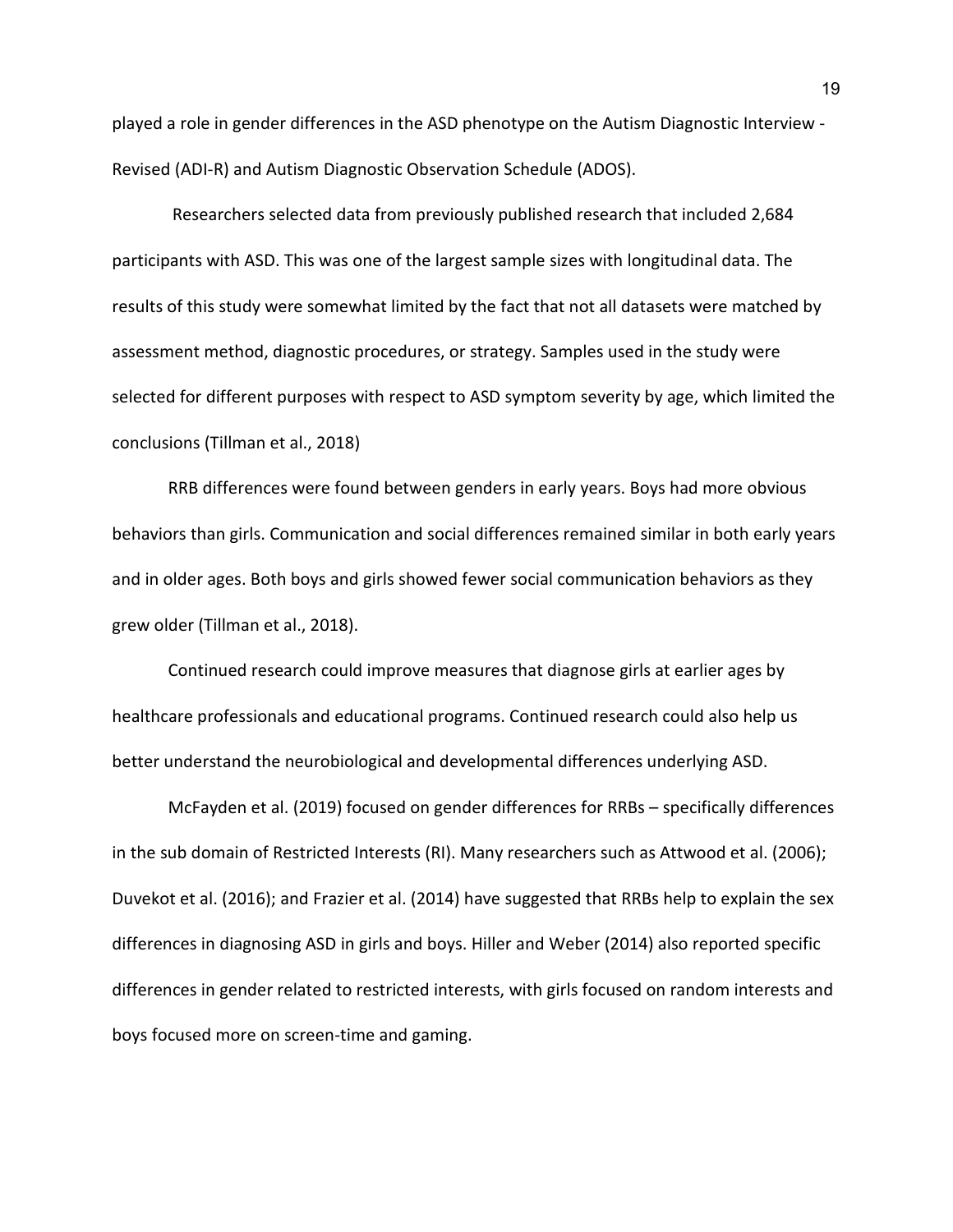played a role in gender differences in the ASD phenotype on the Autism Diagnostic Interview - Revised (ADI-R) and Autism Diagnostic Observation Schedule (ADOS).

Researchers selected data from previously published research that included 2,684 participants with ASD. This was one of the largest sample sizes with longitudinal data. The results of this study were somewhat limited by the fact that not all datasets were matched by assessment method, diagnostic procedures, or strategy. Samples used in the study were selected for different purposes with respect to ASD symptom severity by age, which limited the conclusions (Tillman et al., 2018)

RRB differences were found between genders in early years. Boys had more obvious behaviors than girls. Communication and social differences remained similar in both early years and in older ages. Both boys and girls showed fewer social communication behaviors as they grew older (Tillman et al., 2018).

Continued research could improve measures that diagnose girls at earlier ages by healthcare professionals and educational programs. Continued research could also help us better understand the neurobiological and developmental differences underlying ASD.

McFayden et al. (2019) focused on gender differences for RRBs – specifically differences in the sub domain of Restricted Interests (RI). Many researchers such as Attwood et al. (2006); Duvekot et al. (2016); and Frazier et al. (2014) have suggested that RRBs help to explain the sex differences in diagnosing ASD in girls and boys. Hiller and Weber (2014) also reported specific differences in gender related to restricted interests, with girls focused on random interests and boys focused more on screen-time and gaming.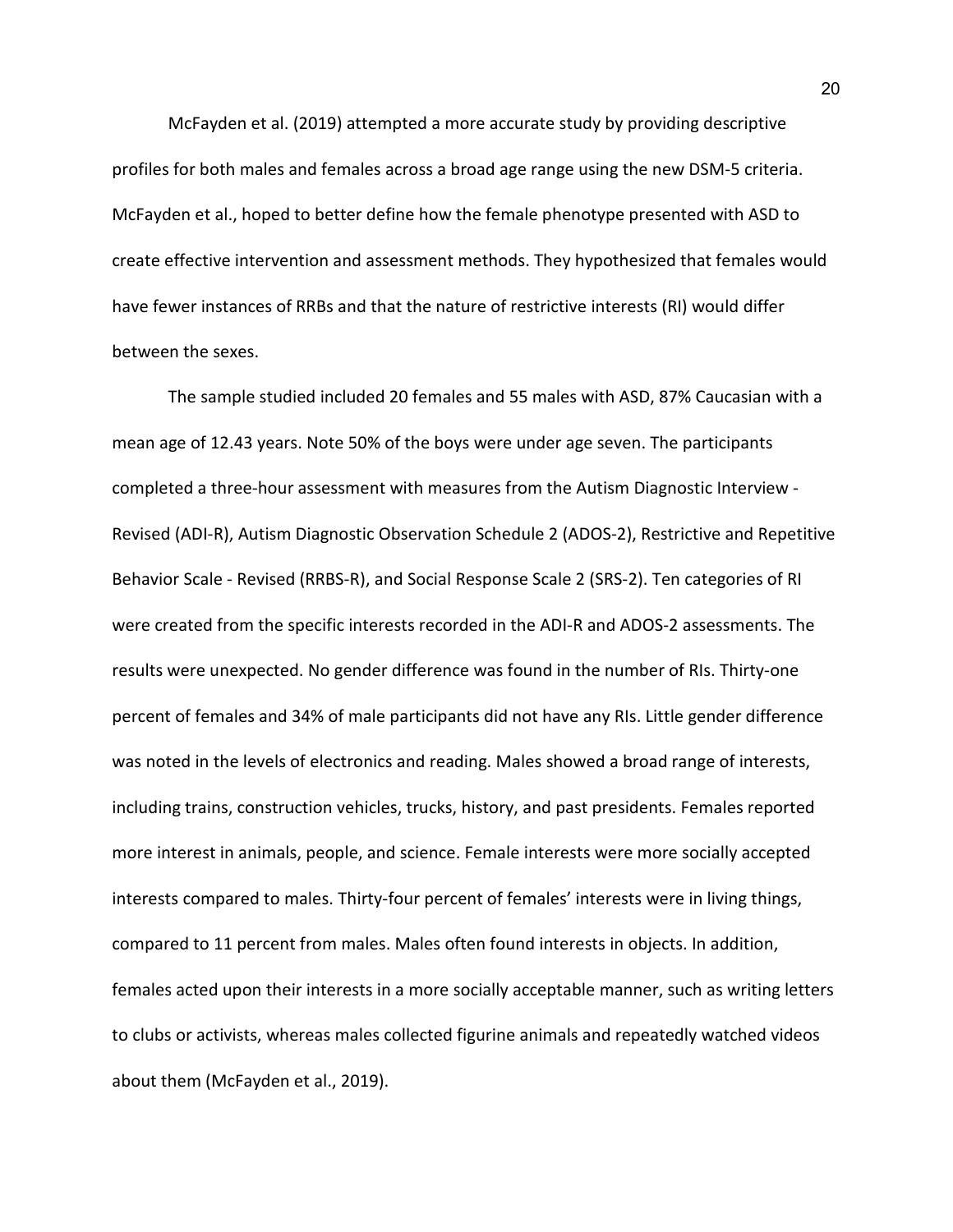McFayden et al. (2019) attempted a more accurate study by providing descriptive profiles for both males and females across a broad age range using the new DSM-5 criteria. McFayden et al., hoped to better define how the female phenotype presented with ASD to create effective intervention and assessment methods. They hypothesized that females would have fewer instances of RRBs and that the nature of restrictive interests (RI) would differ between the sexes.

 The sample studied included 20 females and 55 males with ASD, 87% Caucasian with a mean age of 12.43 years. Note 50% of the boys were under age seven. The participants completed a three-hour assessment with measures from the Autism Diagnostic Interview - Revised (ADI-R), Autism Diagnostic Observation Schedule 2 (ADOS-2), Restrictive and Repetitive Behavior Scale - Revised (RRBS-R), and Social Response Scale 2 (SRS-2). Ten categories of RI were created from the specific interests recorded in the ADI-R and ADOS-2 assessments. The results were unexpected. No gender difference was found in the number of RIs. Thirty-one percent of females and 34% of male participants did not have any RIs. Little gender difference was noted in the levels of electronics and reading. Males showed a broad range of interests, including trains, construction vehicles, trucks, history, and past presidents. Females reported more interest in animals, people, and science. Female interests were more socially accepted interests compared to males. Thirty-four percent of females' interests were in living things, compared to 11 percent from males. Males often found interests in objects. In addition, females acted upon their interests in a more socially acceptable manner, such as writing letters to clubs or activists, whereas males collected figurine animals and repeatedly watched videos about them (McFayden et al., 2019).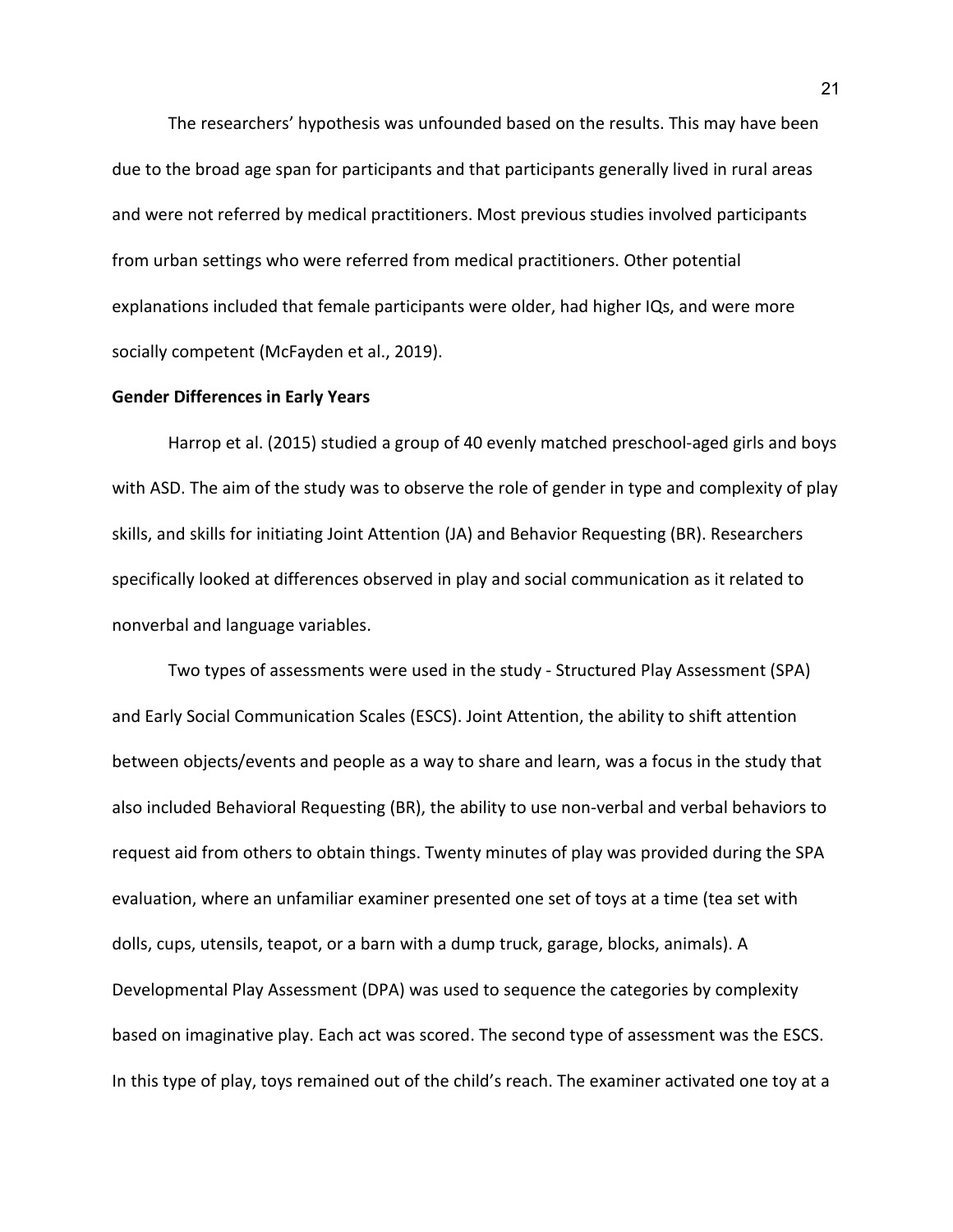The researchers' hypothesis was unfounded based on the results. This may have been due to the broad age span for participants and that participants generally lived in rural areas and were not referred by medical practitioners. Most previous studies involved participants from urban settings who were referred from medical practitioners. Other potential explanations included that female participants were older, had higher IQs, and were more socially competent (McFayden et al., 2019).

#### **Gender Differences in Early Years**

Harrop et al. (2015) studied a group of 40 evenly matched preschool-aged girls and boys with ASD. The aim of the study was to observe the role of gender in type and complexity of play skills, and skills for initiating Joint Attention (JA) and Behavior Requesting (BR). Researchers specifically looked at differences observed in play and social communication as it related to nonverbal and language variables.

Two types of assessments were used in the study - Structured Play Assessment (SPA) and Early Social Communication Scales (ESCS). Joint Attention, the ability to shift attention between objects/events and people as a way to share and learn, was a focus in the study that also included Behavioral Requesting (BR), the ability to use non-verbal and verbal behaviors to request aid from others to obtain things. Twenty minutes of play was provided during the SPA evaluation, where an unfamiliar examiner presented one set of toys at a time (tea set with dolls, cups, utensils, teapot, or a barn with a dump truck, garage, blocks, animals). A Developmental Play Assessment (DPA) was used to sequence the categories by complexity based on imaginative play. Each act was scored. The second type of assessment was the ESCS. In this type of play, toys remained out of the child's reach. The examiner activated one toy at a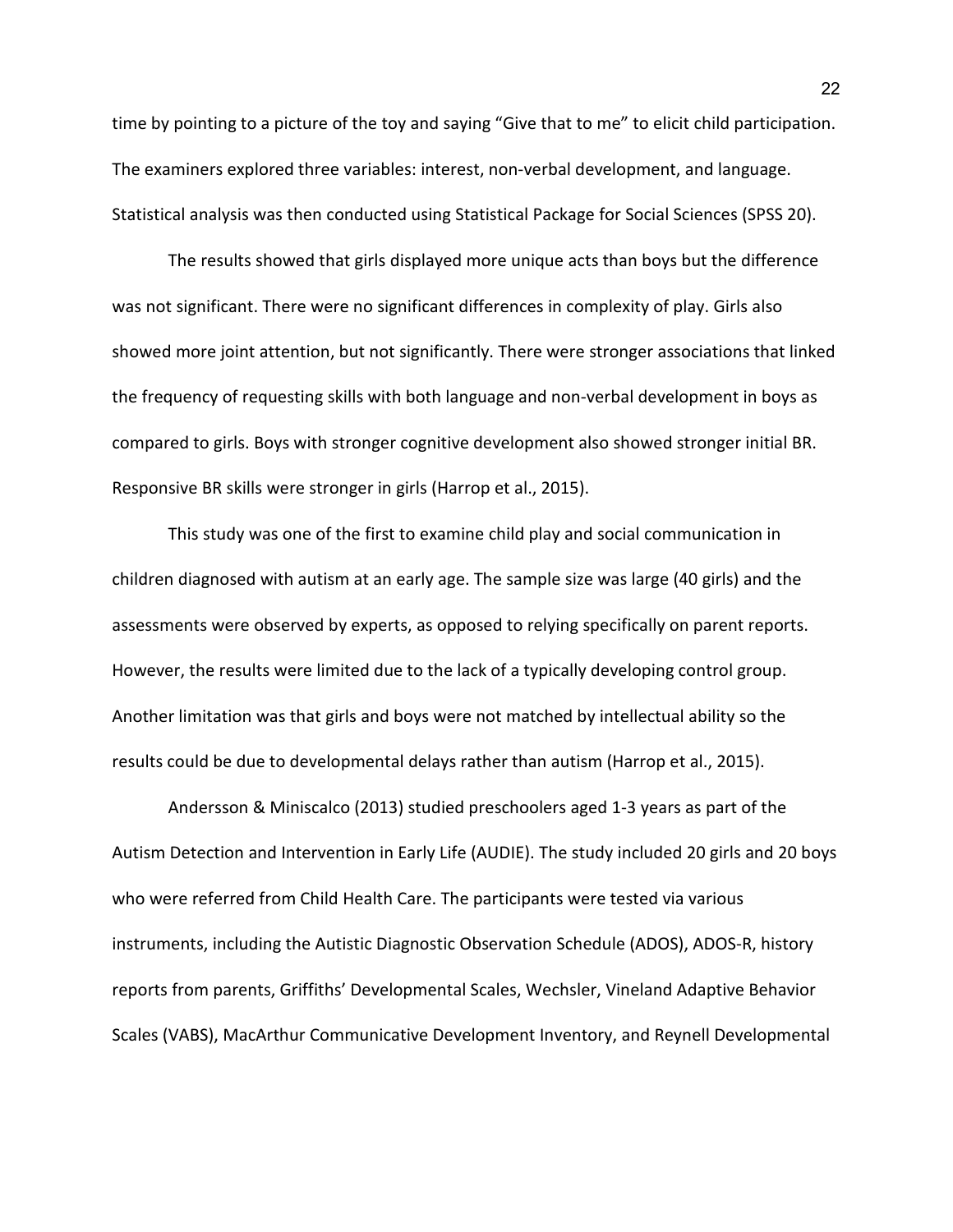time by pointing to a picture of the toy and saying "Give that to me" to elicit child participation. The examiners explored three variables: interest, non-verbal development, and language. Statistical analysis was then conducted using Statistical Package for Social Sciences (SPSS 20).

The results showed that girls displayed more unique acts than boys but the difference was not significant. There were no significant differences in complexity of play. Girls also showed more joint attention, but not significantly. There were stronger associations that linked the frequency of requesting skills with both language and non-verbal development in boys as compared to girls. Boys with stronger cognitive development also showed stronger initial BR. Responsive BR skills were stronger in girls (Harrop et al., 2015).

This study was one of the first to examine child play and social communication in children diagnosed with autism at an early age. The sample size was large (40 girls) and the assessments were observed by experts, as opposed to relying specifically on parent reports. However, the results were limited due to the lack of a typically developing control group. Another limitation was that girls and boys were not matched by intellectual ability so the results could be due to developmental delays rather than autism (Harrop et al., 2015).

Andersson & Miniscalco (2013) studied preschoolers aged 1-3 years as part of the Autism Detection and Intervention in Early Life (AUDIE). The study included 20 girls and 20 boys who were referred from Child Health Care. The participants were tested via various instruments, including the Autistic Diagnostic Observation Schedule (ADOS), ADOS-R, history reports from parents, Griffiths' Developmental Scales, Wechsler, Vineland Adaptive Behavior Scales (VABS), MacArthur Communicative Development Inventory, and Reynell Developmental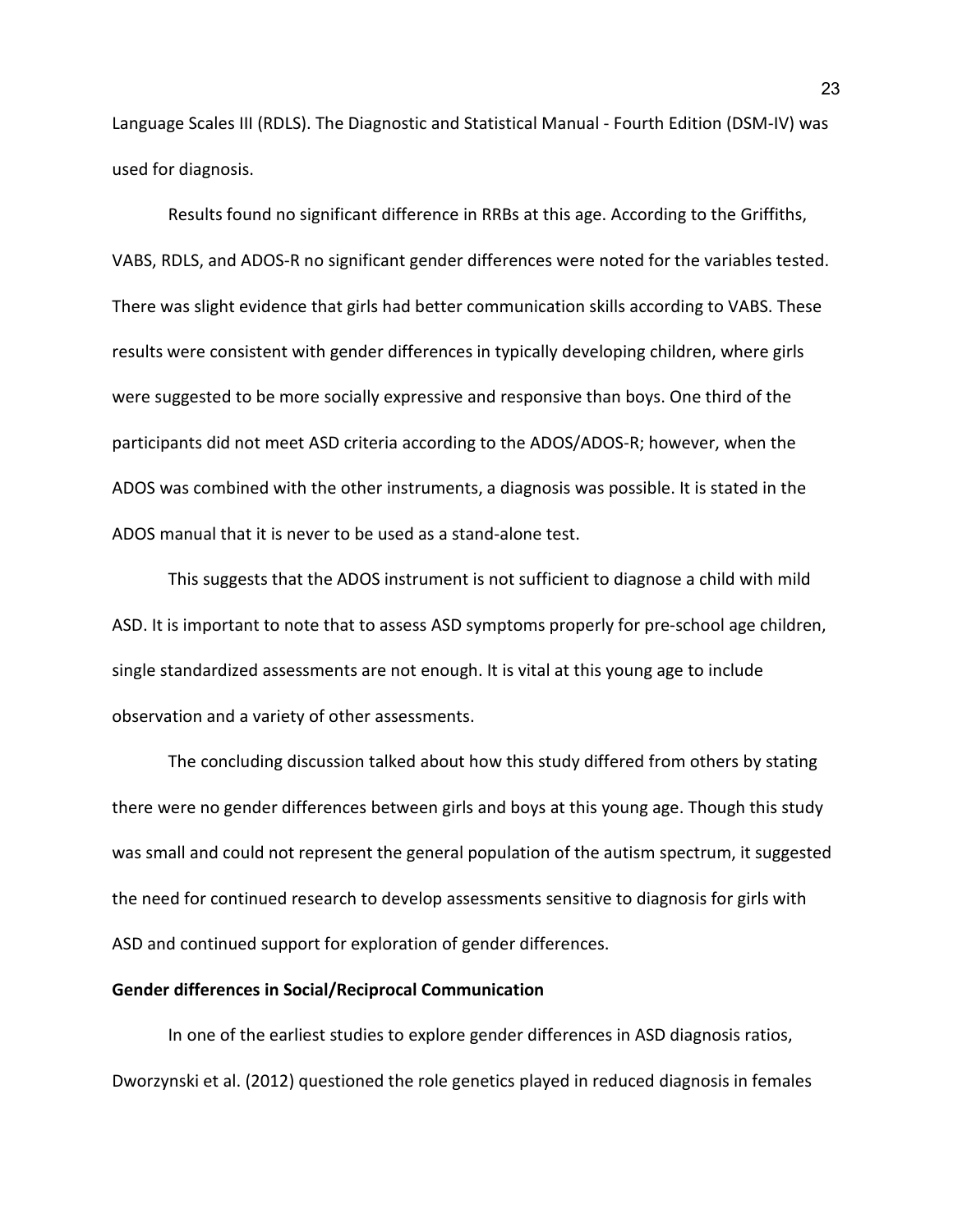Language Scales III (RDLS). The Diagnostic and Statistical Manual - Fourth Edition (DSM-IV) was used for diagnosis.

Results found no significant difference in RRBs at this age. According to the Griffiths, VABS, RDLS, and ADOS-R no significant gender differences were noted for the variables tested. There was slight evidence that girls had better communication skills according to VABS. These results were consistent with gender differences in typically developing children, where girls were suggested to be more socially expressive and responsive than boys. One third of the participants did not meet ASD criteria according to the ADOS/ADOS-R; however, when the ADOS was combined with the other instruments, a diagnosis was possible. It is stated in the ADOS manual that it is never to be used as a stand-alone test.

This suggests that the ADOS instrument is not sufficient to diagnose a child with mild ASD. It is important to note that to assess ASD symptoms properly for pre-school age children, single standardized assessments are not enough. It is vital at this young age to include observation and a variety of other assessments.

The concluding discussion talked about how this study differed from others by stating there were no gender differences between girls and boys at this young age. Though this study was small and could not represent the general population of the autism spectrum, it suggested the need for continued research to develop assessments sensitive to diagnosis for girls with ASD and continued support for exploration of gender differences.

### **Gender differences in Social/Reciprocal Communication**

In one of the earliest studies to explore gender differences in ASD diagnosis ratios, Dworzynski et al. (2012) questioned the role genetics played in reduced diagnosis in females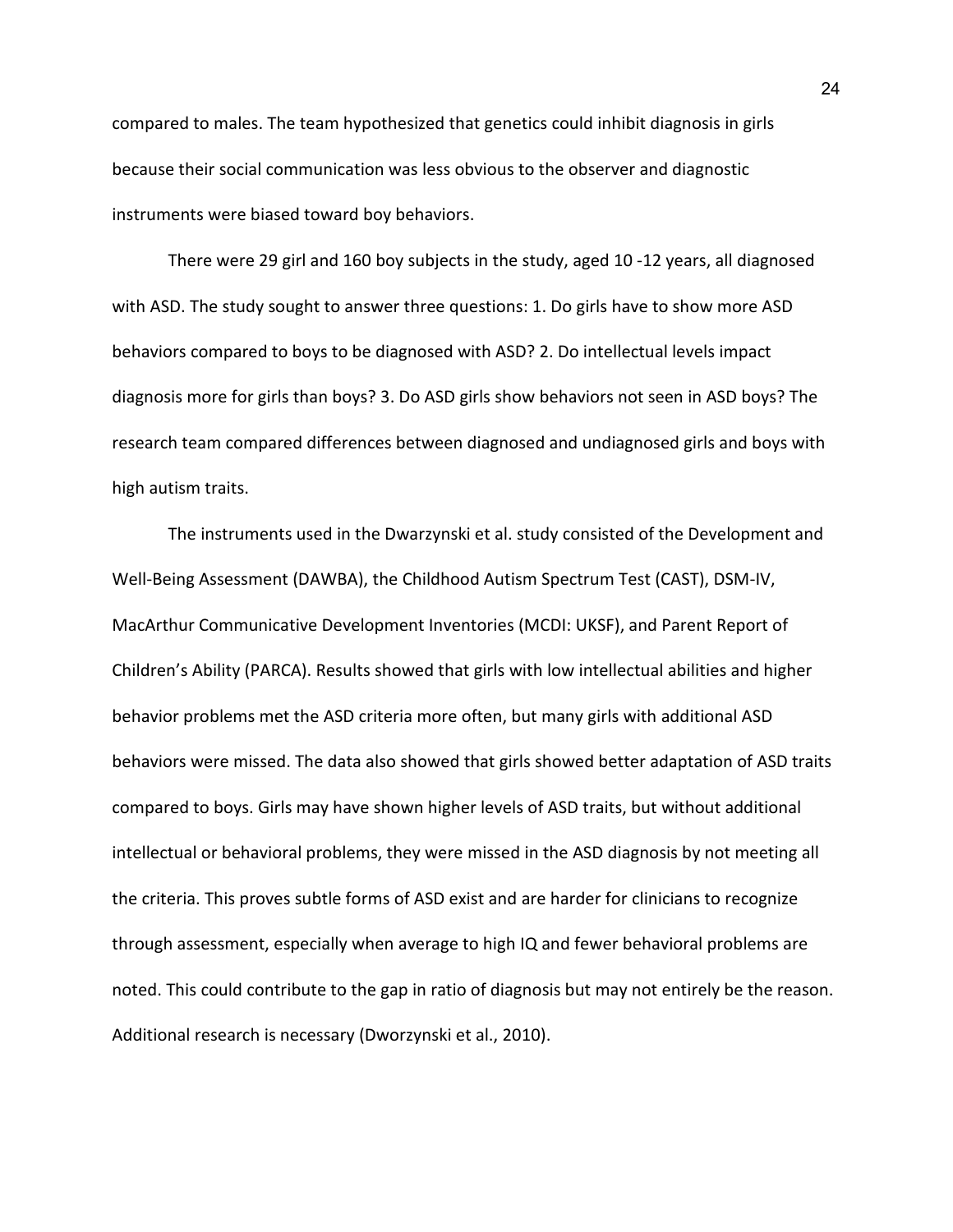compared to males. The team hypothesized that genetics could inhibit diagnosis in girls because their social communication was less obvious to the observer and diagnostic instruments were biased toward boy behaviors.

There were 29 girl and 160 boy subjects in the study, aged 10 -12 years, all diagnosed with ASD. The study sought to answer three questions: 1. Do girls have to show more ASD behaviors compared to boys to be diagnosed with ASD? 2. Do intellectual levels impact diagnosis more for girls than boys? 3. Do ASD girls show behaviors not seen in ASD boys? The research team compared differences between diagnosed and undiagnosed girls and boys with high autism traits.

The instruments used in the Dwarzynski et al. study consisted of the Development and Well-Being Assessment (DAWBA), the Childhood Autism Spectrum Test (CAST), DSM-IV, MacArthur Communicative Development Inventories (MCDI: UKSF), and Parent Report of Children's Ability (PARCA). Results showed that girls with low intellectual abilities and higher behavior problems met the ASD criteria more often, but many girls with additional ASD behaviors were missed. The data also showed that girls showed better adaptation of ASD traits compared to boys. Girls may have shown higher levels of ASD traits, but without additional intellectual or behavioral problems, they were missed in the ASD diagnosis by not meeting all the criteria. This proves subtle forms of ASD exist and are harder for clinicians to recognize through assessment, especially when average to high IQ and fewer behavioral problems are noted. This could contribute to the gap in ratio of diagnosis but may not entirely be the reason. Additional research is necessary (Dworzynski et al., 2010).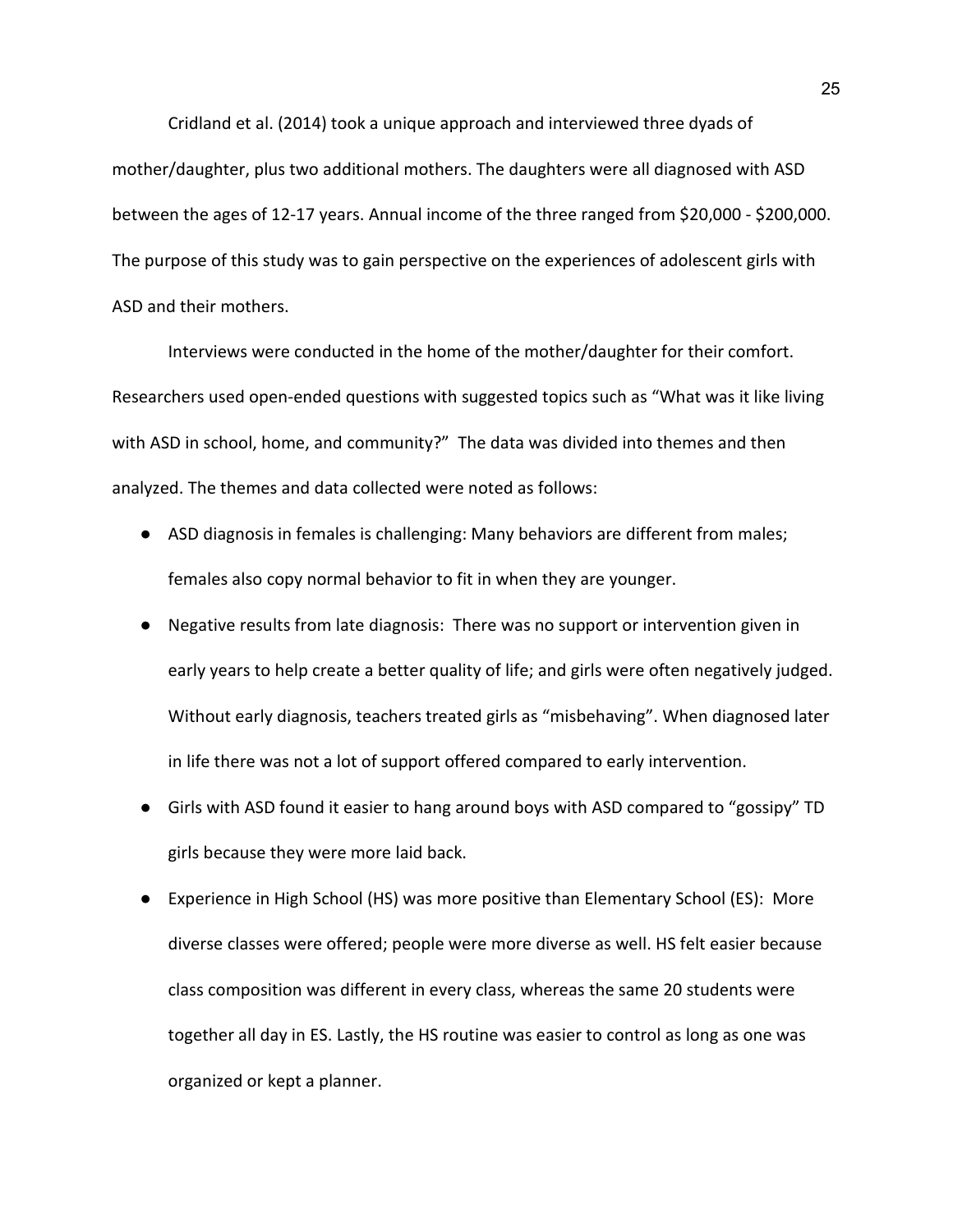Cridland et al. (2014) took a unique approach and interviewed three dyads of mother/daughter, plus two additional mothers. The daughters were all diagnosed with ASD between the ages of 12-17 years. Annual income of the three ranged from \$20,000 - \$200,000. The purpose of this study was to gain perspective on the experiences of adolescent girls with ASD and their mothers.

Interviews were conducted in the home of the mother/daughter for their comfort. Researchers used open-ended questions with suggested topics such as "What was it like living with ASD in school, home, and community?" The data was divided into themes and then analyzed. The themes and data collected were noted as follows:

- ASD diagnosis in females is challenging: Many behaviors are different from males; females also copy normal behavior to fit in when they are younger.
- Negative results from late diagnosis: There was no support or intervention given in early years to help create a better quality of life; and girls were often negatively judged. Without early diagnosis, teachers treated girls as "misbehaving". When diagnosed later in life there was not a lot of support offered compared to early intervention.
- Girls with ASD found it easier to hang around boys with ASD compared to "gossipy" TD girls because they were more laid back.
- Experience in High School (HS) was more positive than Elementary School (ES): More diverse classes were offered; people were more diverse as well. HS felt easier because class composition was different in every class, whereas the same 20 students were together all day in ES. Lastly, the HS routine was easier to control as long as one was organized or kept a planner.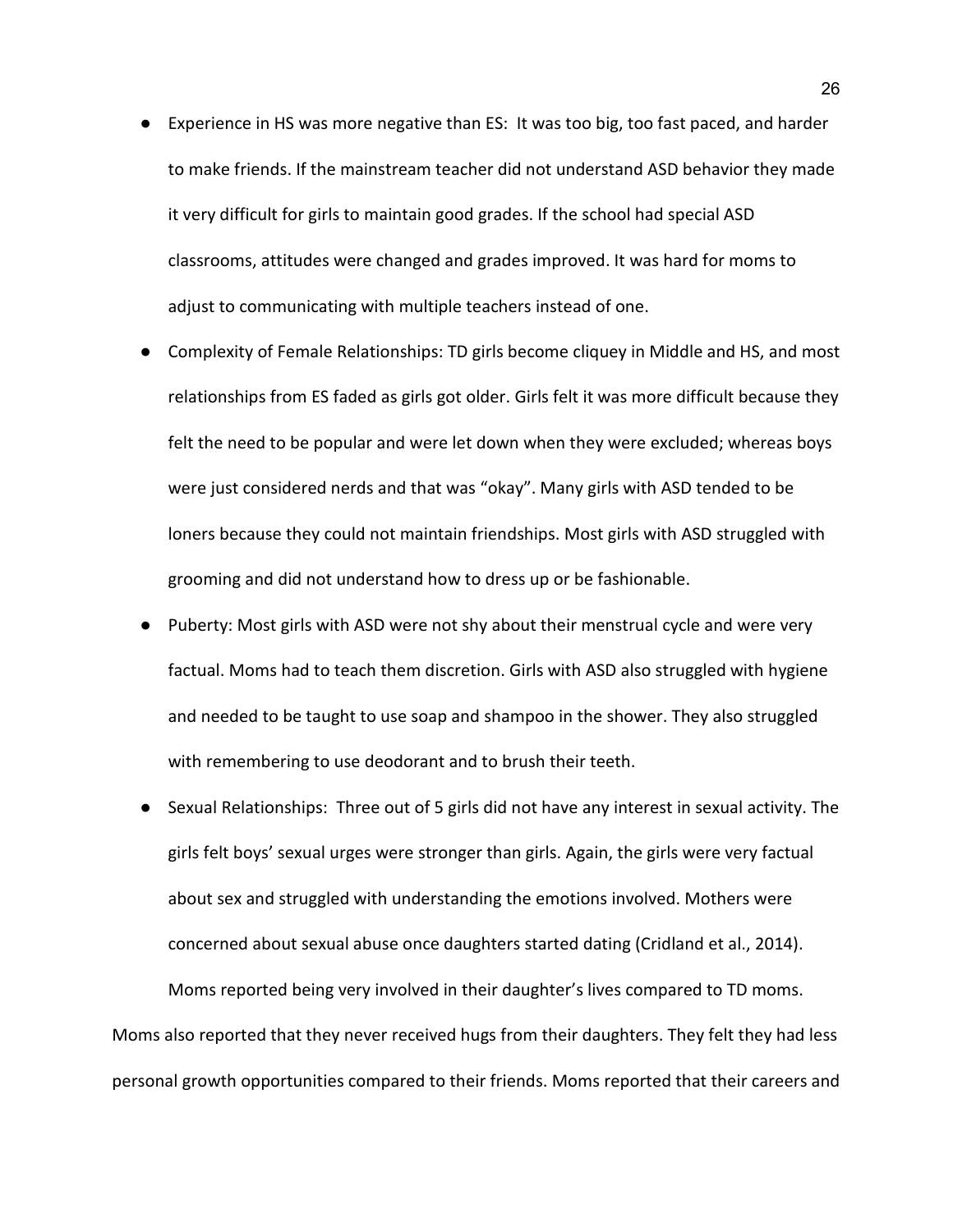- Experience in HS was more negative than ES: It was too big, too fast paced, and harder to make friends. If the mainstream teacher did not understand ASD behavior they made it very difficult for girls to maintain good grades. If the school had special ASD classrooms, attitudes were changed and grades improved. It was hard for moms to adjust to communicating with multiple teachers instead of one.
- Complexity of Female Relationships: TD girls become cliquey in Middle and HS, and most relationships from ES faded as girls got older. Girls felt it was more difficult because they felt the need to be popular and were let down when they were excluded; whereas boys were just considered nerds and that was "okay". Many girls with ASD tended to be loners because they could not maintain friendships. Most girls with ASD struggled with grooming and did not understand how to dress up or be fashionable.
- Puberty: Most girls with ASD were not shy about their menstrual cycle and were very factual. Moms had to teach them discretion. Girls with ASD also struggled with hygiene and needed to be taught to use soap and shampoo in the shower. They also struggled with remembering to use deodorant and to brush their teeth.
- Sexual Relationships: Three out of 5 girls did not have any interest in sexual activity. The girls felt boys' sexual urges were stronger than girls. Again, the girls were very factual about sex and struggled with understanding the emotions involved. Mothers were concerned about sexual abuse once daughters started dating (Cridland et al., 2014). Moms reported being very involved in their daughter's lives compared to TD moms. Moms also reported that they never received hugs from their daughters. They felt they had less personal growth opportunities compared to their friends. Moms reported that their careers and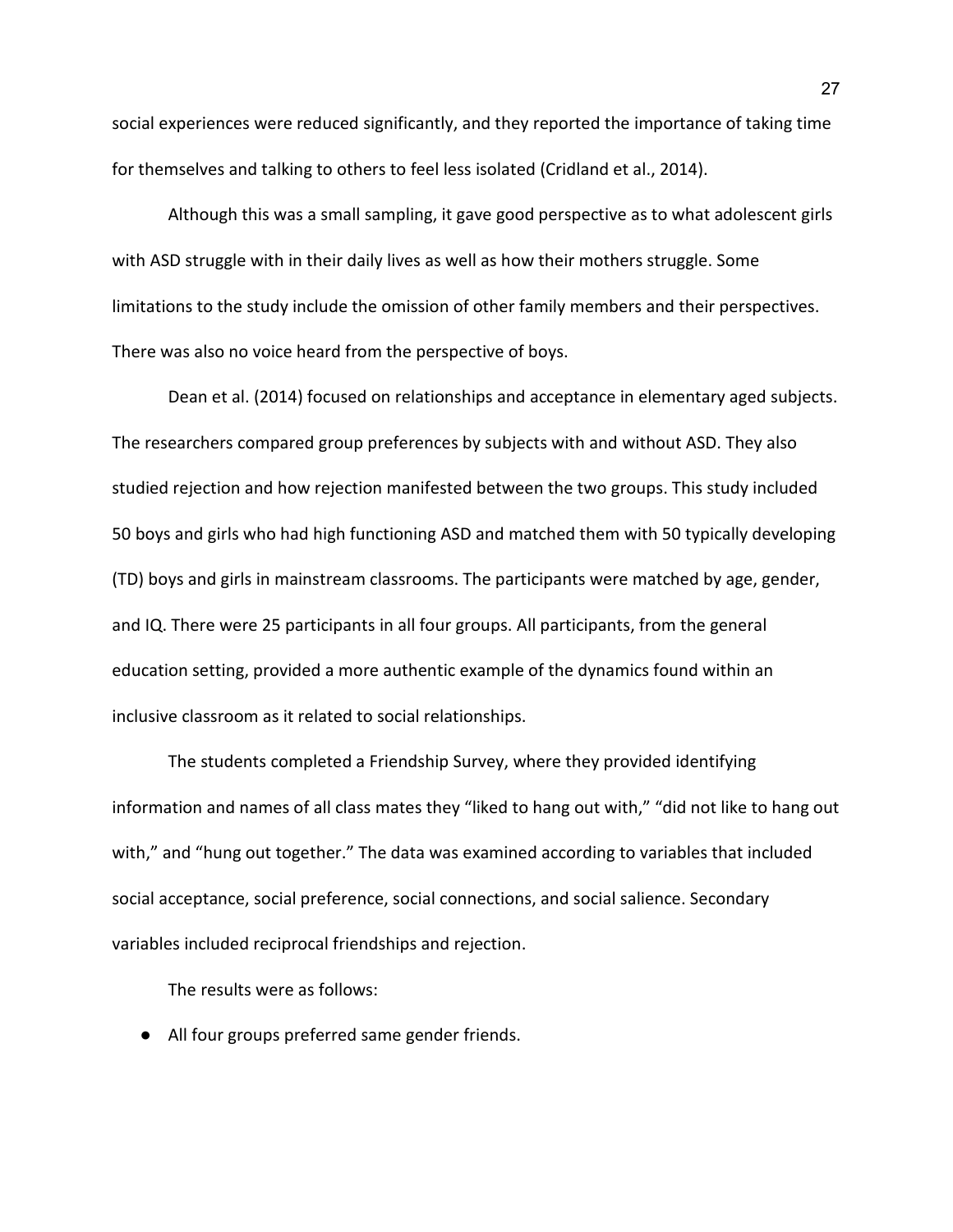social experiences were reduced significantly, and they reported the importance of taking time for themselves and talking to others to feel less isolated (Cridland et al., 2014).

Although this was a small sampling, it gave good perspective as to what adolescent girls with ASD struggle with in their daily lives as well as how their mothers struggle. Some limitations to the study include the omission of other family members and their perspectives. There was also no voice heard from the perspective of boys.

Dean et al. (2014) focused on relationships and acceptance in elementary aged subjects. The researchers compared group preferences by subjects with and without ASD. They also studied rejection and how rejection manifested between the two groups. This study included 50 boys and girls who had high functioning ASD and matched them with 50 typically developing (TD) boys and girls in mainstream classrooms. The participants were matched by age, gender, and IQ. There were 25 participants in all four groups. All participants, from the general education setting, provided a more authentic example of the dynamics found within an inclusive classroom as it related to social relationships.

The students completed a Friendship Survey, where they provided identifying information and names of all class mates they "liked to hang out with," "did not like to hang out with," and "hung out together." The data was examined according to variables that included social acceptance, social preference, social connections, and social salience. Secondary variables included reciprocal friendships and rejection.

The results were as follows:

● All four groups preferred same gender friends.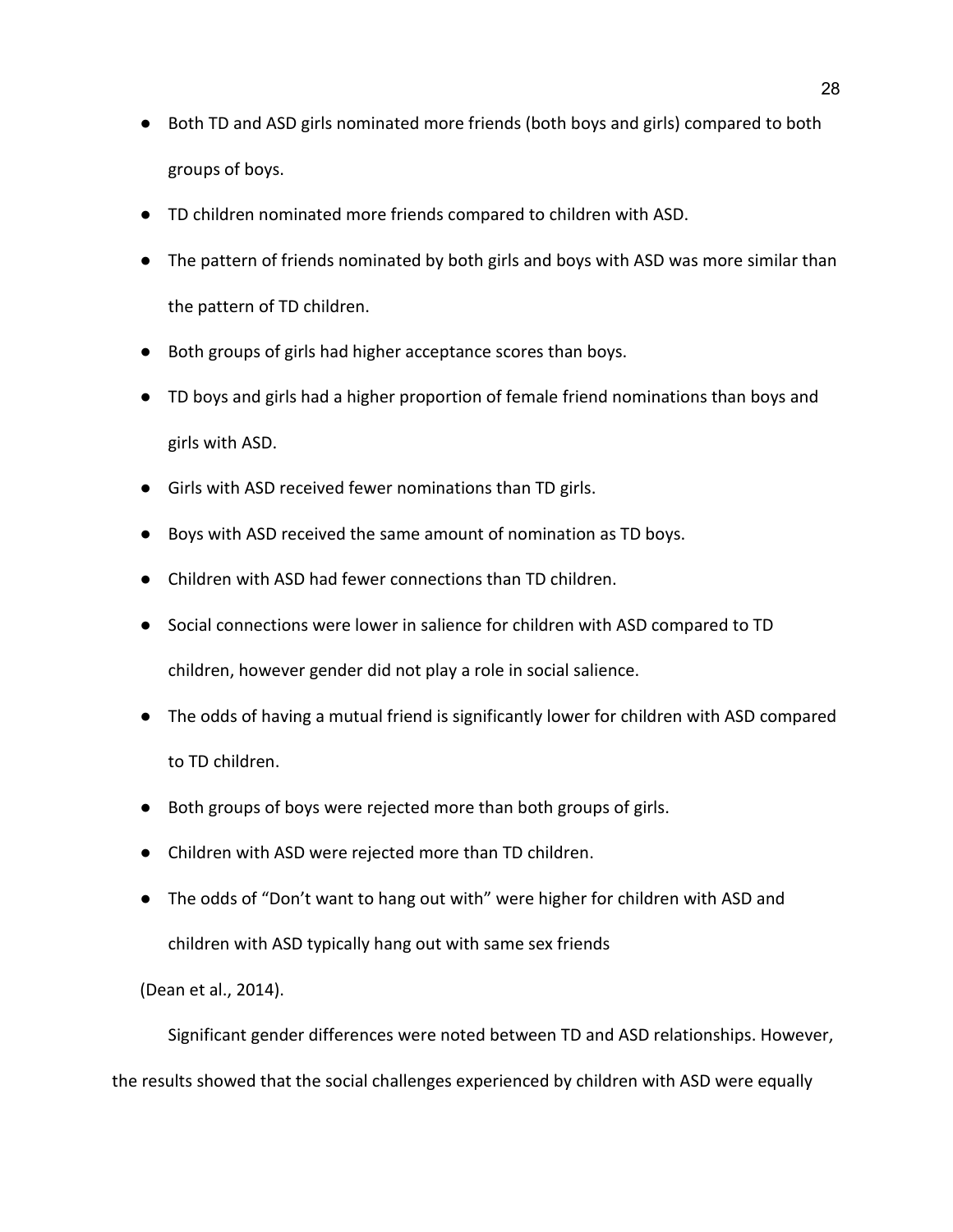- Both TD and ASD girls nominated more friends (both boys and girls) compared to both groups of boys.
- TD children nominated more friends compared to children with ASD.
- The pattern of friends nominated by both girls and boys with ASD was more similar than the pattern of TD children.
- Both groups of girls had higher acceptance scores than boys.
- TD boys and girls had a higher proportion of female friend nominations than boys and girls with ASD.
- Girls with ASD received fewer nominations than TD girls.
- Boys with ASD received the same amount of nomination as TD boys.
- Children with ASD had fewer connections than TD children.
- Social connections were lower in salience for children with ASD compared to TD children, however gender did not play a role in social salience.
- The odds of having a mutual friend is significantly lower for children with ASD compared to TD children.
- Both groups of boys were rejected more than both groups of girls.
- Children with ASD were rejected more than TD children.
- The odds of "Don't want to hang out with" were higher for children with ASD and children with ASD typically hang out with same sex friends

(Dean et al., 2014).

Significant gender differences were noted between TD and ASD relationships. However,

the results showed that the social challenges experienced by children with ASD were equally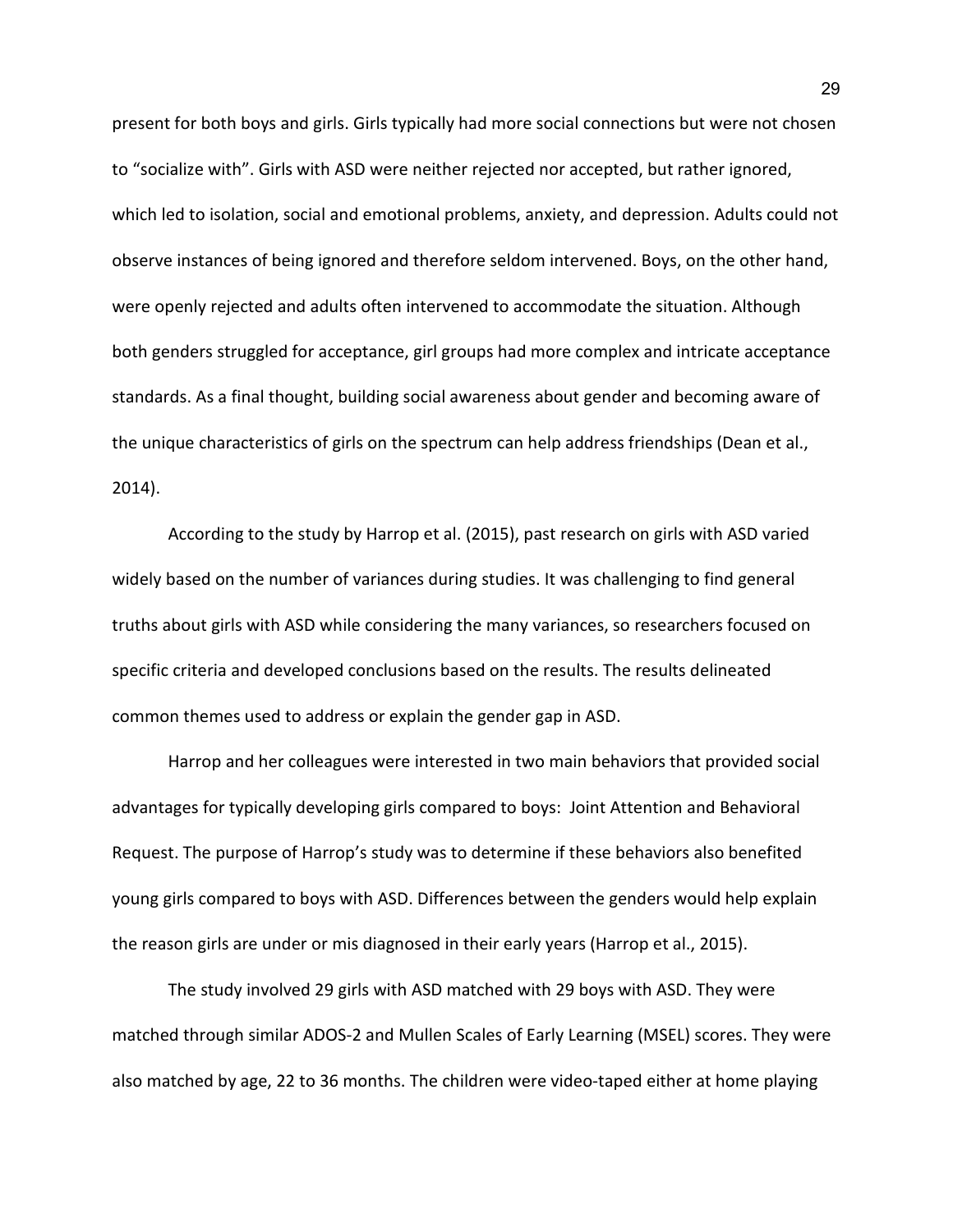present for both boys and girls. Girls typically had more social connections but were not chosen to "socialize with". Girls with ASD were neither rejected nor accepted, but rather ignored, which led to isolation, social and emotional problems, anxiety, and depression. Adults could not observe instances of being ignored and therefore seldom intervened. Boys, on the other hand, were openly rejected and adults often intervened to accommodate the situation. Although both genders struggled for acceptance, girl groups had more complex and intricate acceptance standards. As a final thought, building social awareness about gender and becoming aware of the unique characteristics of girls on the spectrum can help address friendships (Dean et al., 2014).

According to the study by Harrop et al. (2015), past research on girls with ASD varied widely based on the number of variances during studies. It was challenging to find general truths about girls with ASD while considering the many variances, so researchers focused on specific criteria and developed conclusions based on the results. The results delineated common themes used to address or explain the gender gap in ASD.

Harrop and her colleagues were interested in two main behaviors that provided social advantages for typically developing girls compared to boys: Joint Attention and Behavioral Request. The purpose of Harrop's study was to determine if these behaviors also benefited young girls compared to boys with ASD. Differences between the genders would help explain the reason girls are under or mis diagnosed in their early years (Harrop et al., 2015).

 The study involved 29 girls with ASD matched with 29 boys with ASD. They were matched through similar ADOS-2 and Mullen Scales of Early Learning (MSEL) scores. They were also matched by age, 22 to 36 months. The children were video-taped either at home playing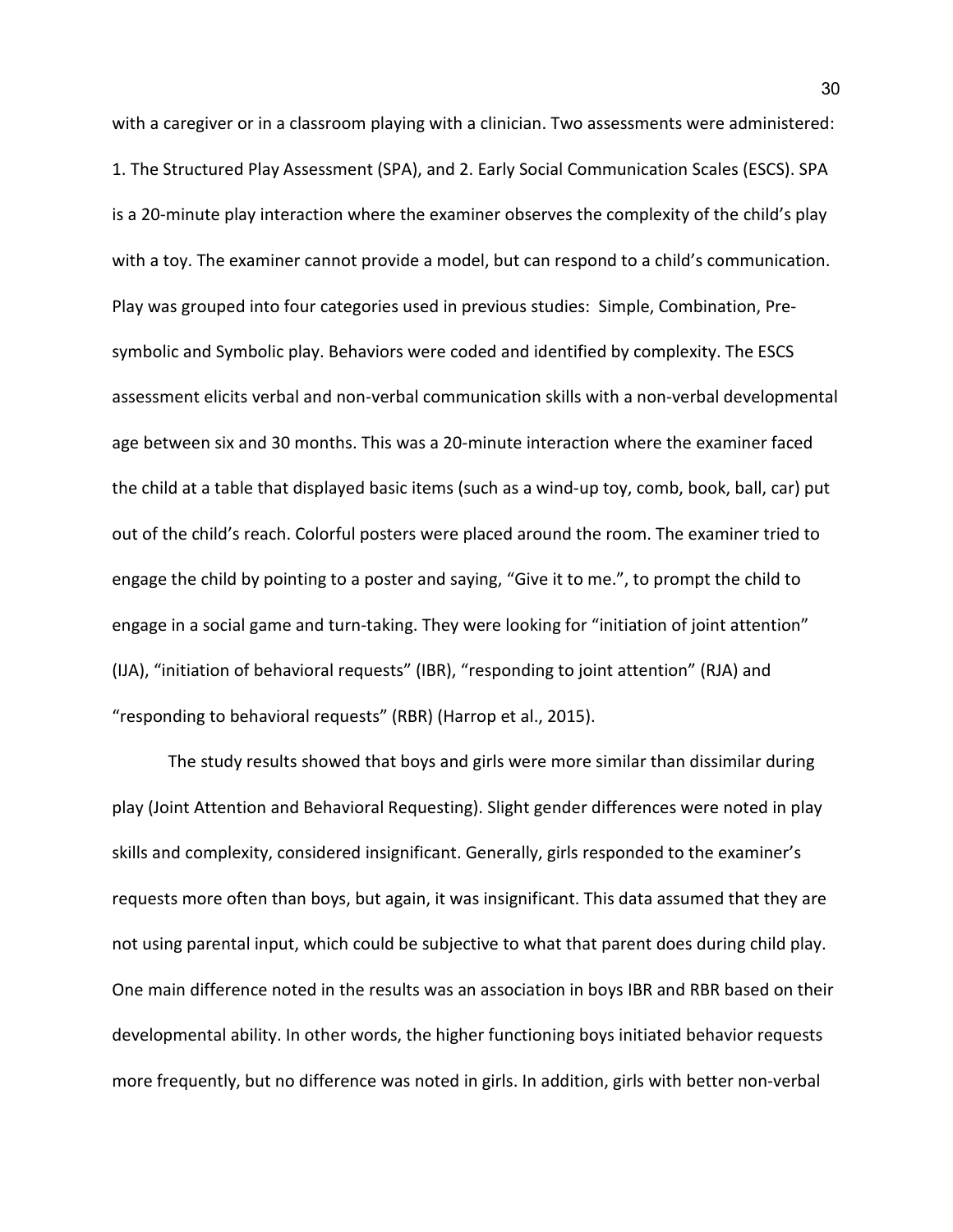with a caregiver or in a classroom playing with a clinician. Two assessments were administered: 1. The Structured Play Assessment (SPA), and 2. Early Social Communication Scales (ESCS). SPA is a 20-minute play interaction where the examiner observes the complexity of the child's play with a toy. The examiner cannot provide a model, but can respond to a child's communication. Play was grouped into four categories used in previous studies: Simple, Combination, Presymbolic and Symbolic play. Behaviors were coded and identified by complexity. The ESCS assessment elicits verbal and non-verbal communication skills with a non-verbal developmental age between six and 30 months. This was a 20-minute interaction where the examiner faced the child at a table that displayed basic items (such as a wind-up toy, comb, book, ball, car) put out of the child's reach. Colorful posters were placed around the room. The examiner tried to engage the child by pointing to a poster and saying, "Give it to me.", to prompt the child to engage in a social game and turn-taking. They were looking for "initiation of joint attention" (IJA), "initiation of behavioral requests" (IBR), "responding to joint attention" (RJA) and "responding to behavioral requests" (RBR) (Harrop et al., 2015).

 The study results showed that boys and girls were more similar than dissimilar during play (Joint Attention and Behavioral Requesting). Slight gender differences were noted in play skills and complexity, considered insignificant. Generally, girls responded to the examiner's requests more often than boys, but again, it was insignificant. This data assumed that they are not using parental input, which could be subjective to what that parent does during child play. One main difference noted in the results was an association in boys IBR and RBR based on their developmental ability. In other words, the higher functioning boys initiated behavior requests more frequently, but no difference was noted in girls. In addition, girls with better non-verbal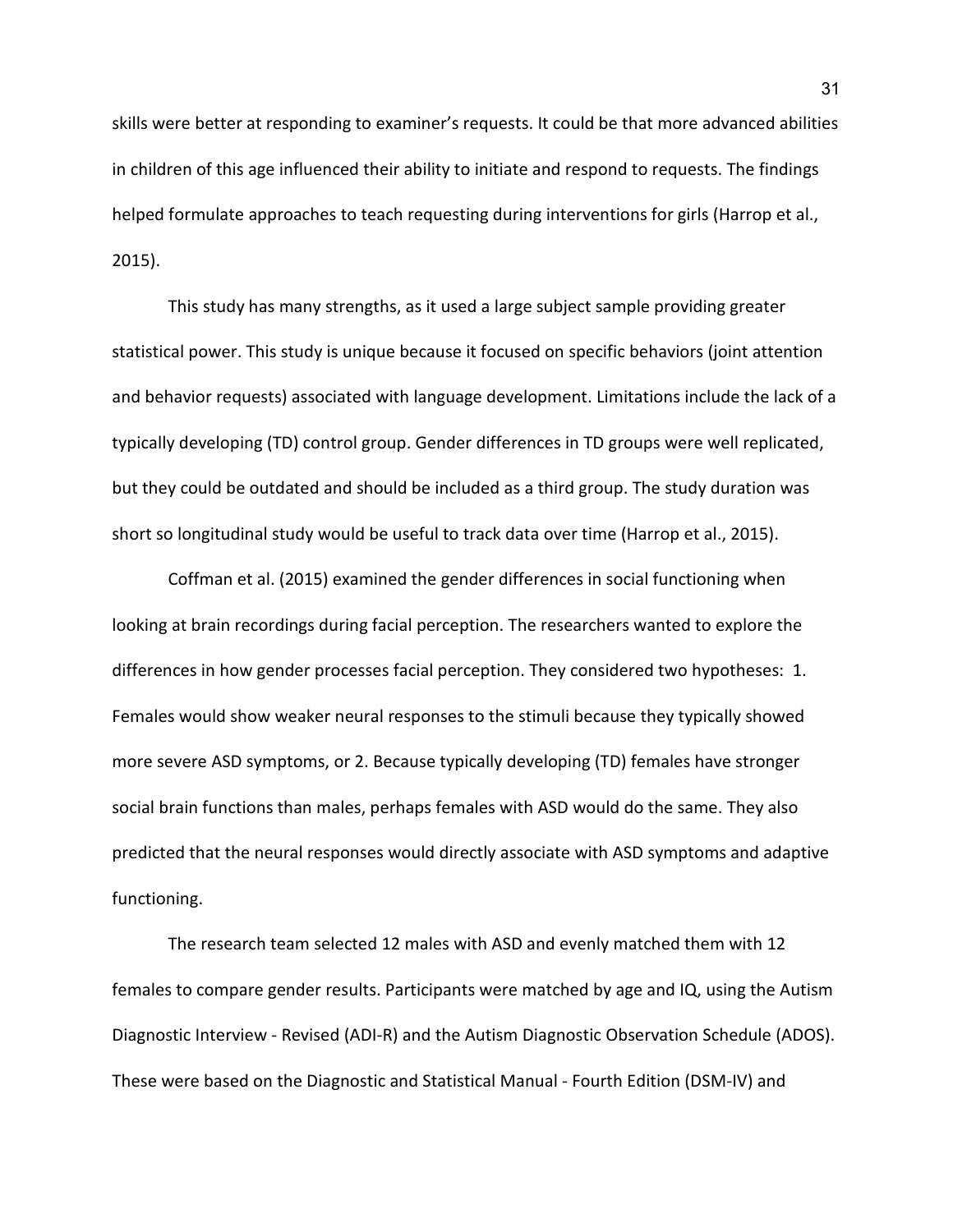skills were better at responding to examiner's requests. It could be that more advanced abilities in children of this age influenced their ability to initiate and respond to requests. The findings helped formulate approaches to teach requesting during interventions for girls (Harrop et al., 2015).

 This study has many strengths, as it used a large subject sample providing greater statistical power. This study is unique because it focused on specific behaviors (joint attention and behavior requests) associated with language development. Limitations include the lack of a typically developing (TD) control group. Gender differences in TD groups were well replicated, but they could be outdated and should be included as a third group. The study duration was short so longitudinal study would be useful to track data over time (Harrop et al., 2015).

Coffman et al. (2015) examined the gender differences in social functioning when looking at brain recordings during facial perception. The researchers wanted to explore the differences in how gender processes facial perception. They considered two hypotheses: 1. Females would show weaker neural responses to the stimuli because they typically showed more severe ASD symptoms, or 2. Because typically developing (TD) females have stronger social brain functions than males, perhaps females with ASD would do the same. They also predicted that the neural responses would directly associate with ASD symptoms and adaptive functioning.

The research team selected 12 males with ASD and evenly matched them with 12 females to compare gender results. Participants were matched by age and IQ, using the Autism Diagnostic Interview - Revised (ADI-R) and the Autism Diagnostic Observation Schedule (ADOS). These were based on the Diagnostic and Statistical Manual - Fourth Edition (DSM-IV) and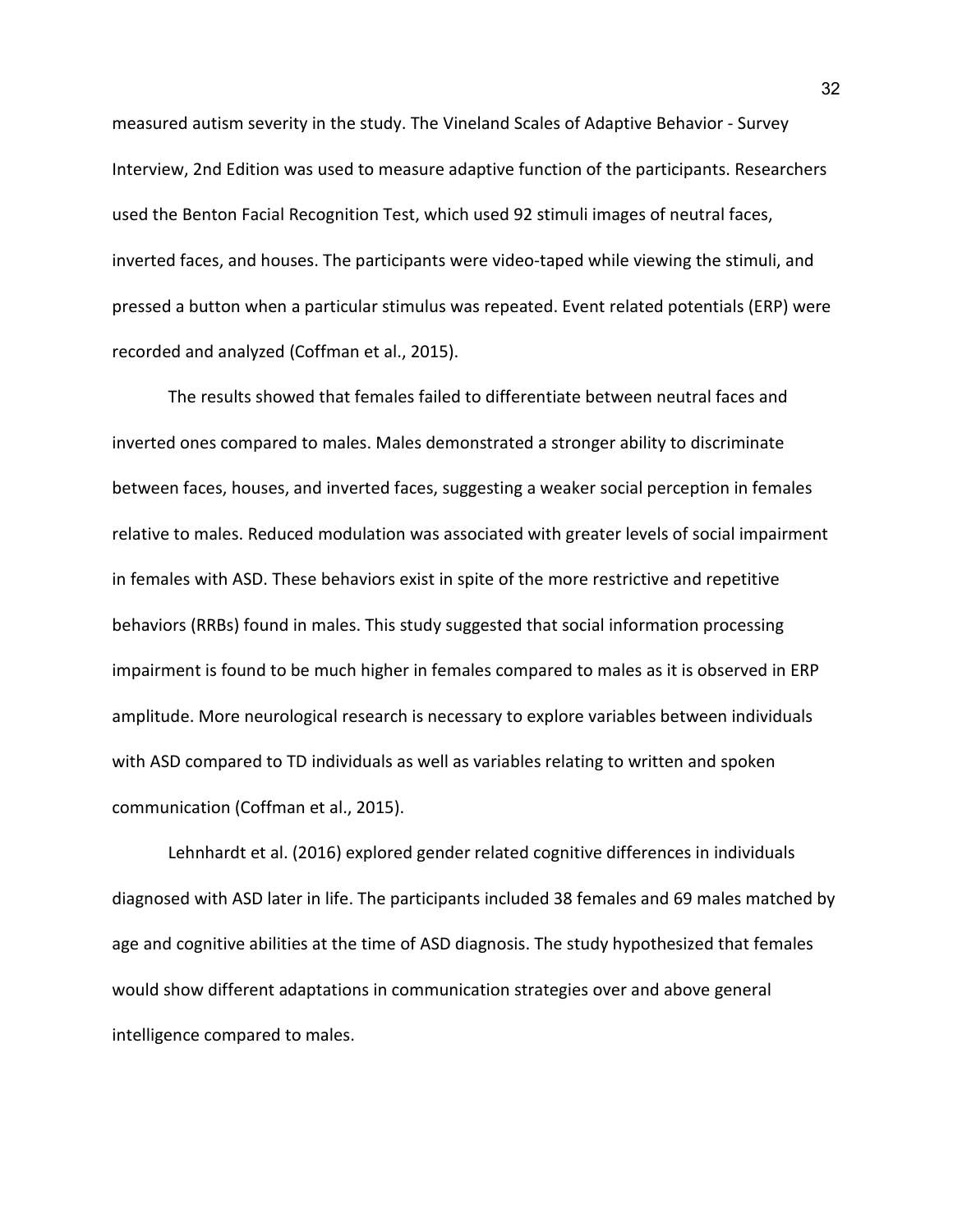measured autism severity in the study. The Vineland Scales of Adaptive Behavior - Survey Interview, 2nd Edition was used to measure adaptive function of the participants. Researchers used the Benton Facial Recognition Test, which used 92 stimuli images of neutral faces, inverted faces, and houses. The participants were video-taped while viewing the stimuli, and pressed a button when a particular stimulus was repeated. Event related potentials (ERP) were recorded and analyzed (Coffman et al., 2015).

The results showed that females failed to differentiate between neutral faces and inverted ones compared to males. Males demonstrated a stronger ability to discriminate between faces, houses, and inverted faces, suggesting a weaker social perception in females relative to males. Reduced modulation was associated with greater levels of social impairment in females with ASD. These behaviors exist in spite of the more restrictive and repetitive behaviors (RRBs) found in males. This study suggested that social information processing impairment is found to be much higher in females compared to males as it is observed in ERP amplitude. More neurological research is necessary to explore variables between individuals with ASD compared to TD individuals as well as variables relating to written and spoken communication (Coffman et al., 2015).

Lehnhardt et al. (2016) explored gender related cognitive differences in individuals diagnosed with ASD later in life. The participants included 38 females and 69 males matched by age and cognitive abilities at the time of ASD diagnosis. The study hypothesized that females would show different adaptations in communication strategies over and above general intelligence compared to males.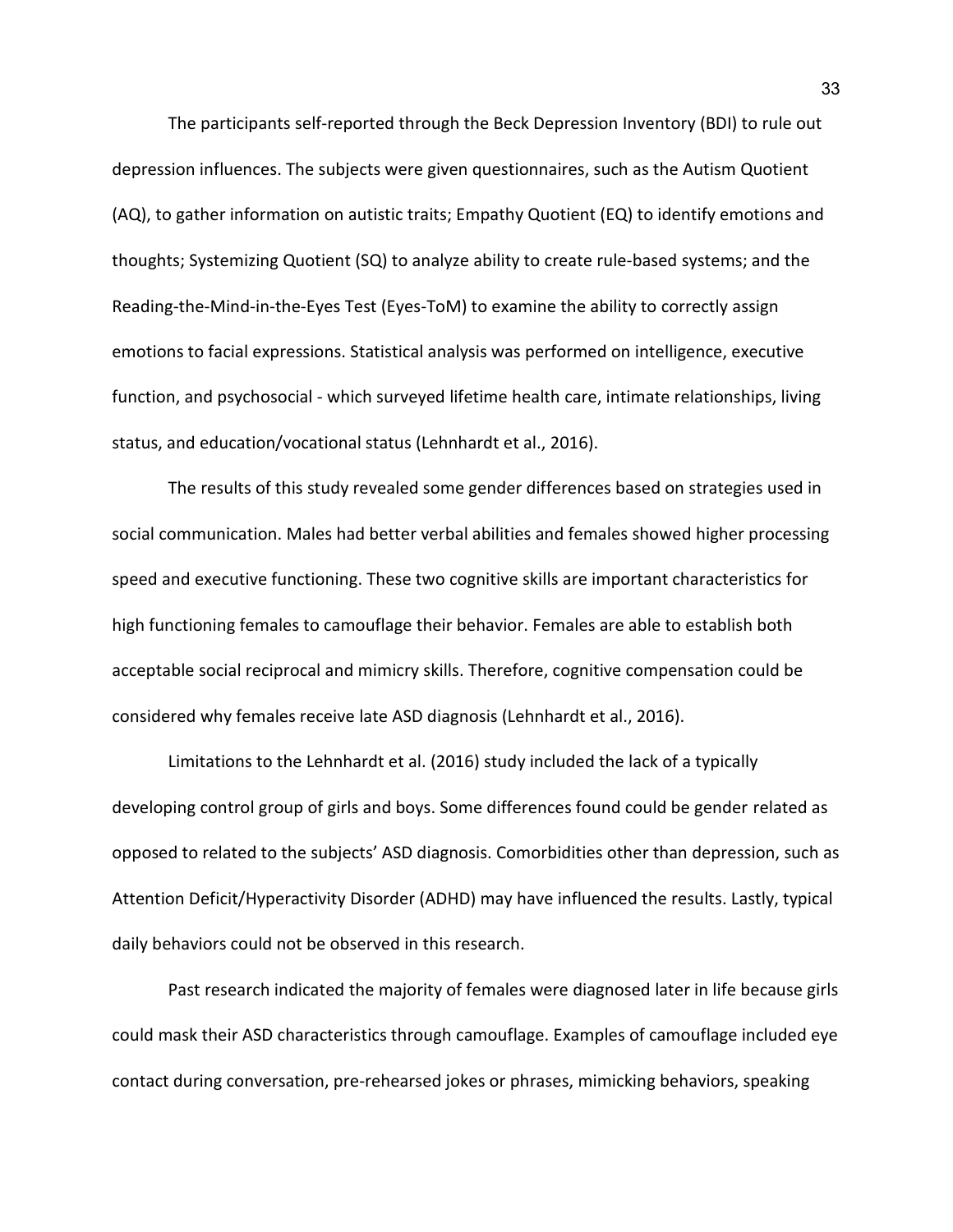The participants self-reported through the Beck Depression Inventory (BDI) to rule out depression influences. The subjects were given questionnaires, such as the Autism Quotient (AQ), to gather information on autistic traits; Empathy Quotient (EQ) to identify emotions and thoughts; Systemizing Quotient (SQ) to analyze ability to create rule-based systems; and the Reading-the-Mind-in-the-Eyes Test (Eyes-ToM) to examine the ability to correctly assign emotions to facial expressions. Statistical analysis was performed on intelligence, executive function, and psychosocial - which surveyed lifetime health care, intimate relationships, living status, and education/vocational status (Lehnhardt et al., 2016).

The results of this study revealed some gender differences based on strategies used in social communication. Males had better verbal abilities and females showed higher processing speed and executive functioning. These two cognitive skills are important characteristics for high functioning females to camouflage their behavior. Females are able to establish both acceptable social reciprocal and mimicry skills. Therefore, cognitive compensation could be considered why females receive late ASD diagnosis (Lehnhardt et al., 2016).

Limitations to the Lehnhardt et al. (2016) study included the lack of a typically developing control group of girls and boys. Some differences found could be gender related as opposed to related to the subjects' ASD diagnosis. Comorbidities other than depression, such as Attention Deficit/Hyperactivity Disorder (ADHD) may have influenced the results. Lastly, typical daily behaviors could not be observed in this research.

Past research indicated the majority of females were diagnosed later in life because girls could mask their ASD characteristics through camouflage. Examples of camouflage included eye contact during conversation, pre-rehearsed jokes or phrases, mimicking behaviors, speaking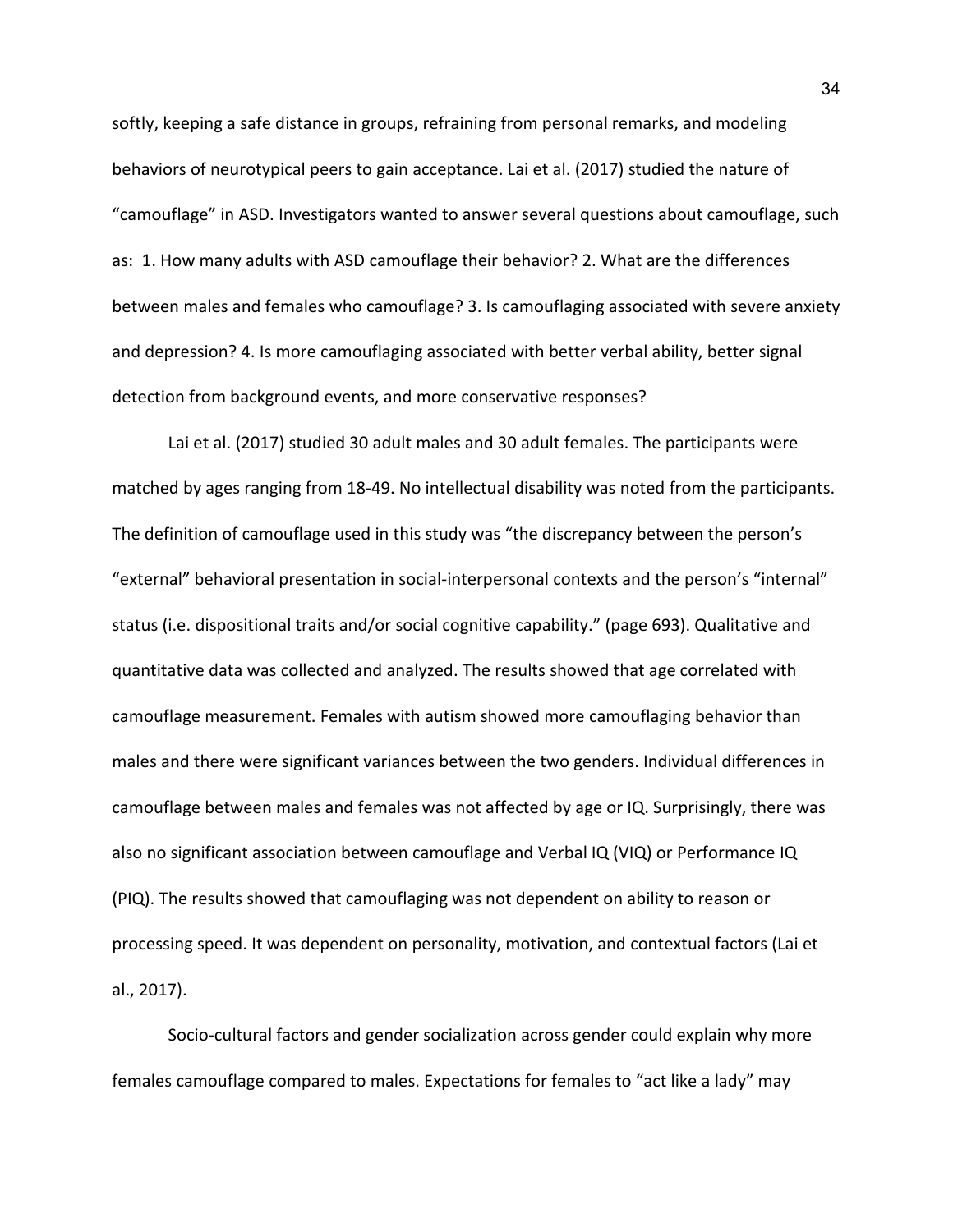softly, keeping a safe distance in groups, refraining from personal remarks, and modeling behaviors of neurotypical peers to gain acceptance. Lai et al. (2017) studied the nature of "camouflage" in ASD. Investigators wanted to answer several questions about camouflage, such as: 1. How many adults with ASD camouflage their behavior? 2. What are the differences between males and females who camouflage? 3. Is camouflaging associated with severe anxiety and depression? 4. Is more camouflaging associated with better verbal ability, better signal detection from background events, and more conservative responses?

Lai et al. (2017) studied 30 adult males and 30 adult females. The participants were matched by ages ranging from 18-49. No intellectual disability was noted from the participants. The definition of camouflage used in this study was "the discrepancy between the person's "external" behavioral presentation in social-interpersonal contexts and the person's "internal" status (i.e. dispositional traits and/or social cognitive capability." (page 693). Qualitative and quantitative data was collected and analyzed. The results showed that age correlated with camouflage measurement. Females with autism showed more camouflaging behavior than males and there were significant variances between the two genders. Individual differences in camouflage between males and females was not affected by age or IQ. Surprisingly, there was also no significant association between camouflage and Verbal IQ (VIQ) or Performance IQ (PIQ). The results showed that camouflaging was not dependent on ability to reason or processing speed. It was dependent on personality, motivation, and contextual factors (Lai et al., 2017).

Socio-cultural factors and gender socialization across gender could explain why more females camouflage compared to males. Expectations for females to "act like a lady" may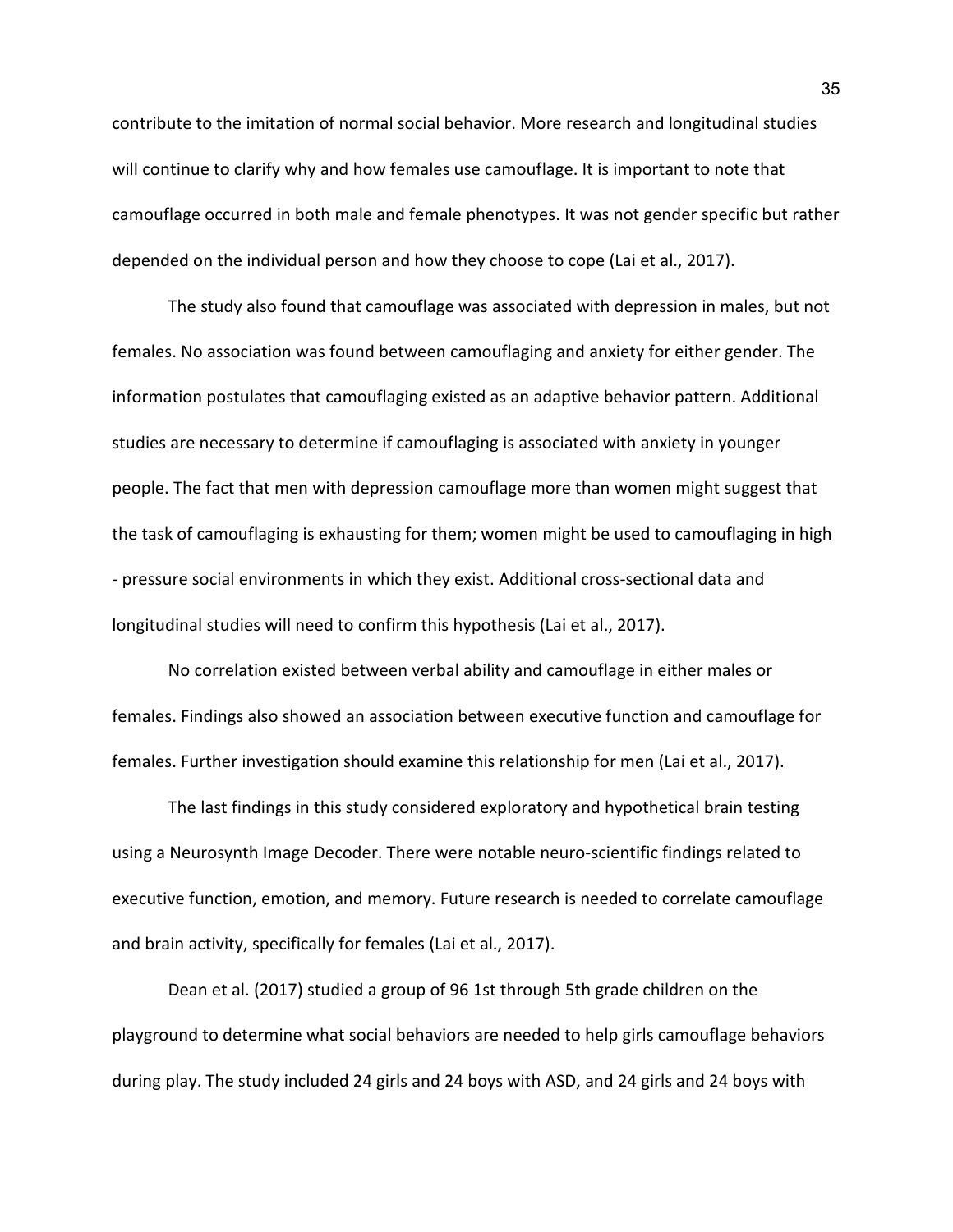contribute to the imitation of normal social behavior. More research and longitudinal studies will continue to clarify why and how females use camouflage. It is important to note that camouflage occurred in both male and female phenotypes. It was not gender specific but rather depended on the individual person and how they choose to cope (Lai et al., 2017).

The study also found that camouflage was associated with depression in males, but not females. No association was found between camouflaging and anxiety for either gender. The information postulates that camouflaging existed as an adaptive behavior pattern. Additional studies are necessary to determine if camouflaging is associated with anxiety in younger people. The fact that men with depression camouflage more than women might suggest that the task of camouflaging is exhausting for them; women might be used to camouflaging in high - pressure social environments in which they exist. Additional cross-sectional data and longitudinal studies will need to confirm this hypothesis (Lai et al., 2017).

No correlation existed between verbal ability and camouflage in either males or females. Findings also showed an association between executive function and camouflage for females. Further investigation should examine this relationship for men (Lai et al., 2017).

The last findings in this study considered exploratory and hypothetical brain testing using a Neurosynth Image Decoder. There were notable neuro-scientific findings related to executive function, emotion, and memory. Future research is needed to correlate camouflage and brain activity, specifically for females (Lai et al., 2017).

Dean et al. (2017) studied a group of 96 1st through 5th grade children on the playground to determine what social behaviors are needed to help girls camouflage behaviors during play. The study included 24 girls and 24 boys with ASD, and 24 girls and 24 boys with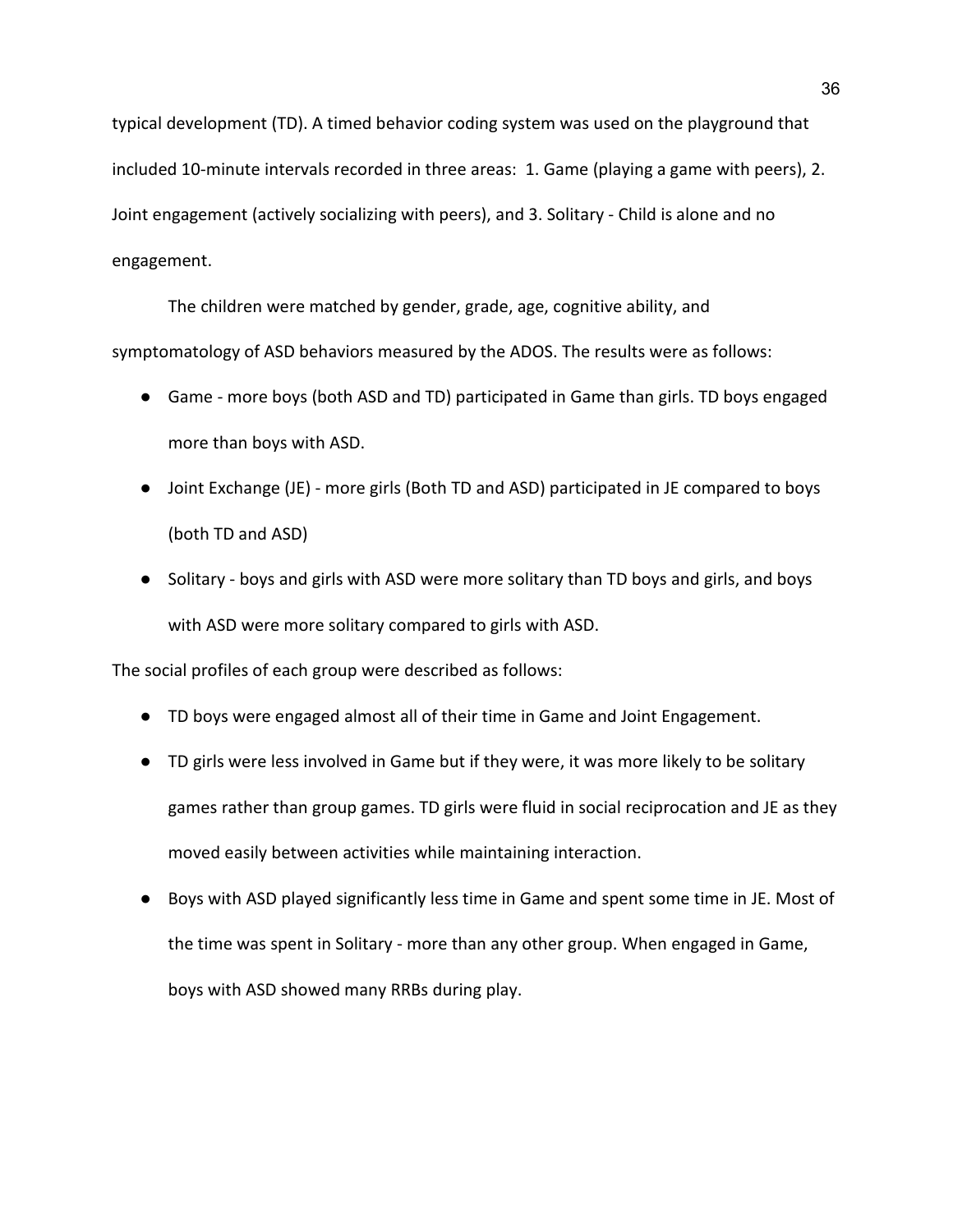typical development (TD). A timed behavior coding system was used on the playground that included 10-minute intervals recorded in three areas: 1. Game (playing a game with peers), 2. Joint engagement (actively socializing with peers), and 3. Solitary - Child is alone and no engagement.

The children were matched by gender, grade, age, cognitive ability, and symptomatology of ASD behaviors measured by the ADOS. The results were as follows:

- Game more boys (both ASD and TD) participated in Game than girls. TD boys engaged more than boys with ASD.
- Joint Exchange (JE) more girls (Both TD and ASD) participated in JE compared to boys (both TD and ASD)
- Solitary boys and girls with ASD were more solitary than TD boys and girls, and boys with ASD were more solitary compared to girls with ASD.

The social profiles of each group were described as follows:

- TD boys were engaged almost all of their time in Game and Joint Engagement.
- TD girls were less involved in Game but if they were, it was more likely to be solitary games rather than group games. TD girls were fluid in social reciprocation and JE as they moved easily between activities while maintaining interaction.
- Boys with ASD played significantly less time in Game and spent some time in JE. Most of the time was spent in Solitary - more than any other group. When engaged in Game, boys with ASD showed many RRBs during play.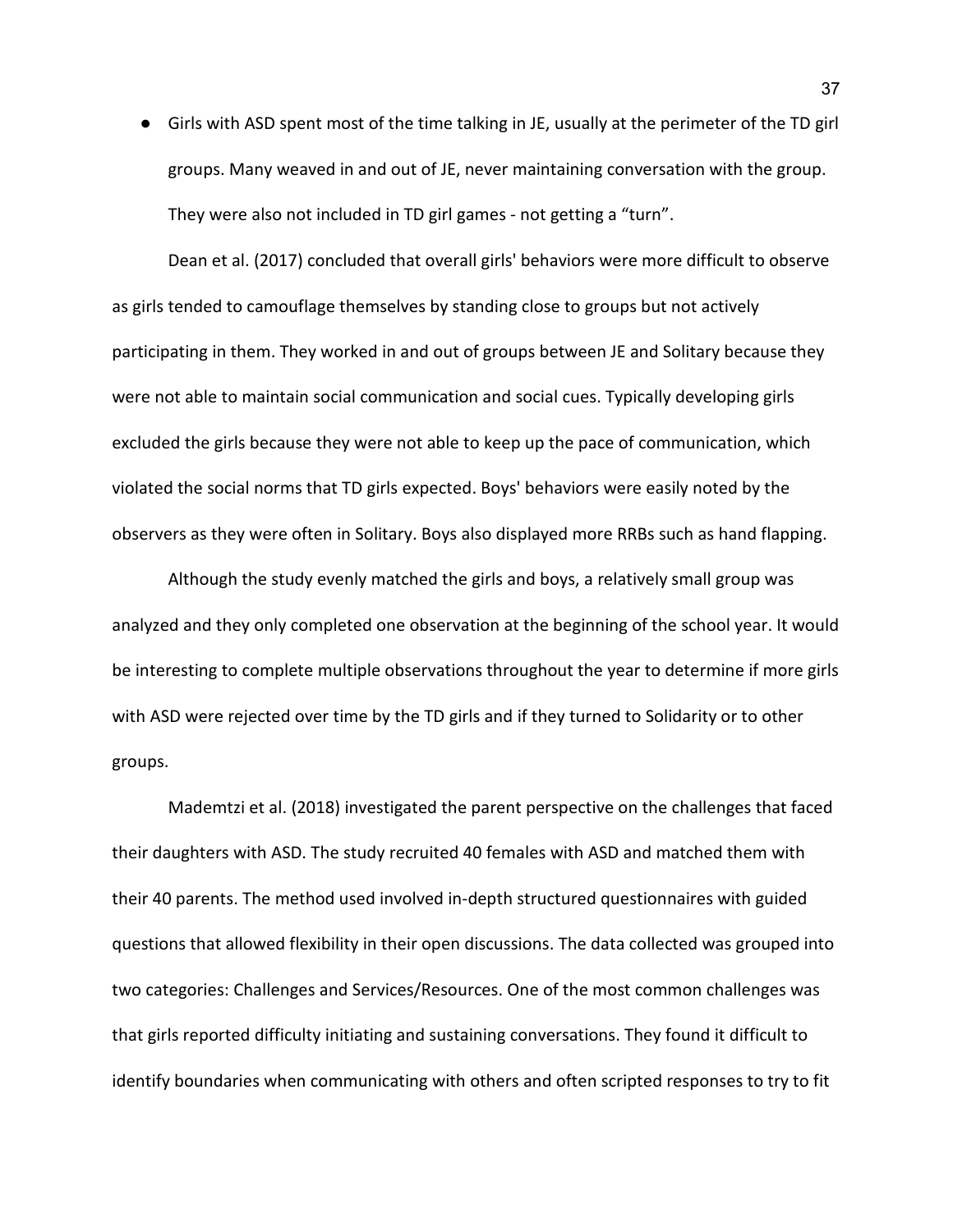● Girls with ASD spent most of the time talking in JE, usually at the perimeter of the TD girl groups. Many weaved in and out of JE, never maintaining conversation with the group. They were also not included in TD girl games - not getting a "turn".

Dean et al. (2017) concluded that overall girls' behaviors were more difficult to observe as girls tended to camouflage themselves by standing close to groups but not actively participating in them. They worked in and out of groups between JE and Solitary because they were not able to maintain social communication and social cues. Typically developing girls excluded the girls because they were not able to keep up the pace of communication, which violated the social norms that TD girls expected. Boys' behaviors were easily noted by the observers as they were often in Solitary. Boys also displayed more RRBs such as hand flapping.

Although the study evenly matched the girls and boys, a relatively small group was analyzed and they only completed one observation at the beginning of the school year. It would be interesting to complete multiple observations throughout the year to determine if more girls with ASD were rejected over time by the TD girls and if they turned to Solidarity or to other groups.

Mademtzi et al. (2018) investigated the parent perspective on the challenges that faced their daughters with ASD. The study recruited 40 females with ASD and matched them with their 40 parents. The method used involved in-depth structured questionnaires with guided questions that allowed flexibility in their open discussions. The data collected was grouped into two categories: Challenges and Services/Resources. One of the most common challenges was that girls reported difficulty initiating and sustaining conversations. They found it difficult to identify boundaries when communicating with others and often scripted responses to try to fit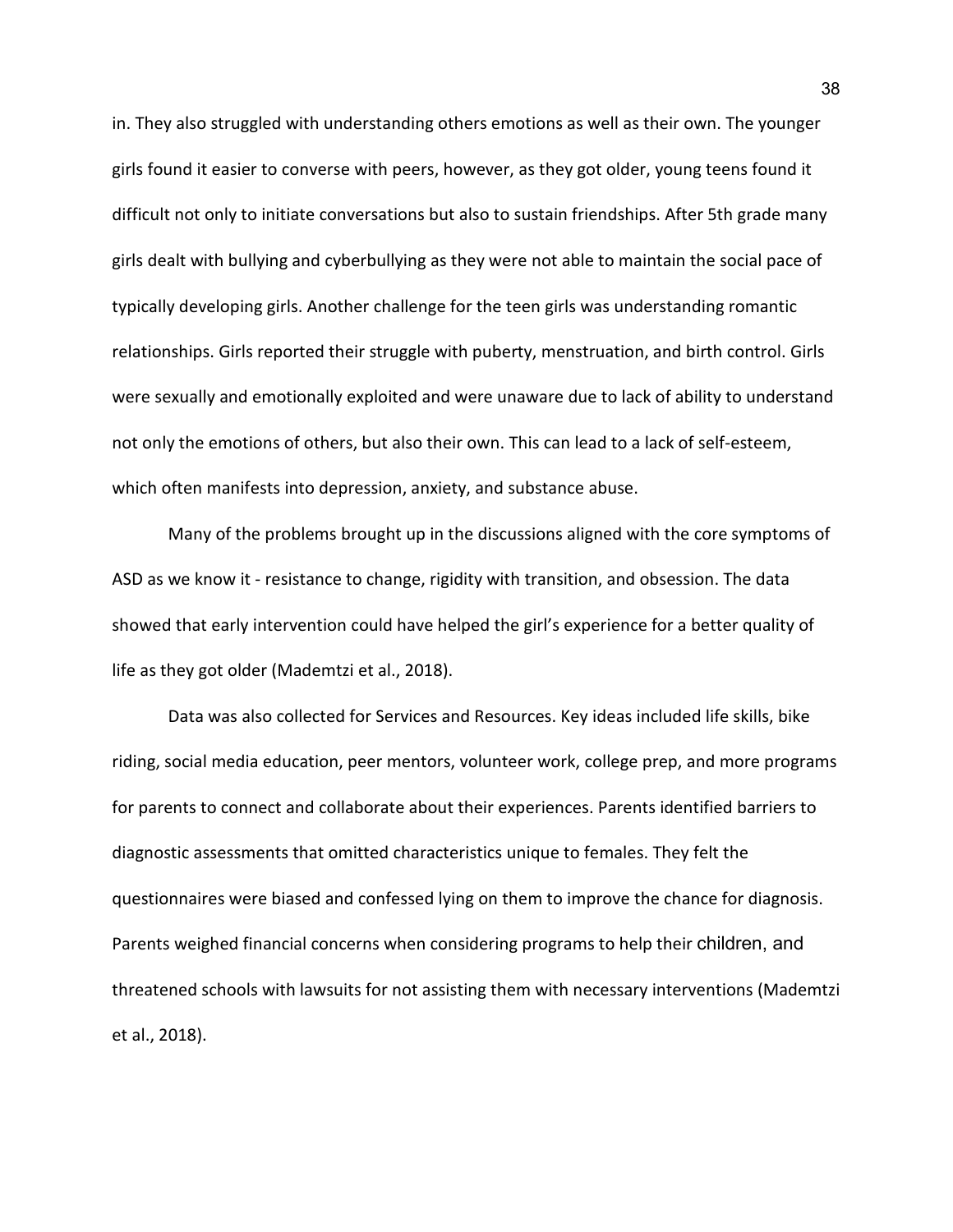in. They also struggled with understanding others emotions as well as their own. The younger girls found it easier to converse with peers, however, as they got older, young teens found it difficult not only to initiate conversations but also to sustain friendships. After 5th grade many girls dealt with bullying and cyberbullying as they were not able to maintain the social pace of typically developing girls. Another challenge for the teen girls was understanding romantic relationships. Girls reported their struggle with puberty, menstruation, and birth control. Girls were sexually and emotionally exploited and were unaware due to lack of ability to understand not only the emotions of others, but also their own. This can lead to a lack of self-esteem, which often manifests into depression, anxiety, and substance abuse.

Many of the problems brought up in the discussions aligned with the core symptoms of ASD as we know it - resistance to change, rigidity with transition, and obsession. The data showed that early intervention could have helped the girl's experience for a better quality of life as they got older (Mademtzi et al., 2018).

Data was also collected for Services and Resources. Key ideas included life skills, bike riding, social media education, peer mentors, volunteer work, college prep, and more programs for parents to connect and collaborate about their experiences. Parents identified barriers to diagnostic assessments that omitted characteristics unique to females. They felt the questionnaires were biased and confessed lying on them to improve the chance for diagnosis. Parents weighed financial concerns when considering programs to help their children, and threatened schools with lawsuits for not assisting them with necessary interventions (Mademtzi et al., 2018).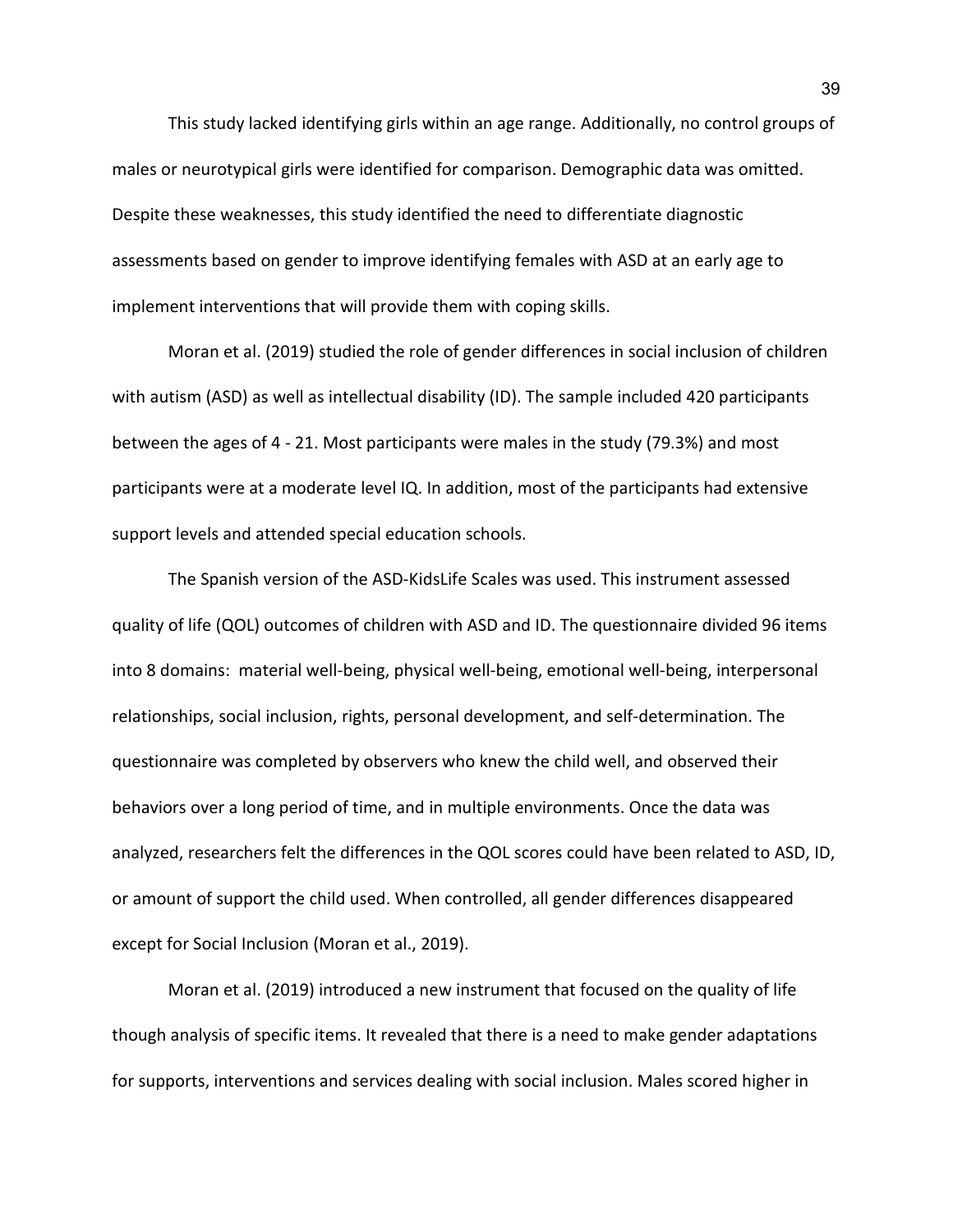This study lacked identifying girls within an age range. Additionally, no control groups of males or neurotypical girls were identified for comparison. Demographic data was omitted. Despite these weaknesses, this study identified the need to differentiate diagnostic assessments based on gender to improve identifying females with ASD at an early age to implement interventions that will provide them with coping skills.

Moran et al. (2019) studied the role of gender differences in social inclusion of children with autism (ASD) as well as intellectual disability (ID). The sample included 420 participants between the ages of 4 - 21. Most participants were males in the study (79.3%) and most participants were at a moderate level IQ. In addition, most of the participants had extensive support levels and attended special education schools.

The Spanish version of the ASD-KidsLife Scales was used. This instrument assessed quality of life (QOL) outcomes of children with ASD and ID. The questionnaire divided 96 items into 8 domains: material well-being, physical well-being, emotional well-being, interpersonal relationships, social inclusion, rights, personal development, and self-determination. The questionnaire was completed by observers who knew the child well, and observed their behaviors over a long period of time, and in multiple environments. Once the data was analyzed, researchers felt the differences in the QOL scores could have been related to ASD, ID, or amount of support the child used. When controlled, all gender differences disappeared except for Social Inclusion (Moran et al., 2019).

Moran et al. (2019) introduced a new instrument that focused on the quality of life though analysis of specific items. It revealed that there is a need to make gender adaptations for supports, interventions and services dealing with social inclusion. Males scored higher in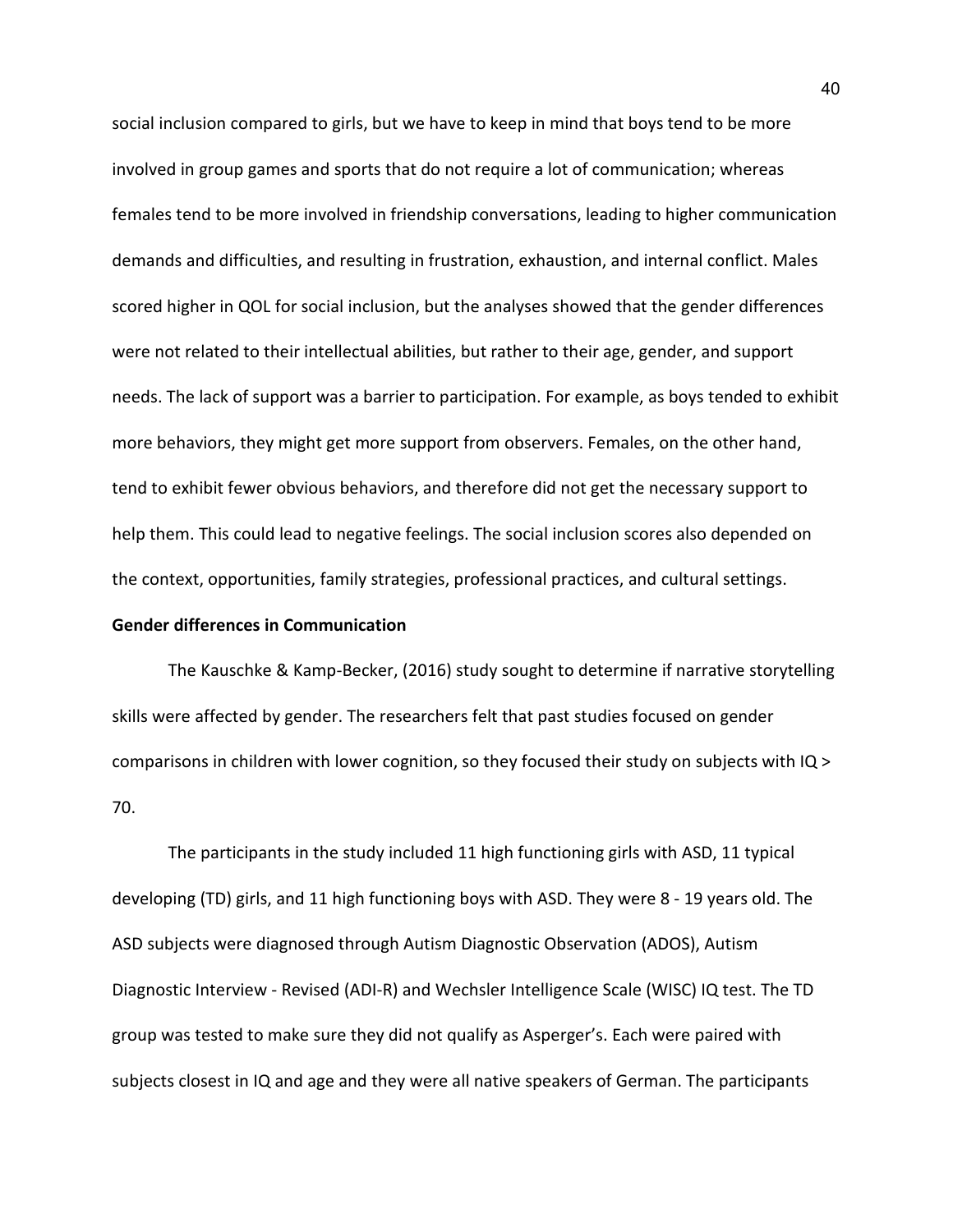social inclusion compared to girls, but we have to keep in mind that boys tend to be more involved in group games and sports that do not require a lot of communication; whereas females tend to be more involved in friendship conversations, leading to higher communication demands and difficulties, and resulting in frustration, exhaustion, and internal conflict. Males scored higher in QOL for social inclusion, but the analyses showed that the gender differences were not related to their intellectual abilities, but rather to their age, gender, and support needs. The lack of support was a barrier to participation. For example, as boys tended to exhibit more behaviors, they might get more support from observers. Females, on the other hand, tend to exhibit fewer obvious behaviors, and therefore did not get the necessary support to help them. This could lead to negative feelings. The social inclusion scores also depended on the context, opportunities, family strategies, professional practices, and cultural settings.

## **Gender differences in Communication**

The Kauschke & Kamp-Becker, (2016) study sought to determine if narrative storytelling skills were affected by gender. The researchers felt that past studies focused on gender comparisons in children with lower cognition, so they focused their study on subjects with IQ > 70.

The participants in the study included 11 high functioning girls with ASD, 11 typical developing (TD) girls, and 11 high functioning boys with ASD. They were 8 - 19 years old. The ASD subjects were diagnosed through Autism Diagnostic Observation (ADOS), Autism Diagnostic Interview - Revised (ADI-R) and Wechsler Intelligence Scale (WISC) IQ test. The TD group was tested to make sure they did not qualify as Asperger's. Each were paired with subjects closest in IQ and age and they were all native speakers of German. The participants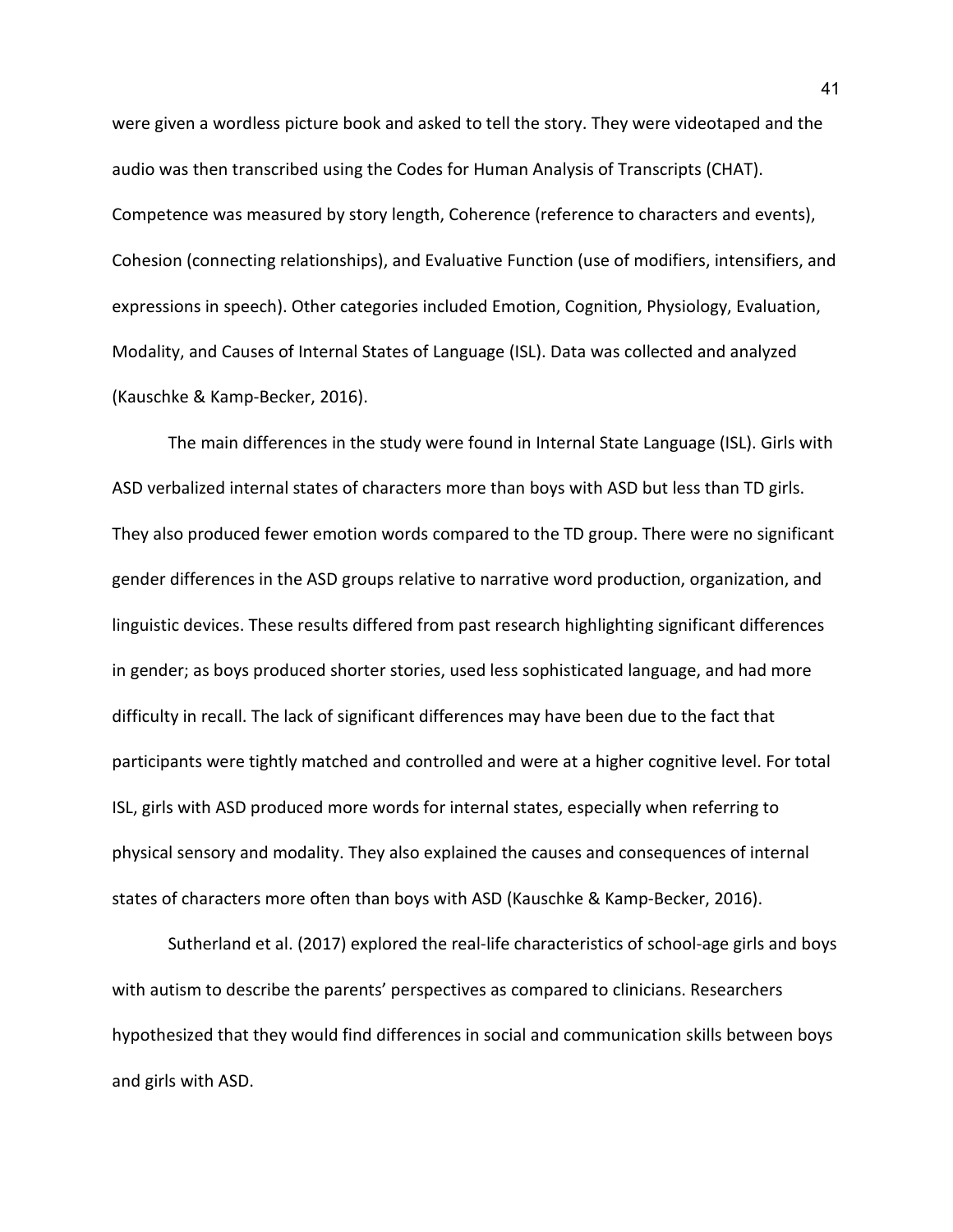were given a wordless picture book and asked to tell the story. They were videotaped and the audio was then transcribed using the Codes for Human Analysis of Transcripts (CHAT). Competence was measured by story length, Coherence (reference to characters and events), Cohesion (connecting relationships), and Evaluative Function (use of modifiers, intensifiers, and expressions in speech). Other categories included Emotion, Cognition, Physiology, Evaluation, Modality, and Causes of Internal States of Language (ISL). Data was collected and analyzed (Kauschke & Kamp-Becker, 2016).

The main differences in the study were found in Internal State Language (ISL). Girls with ASD verbalized internal states of characters more than boys with ASD but less than TD girls. They also produced fewer emotion words compared to the TD group. There were no significant gender differences in the ASD groups relative to narrative word production, organization, and linguistic devices. These results differed from past research highlighting significant differences in gender; as boys produced shorter stories, used less sophisticated language, and had more difficulty in recall. The lack of significant differences may have been due to the fact that participants were tightly matched and controlled and were at a higher cognitive level. For total ISL, girls with ASD produced more words for internal states, especially when referring to physical sensory and modality. They also explained the causes and consequences of internal states of characters more often than boys with ASD (Kauschke & Kamp-Becker, 2016).

Sutherland et al. (2017) explored the real-life characteristics of school-age girls and boys with autism to describe the parents' perspectives as compared to clinicians. Researchers hypothesized that they would find differences in social and communication skills between boys and girls with ASD.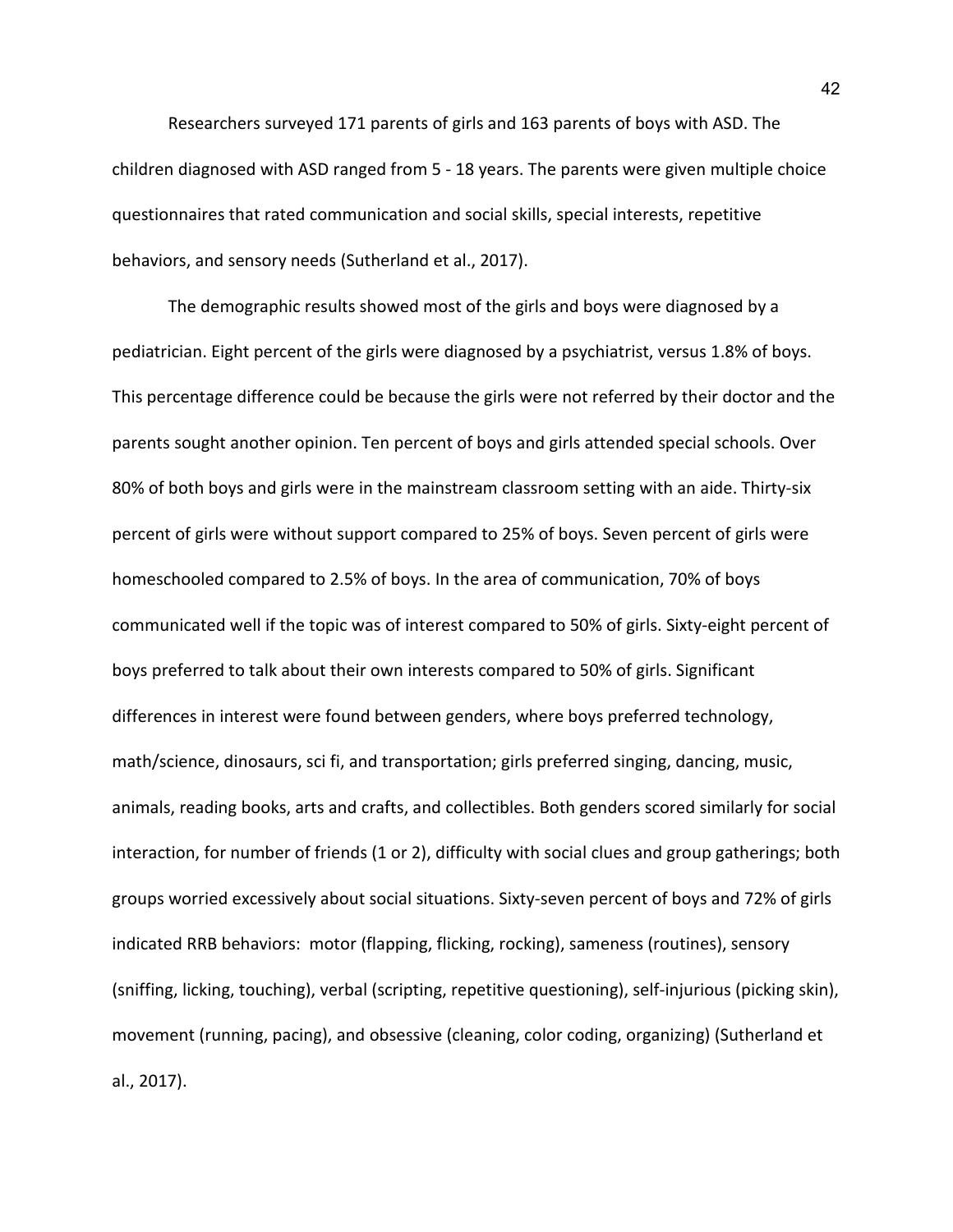Researchers surveyed 171 parents of girls and 163 parents of boys with ASD. The children diagnosed with ASD ranged from 5 - 18 years. The parents were given multiple choice questionnaires that rated communication and social skills, special interests, repetitive behaviors, and sensory needs (Sutherland et al., 2017).

The demographic results showed most of the girls and boys were diagnosed by a pediatrician. Eight percent of the girls were diagnosed by a psychiatrist, versus 1.8% of boys. This percentage difference could be because the girls were not referred by their doctor and the parents sought another opinion. Ten percent of boys and girls attended special schools. Over 80% of both boys and girls were in the mainstream classroom setting with an aide. Thirty-six percent of girls were without support compared to 25% of boys. Seven percent of girls were homeschooled compared to 2.5% of boys. In the area of communication, 70% of boys communicated well if the topic was of interest compared to 50% of girls. Sixty-eight percent of boys preferred to talk about their own interests compared to 50% of girls. Significant differences in interest were found between genders, where boys preferred technology, math/science, dinosaurs, sci fi, and transportation; girls preferred singing, dancing, music, animals, reading books, arts and crafts, and collectibles. Both genders scored similarly for social interaction, for number of friends (1 or 2), difficulty with social clues and group gatherings; both groups worried excessively about social situations. Sixty-seven percent of boys and 72% of girls indicated RRB behaviors: motor (flapping, flicking, rocking), sameness (routines), sensory (sniffing, licking, touching), verbal (scripting, repetitive questioning), self-injurious (picking skin), movement (running, pacing), and obsessive (cleaning, color coding, organizing) (Sutherland et al., 2017).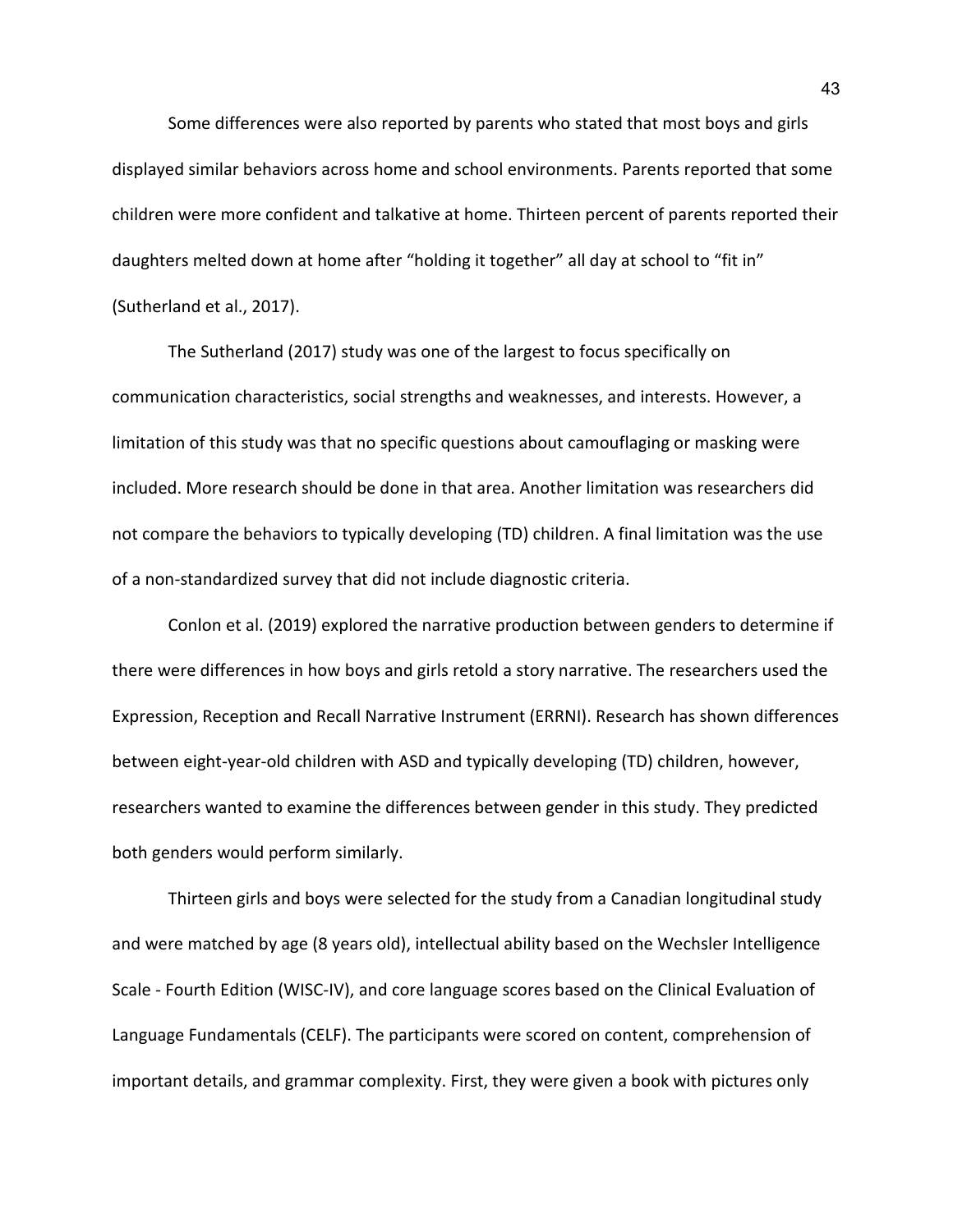Some differences were also reported by parents who stated that most boys and girls displayed similar behaviors across home and school environments. Parents reported that some children were more confident and talkative at home. Thirteen percent of parents reported their daughters melted down at home after "holding it together" all day at school to "fit in" (Sutherland et al., 2017).

The Sutherland (2017) study was one of the largest to focus specifically on communication characteristics, social strengths and weaknesses, and interests. However, a limitation of this study was that no specific questions about camouflaging or masking were included. More research should be done in that area. Another limitation was researchers did not compare the behaviors to typically developing (TD) children. A final limitation was the use of a non-standardized survey that did not include diagnostic criteria.

Conlon et al. (2019) explored the narrative production between genders to determine if there were differences in how boys and girls retold a story narrative. The researchers used the Expression, Reception and Recall Narrative Instrument (ERRNI). Research has shown differences between eight-year-old children with ASD and typically developing (TD) children, however, researchers wanted to examine the differences between gender in this study. They predicted both genders would perform similarly.

Thirteen girls and boys were selected for the study from a Canadian longitudinal study and were matched by age (8 years old), intellectual ability based on the Wechsler Intelligence Scale - Fourth Edition (WISC-IV), and core language scores based on the Clinical Evaluation of Language Fundamentals (CELF). The participants were scored on content, comprehension of important details, and grammar complexity. First, they were given a book with pictures only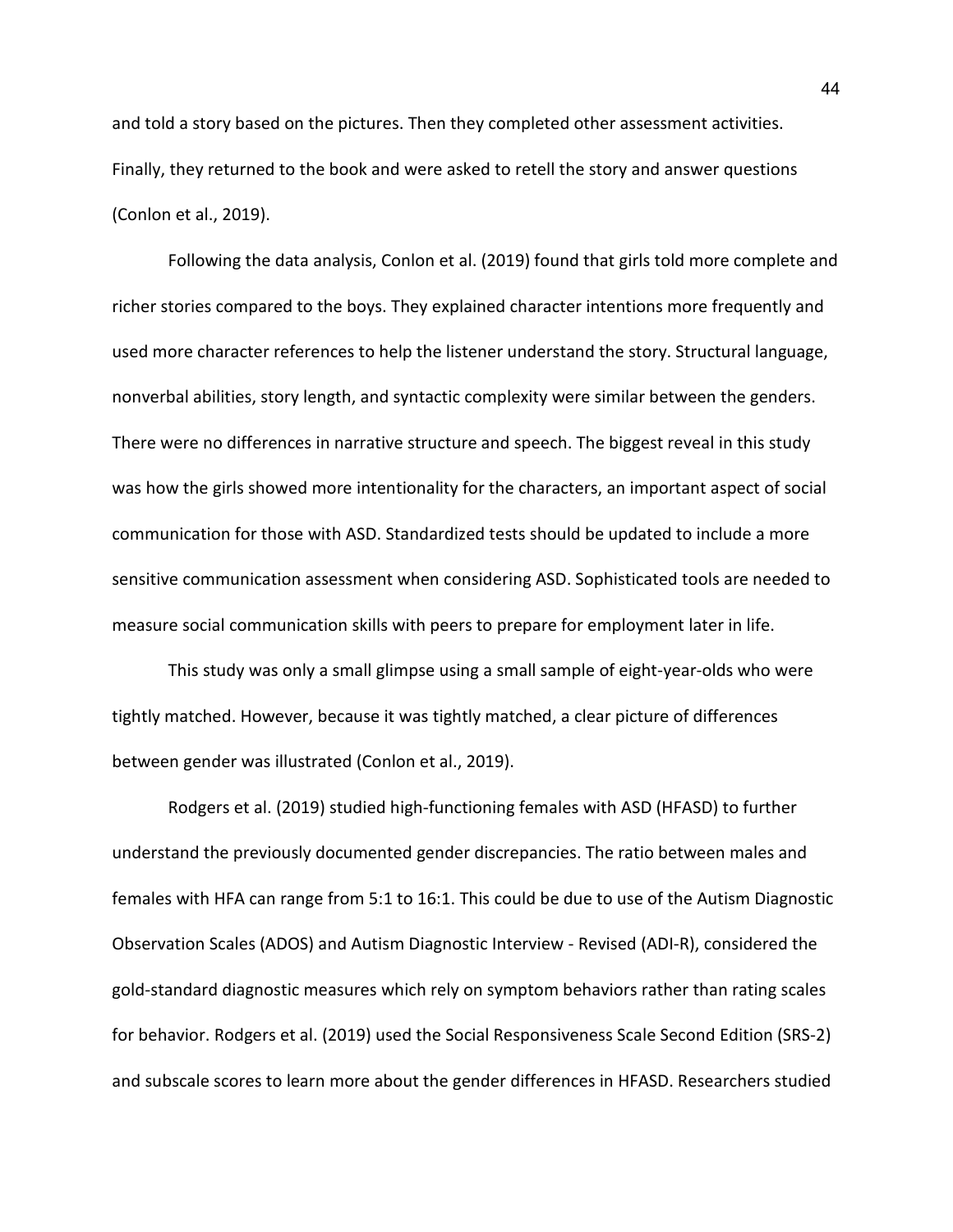and told a story based on the pictures. Then they completed other assessment activities. Finally, they returned to the book and were asked to retell the story and answer questions (Conlon et al., 2019).

Following the data analysis, Conlon et al. (2019) found that girls told more complete and richer stories compared to the boys. They explained character intentions more frequently and used more character references to help the listener understand the story. Structural language, nonverbal abilities, story length, and syntactic complexity were similar between the genders. There were no differences in narrative structure and speech. The biggest reveal in this study was how the girls showed more intentionality for the characters, an important aspect of social communication for those with ASD. Standardized tests should be updated to include a more sensitive communication assessment when considering ASD. Sophisticated tools are needed to measure social communication skills with peers to prepare for employment later in life.

This study was only a small glimpse using a small sample of eight-year-olds who were tightly matched. However, because it was tightly matched, a clear picture of differences between gender was illustrated (Conlon et al., 2019).

Rodgers et al. (2019) studied high-functioning females with ASD (HFASD) to further understand the previously documented gender discrepancies. The ratio between males and females with HFA can range from 5:1 to 16:1. This could be due to use of the Autism Diagnostic Observation Scales (ADOS) and Autism Diagnostic Interview - Revised (ADI-R), considered the gold-standard diagnostic measures which rely on symptom behaviors rather than rating scales for behavior. Rodgers et al. (2019) used the Social Responsiveness Scale Second Edition (SRS-2) and subscale scores to learn more about the gender differences in HFASD. Researchers studied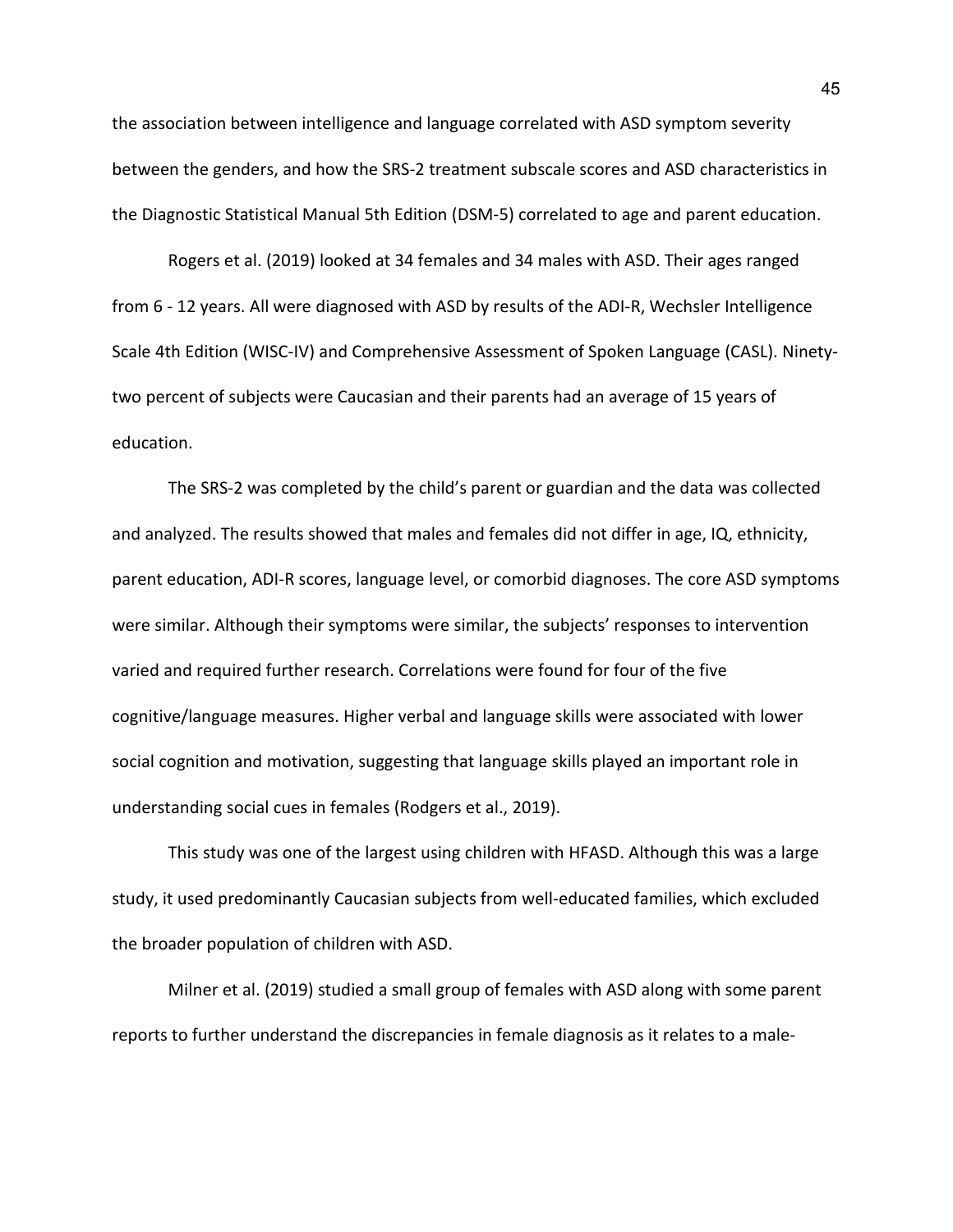the association between intelligence and language correlated with ASD symptom severity between the genders, and how the SRS-2 treatment subscale scores and ASD characteristics in the Diagnostic Statistical Manual 5th Edition (DSM-5) correlated to age and parent education.

Rogers et al. (2019) looked at 34 females and 34 males with ASD. Their ages ranged from 6 - 12 years. All were diagnosed with ASD by results of the ADI-R, Wechsler Intelligence Scale 4th Edition (WISC-IV) and Comprehensive Assessment of Spoken Language (CASL). Ninetytwo percent of subjects were Caucasian and their parents had an average of 15 years of education.

The SRS-2 was completed by the child's parent or guardian and the data was collected and analyzed. The results showed that males and females did not differ in age, IQ, ethnicity, parent education, ADI-R scores, language level, or comorbid diagnoses. The core ASD symptoms were similar. Although their symptoms were similar, the subjects' responses to intervention varied and required further research. Correlations were found for four of the five cognitive/language measures. Higher verbal and language skills were associated with lower social cognition and motivation, suggesting that language skills played an important role in understanding social cues in females (Rodgers et al., 2019).

This study was one of the largest using children with HFASD. Although this was a large study, it used predominantly Caucasian subjects from well-educated families, which excluded the broader population of children with ASD.

Milner et al. (2019) studied a small group of females with ASD along with some parent reports to further understand the discrepancies in female diagnosis as it relates to a male-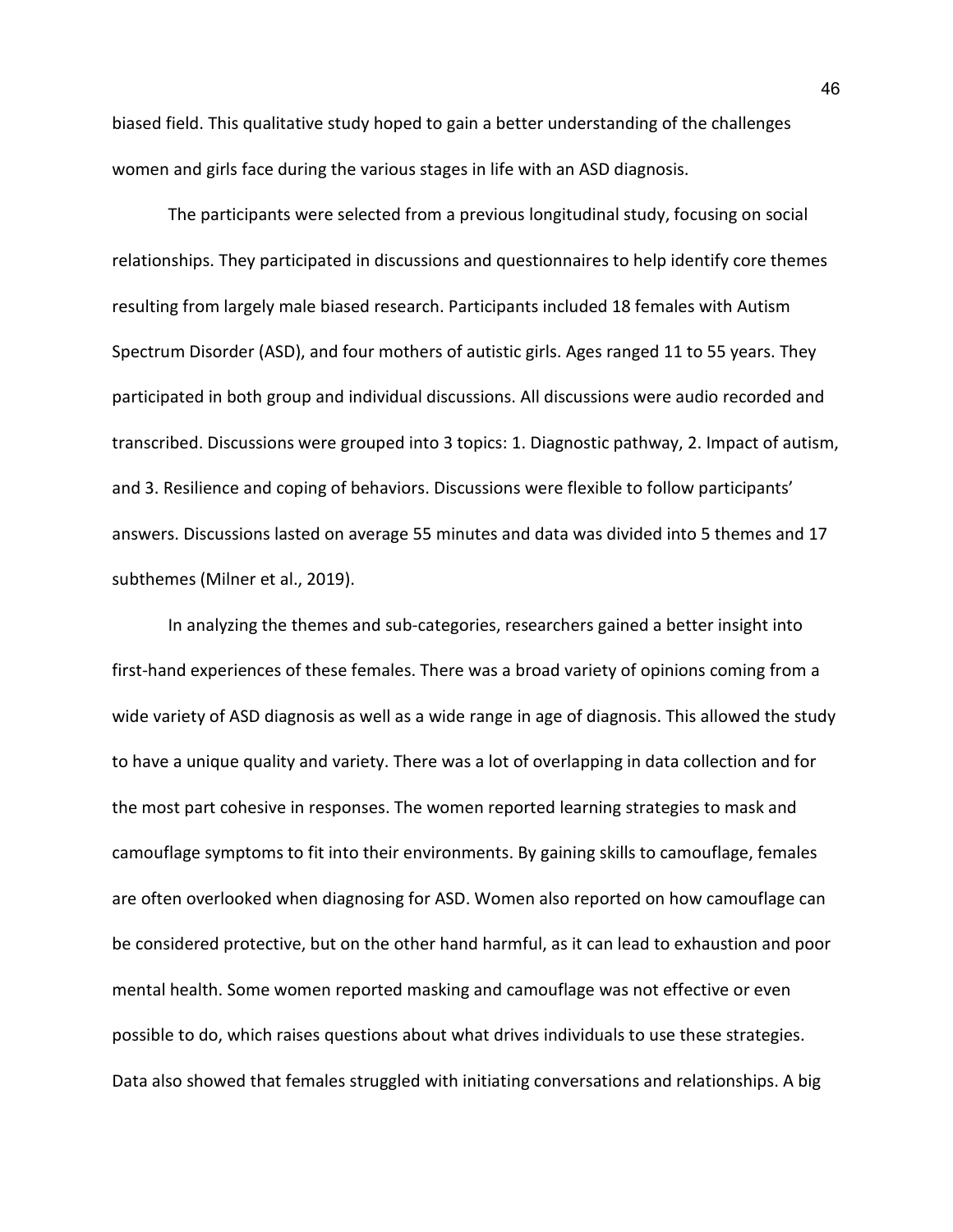biased field. This qualitative study hoped to gain a better understanding of the challenges women and girls face during the various stages in life with an ASD diagnosis.

The participants were selected from a previous longitudinal study, focusing on social relationships. They participated in discussions and questionnaires to help identify core themes resulting from largely male biased research. Participants included 18 females with Autism Spectrum Disorder (ASD), and four mothers of autistic girls. Ages ranged 11 to 55 years. They participated in both group and individual discussions. All discussions were audio recorded and transcribed. Discussions were grouped into 3 topics: 1. Diagnostic pathway, 2. Impact of autism, and 3. Resilience and coping of behaviors. Discussions were flexible to follow participants' answers. Discussions lasted on average 55 minutes and data was divided into 5 themes and 17 subthemes (Milner et al., 2019).

In analyzing the themes and sub-categories, researchers gained a better insight into first-hand experiences of these females. There was a broad variety of opinions coming from a wide variety of ASD diagnosis as well as a wide range in age of diagnosis. This allowed the study to have a unique quality and variety. There was a lot of overlapping in data collection and for the most part cohesive in responses. The women reported learning strategies to mask and camouflage symptoms to fit into their environments. By gaining skills to camouflage, females are often overlooked when diagnosing for ASD. Women also reported on how camouflage can be considered protective, but on the other hand harmful, as it can lead to exhaustion and poor mental health. Some women reported masking and camouflage was not effective or even possible to do, which raises questions about what drives individuals to use these strategies. Data also showed that females struggled with initiating conversations and relationships. A big

46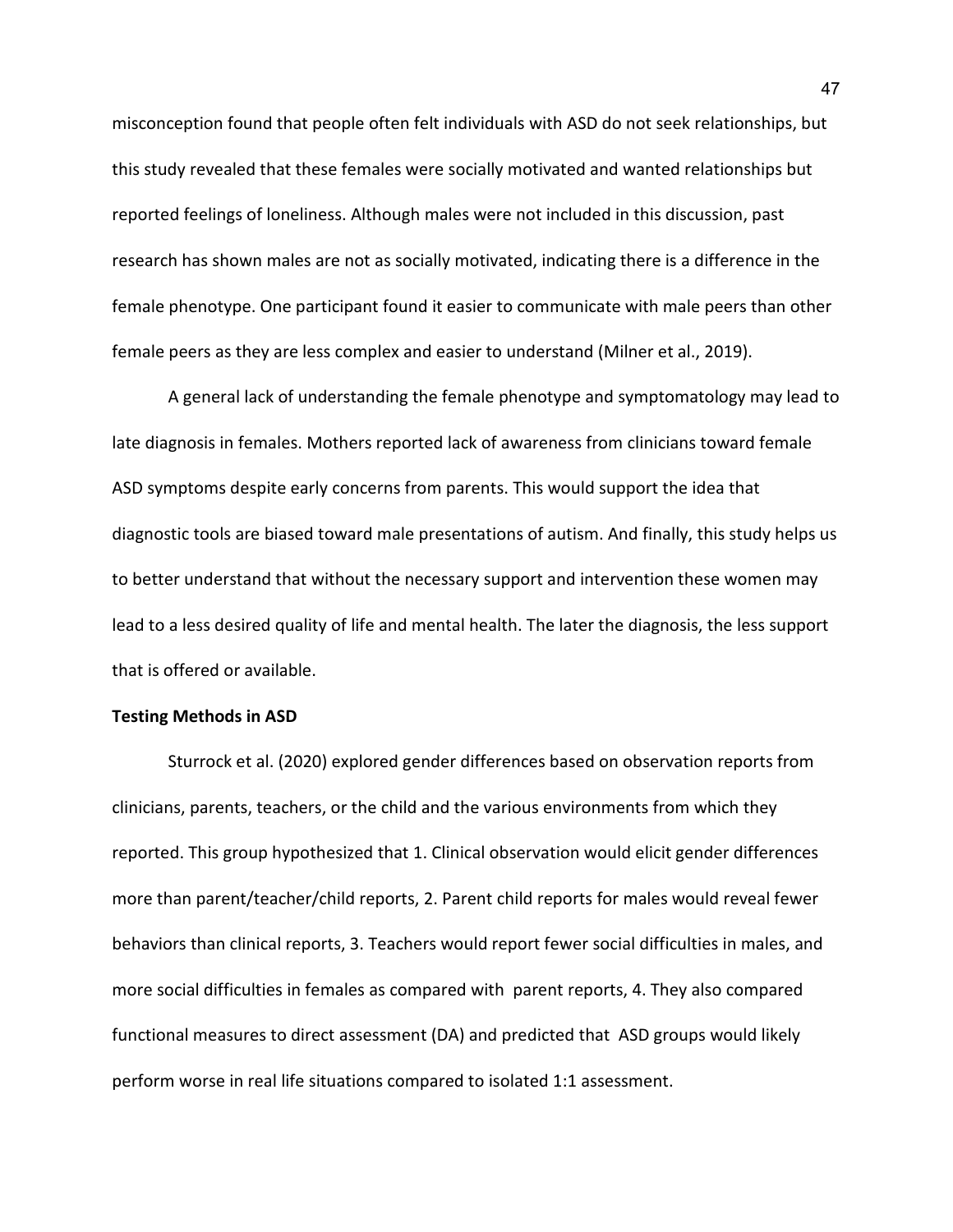misconception found that people often felt individuals with ASD do not seek relationships, but this study revealed that these females were socially motivated and wanted relationships but reported feelings of loneliness. Although males were not included in this discussion, past research has shown males are not as socially motivated, indicating there is a difference in the female phenotype. One participant found it easier to communicate with male peers than other female peers as they are less complex and easier to understand (Milner et al., 2019).

A general lack of understanding the female phenotype and symptomatology may lead to late diagnosis in females. Mothers reported lack of awareness from clinicians toward female ASD symptoms despite early concerns from parents. This would support the idea that diagnostic tools are biased toward male presentations of autism. And finally, this study helps us to better understand that without the necessary support and intervention these women may lead to a less desired quality of life and mental health. The later the diagnosis, the less support that is offered or available.

## **Testing Methods in ASD**

Sturrock et al. (2020) explored gender differences based on observation reports from clinicians, parents, teachers, or the child and the various environments from which they reported. This group hypothesized that 1. Clinical observation would elicit gender differences more than parent/teacher/child reports, 2. Parent child reports for males would reveal fewer behaviors than clinical reports, 3. Teachers would report fewer social difficulties in males, and more social difficulties in females as compared with parent reports, 4. They also compared functional measures to direct assessment (DA) and predicted that ASD groups would likely perform worse in real life situations compared to isolated 1:1 assessment.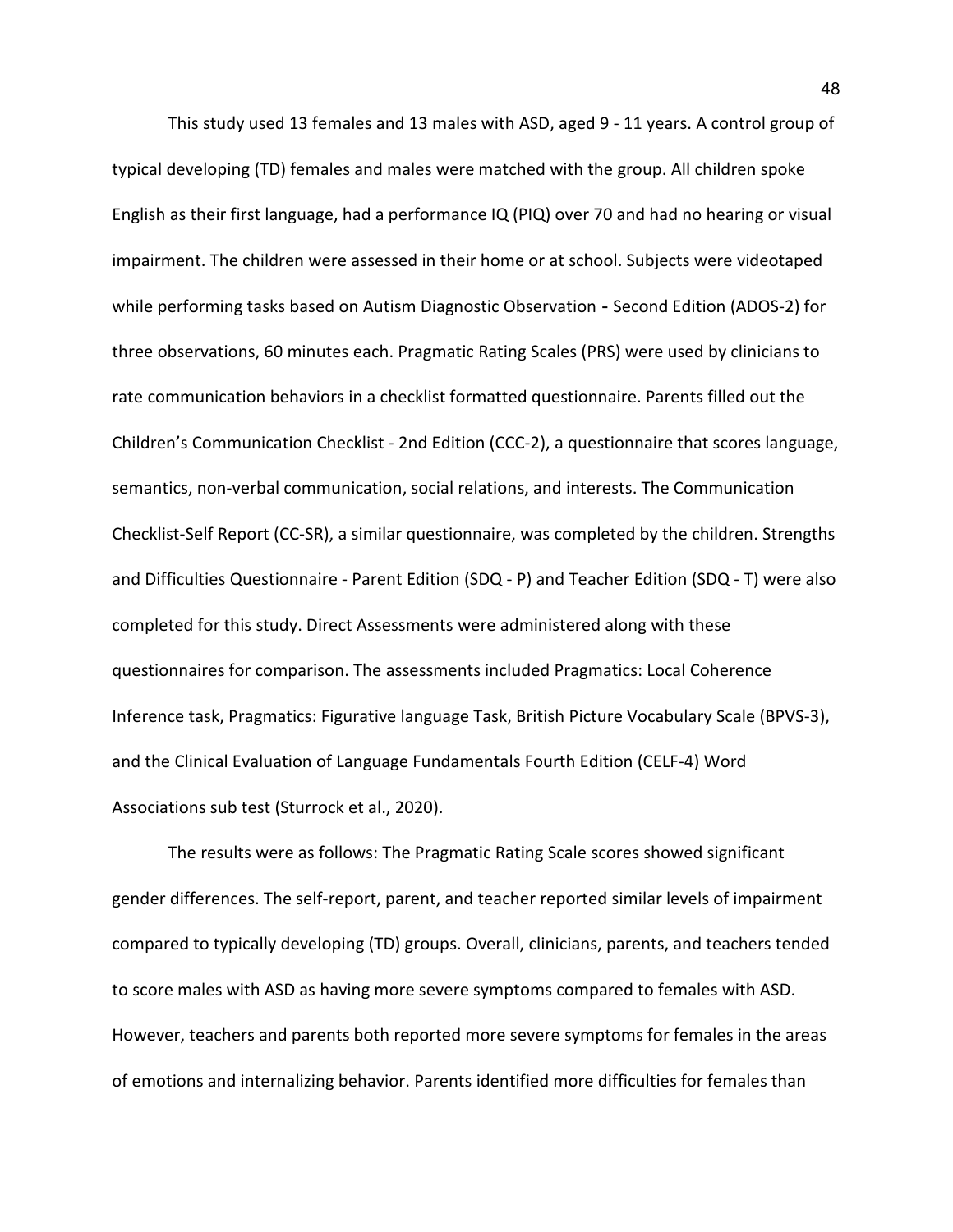This study used 13 females and 13 males with ASD, aged 9 - 11 years. A control group of typical developing (TD) females and males were matched with the group. All children spoke English as their first language, had a performance IQ (PIQ) over 70 and had no hearing or visual impairment. The children were assessed in their home or at school. Subjects were videotaped while performing tasks based on Autism Diagnostic Observation - Second Edition (ADOS-2) for three observations, 60 minutes each. Pragmatic Rating Scales (PRS) were used by clinicians to rate communication behaviors in a checklist formatted questionnaire. Parents filled out the Children's Communication Checklist - 2nd Edition (CCC-2), a questionnaire that scores language, semantics, non-verbal communication, social relations, and interests. The Communication Checklist-Self Report (CC-SR), a similar questionnaire, was completed by the children. Strengths and Difficulties Questionnaire - Parent Edition (SDQ - P) and Teacher Edition (SDQ - T) were also completed for this study. Direct Assessments were administered along with these questionnaires for comparison. The assessments included Pragmatics: Local Coherence Inference task, Pragmatics: Figurative language Task, British Picture Vocabulary Scale (BPVS-3), and the Clinical Evaluation of Language Fundamentals Fourth Edition (CELF-4) Word Associations sub test (Sturrock et al., 2020).

The results were as follows: The Pragmatic Rating Scale scores showed significant gender differences. The self-report, parent, and teacher reported similar levels of impairment compared to typically developing (TD) groups. Overall, clinicians, parents, and teachers tended to score males with ASD as having more severe symptoms compared to females with ASD. However, teachers and parents both reported more severe symptoms for females in the areas of emotions and internalizing behavior. Parents identified more difficulties for females than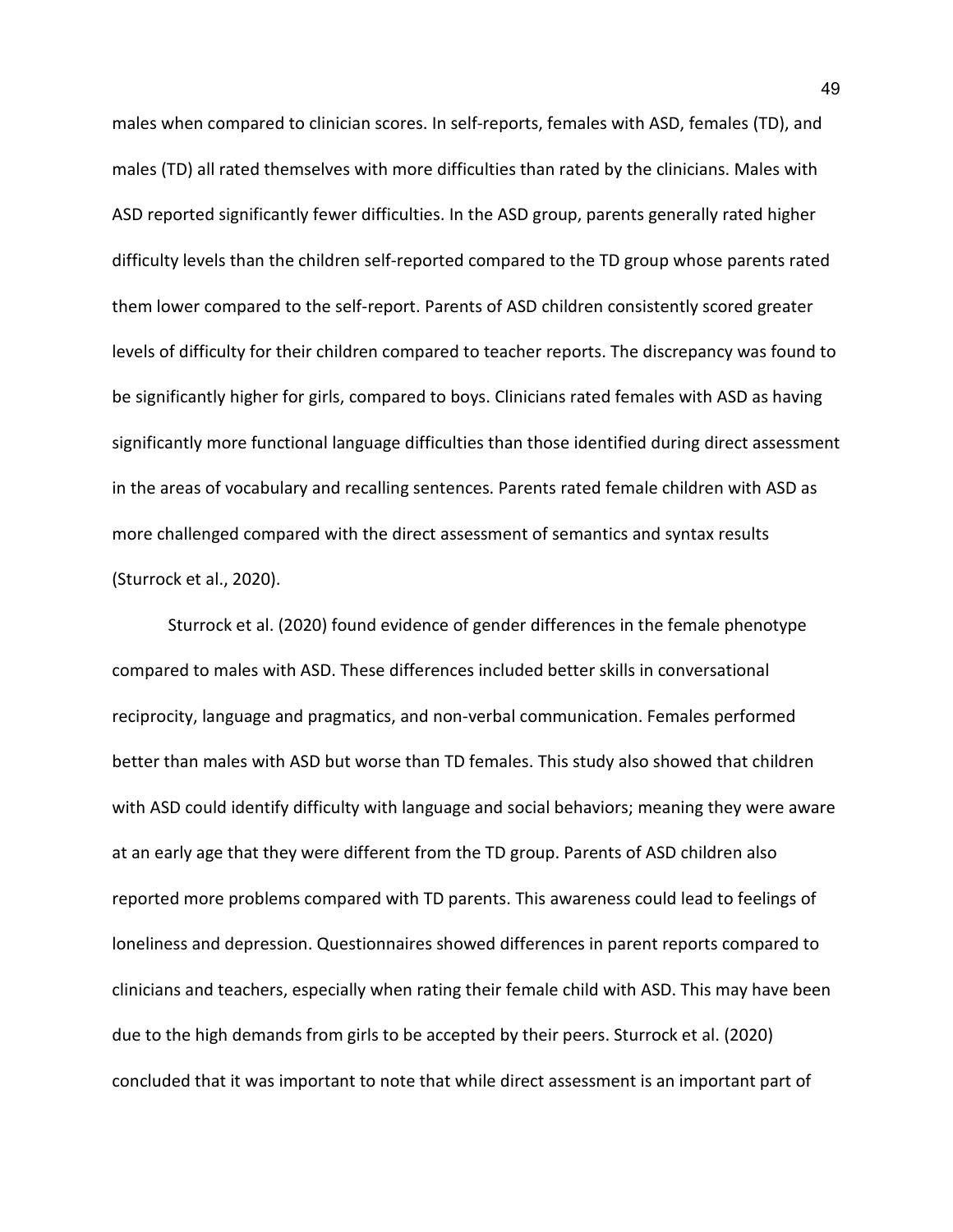males when compared to clinician scores. In self-reports, females with ASD, females (TD), and males (TD) all rated themselves with more difficulties than rated by the clinicians. Males with ASD reported significantly fewer difficulties. In the ASD group, parents generally rated higher difficulty levels than the children self-reported compared to the TD group whose parents rated them lower compared to the self-report. Parents of ASD children consistently scored greater levels of difficulty for their children compared to teacher reports. The discrepancy was found to be significantly higher for girls, compared to boys. Clinicians rated females with ASD as having significantly more functional language difficulties than those identified during direct assessment in the areas of vocabulary and recalling sentences. Parents rated female children with ASD as more challenged compared with the direct assessment of semantics and syntax results (Sturrock et al., 2020).

Sturrock et al. (2020) found evidence of gender differences in the female phenotype compared to males with ASD. These differences included better skills in conversational reciprocity, language and pragmatics, and non-verbal communication. Females performed better than males with ASD but worse than TD females. This study also showed that children with ASD could identify difficulty with language and social behaviors; meaning they were aware at an early age that they were different from the TD group. Parents of ASD children also reported more problems compared with TD parents. This awareness could lead to feelings of loneliness and depression. Questionnaires showed differences in parent reports compared to clinicians and teachers, especially when rating their female child with ASD. This may have been due to the high demands from girls to be accepted by their peers. Sturrock et al. (2020) concluded that it was important to note that while direct assessment is an important part of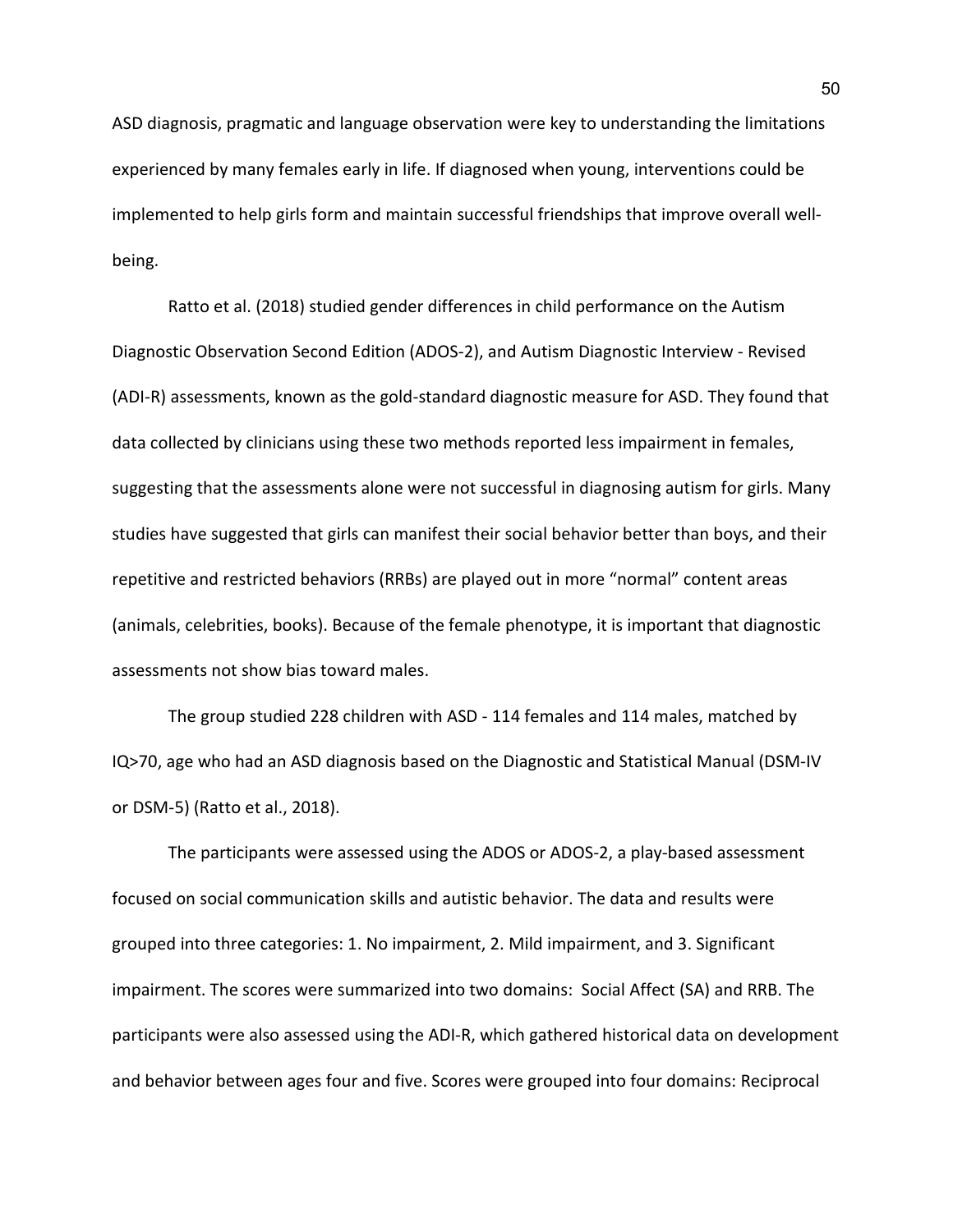ASD diagnosis, pragmatic and language observation were key to understanding the limitations experienced by many females early in life. If diagnosed when young, interventions could be implemented to help girls form and maintain successful friendships that improve overall wellbeing.

Ratto et al. (2018) studied gender differences in child performance on the Autism Diagnostic Observation Second Edition (ADOS-2), and Autism Diagnostic Interview - Revised (ADI-R) assessments, known as the gold-standard diagnostic measure for ASD. They found that data collected by clinicians using these two methods reported less impairment in females, suggesting that the assessments alone were not successful in diagnosing autism for girls. Many studies have suggested that girls can manifest their social behavior better than boys, and their repetitive and restricted behaviors (RRBs) are played out in more "normal" content areas (animals, celebrities, books). Because of the female phenotype, it is important that diagnostic assessments not show bias toward males.

The group studied 228 children with ASD - 114 females and 114 males, matched by IQ>70, age who had an ASD diagnosis based on the Diagnostic and Statistical Manual (DSM-IV or DSM-5) (Ratto et al., 2018).

The participants were assessed using the ADOS or ADOS-2, a play-based assessment focused on social communication skills and autistic behavior. The data and results were grouped into three categories: 1. No impairment, 2. Mild impairment, and 3. Significant impairment. The scores were summarized into two domains: Social Affect (SA) and RRB. The participants were also assessed using the ADI-R, which gathered historical data on development and behavior between ages four and five. Scores were grouped into four domains: Reciprocal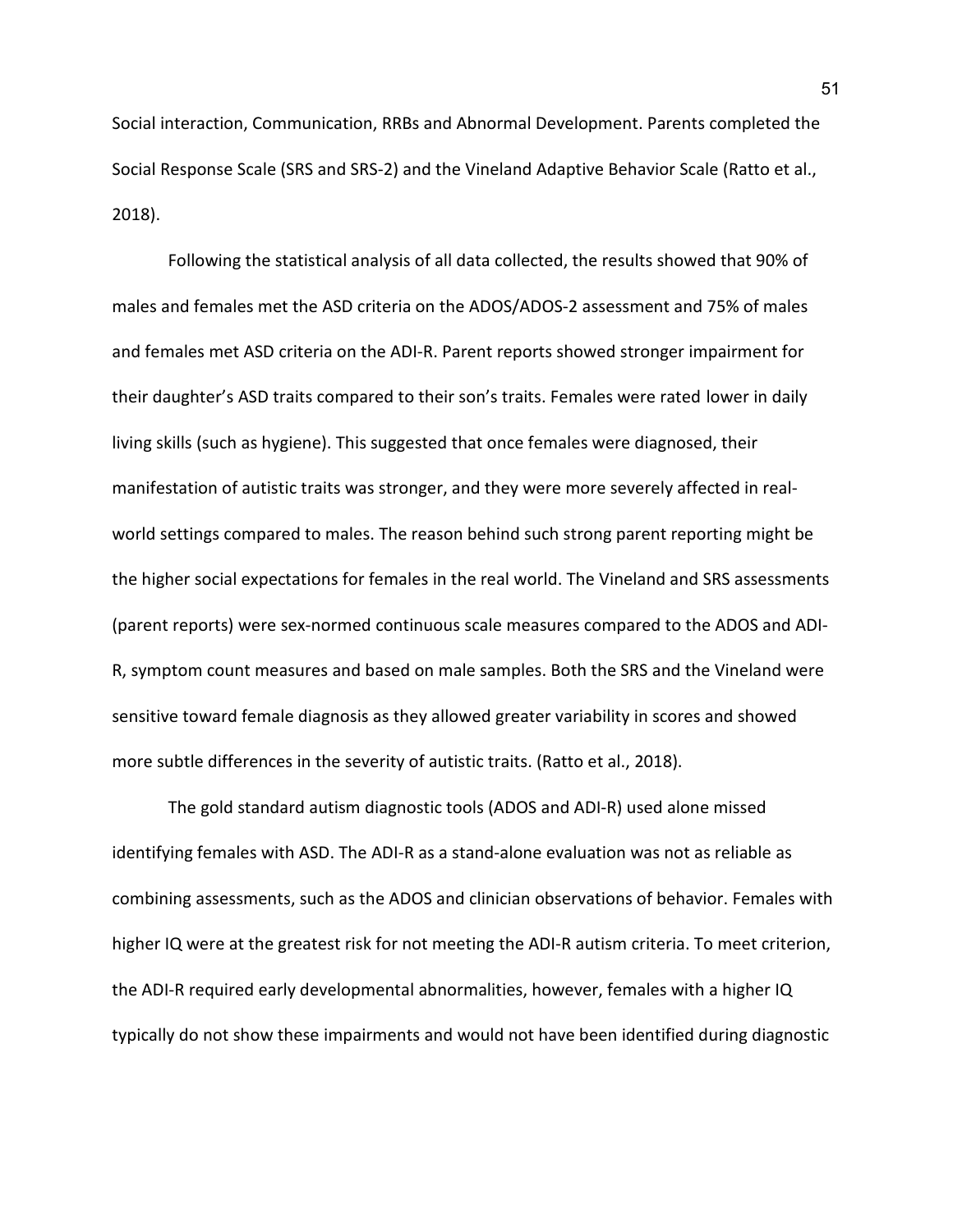Social interaction, Communication, RRBs and Abnormal Development. Parents completed the Social Response Scale (SRS and SRS-2) and the Vineland Adaptive Behavior Scale (Ratto et al., 2018).

Following the statistical analysis of all data collected, the results showed that 90% of males and females met the ASD criteria on the ADOS/ADOS-2 assessment and 75% of males and females met ASD criteria on the ADI-R. Parent reports showed stronger impairment for their daughter's ASD traits compared to their son's traits. Females were rated lower in daily living skills (such as hygiene). This suggested that once females were diagnosed, their manifestation of autistic traits was stronger, and they were more severely affected in realworld settings compared to males. The reason behind such strong parent reporting might be the higher social expectations for females in the real world. The Vineland and SRS assessments (parent reports) were sex-normed continuous scale measures compared to the ADOS and ADI-R, symptom count measures and based on male samples. Both the SRS and the Vineland were sensitive toward female diagnosis as they allowed greater variability in scores and showed more subtle differences in the severity of autistic traits. (Ratto et al., 2018).

The gold standard autism diagnostic tools (ADOS and ADI-R) used alone missed identifying females with ASD. The ADI-R as a stand-alone evaluation was not as reliable as combining assessments, such as the ADOS and clinician observations of behavior. Females with higher IQ were at the greatest risk for not meeting the ADI-R autism criteria. To meet criterion, the ADI-R required early developmental abnormalities, however, females with a higher IQ typically do not show these impairments and would not have been identified during diagnostic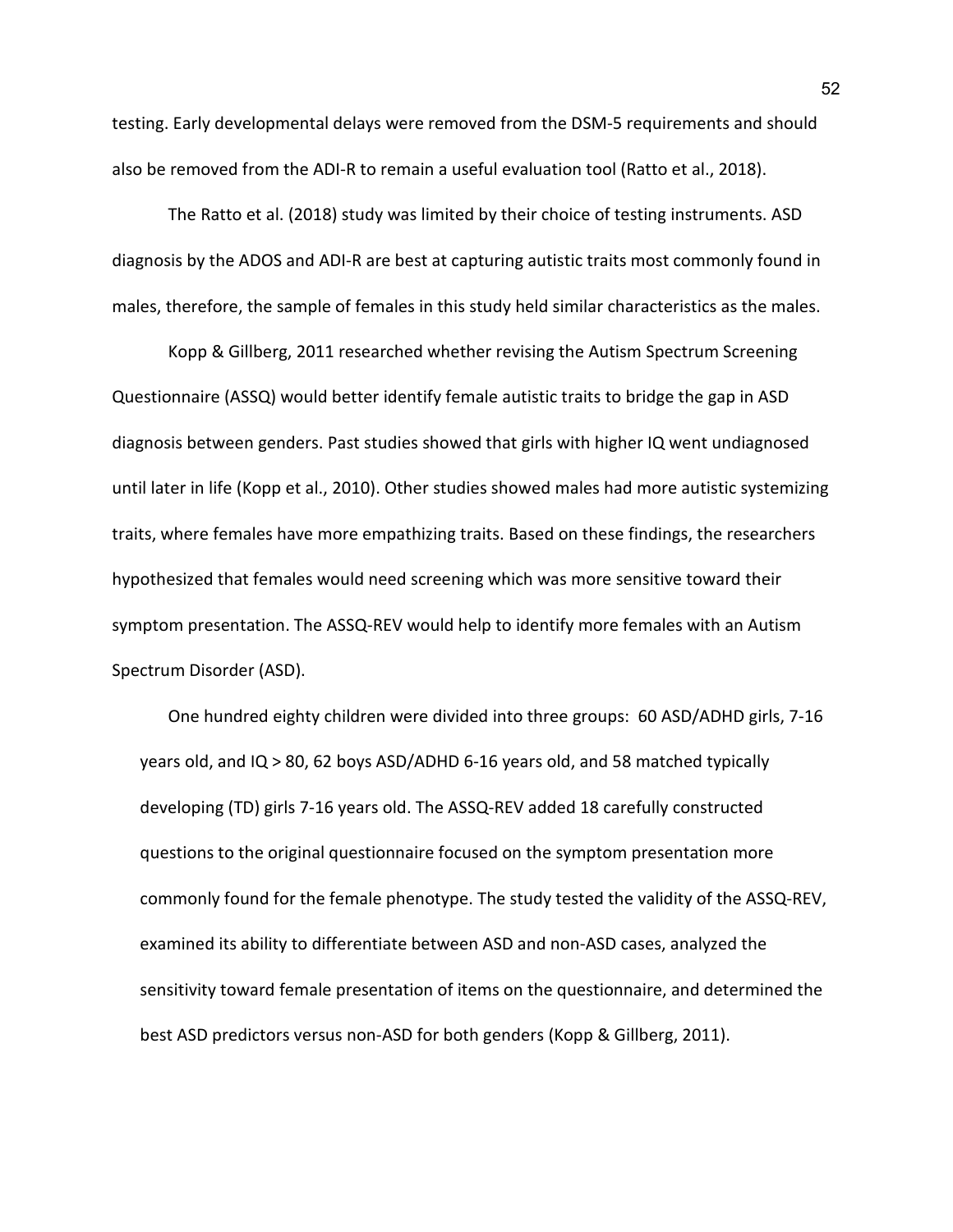testing. Early developmental delays were removed from the DSM-5 requirements and should also be removed from the ADI-R to remain a useful evaluation tool (Ratto et al., 2018).

The Ratto et al. (2018) study was limited by their choice of testing instruments. ASD diagnosis by the ADOS and ADI-R are best at capturing autistic traits most commonly found in males, therefore, the sample of females in this study held similar characteristics as the males.

Kopp & Gillberg, 2011 researched whether revising the Autism Spectrum Screening Questionnaire (ASSQ) would better identify female autistic traits to bridge the gap in ASD diagnosis between genders. Past studies showed that girls with higher IQ went undiagnosed until later in life (Kopp et al., 2010). Other studies showed males had more autistic systemizing traits, where females have more empathizing traits. Based on these findings, the researchers hypothesized that females would need screening which was more sensitive toward their symptom presentation. The ASSQ-REV would help to identify more females with an Autism Spectrum Disorder (ASD).

One hundred eighty children were divided into three groups: 60 ASD/ADHD girls, 7-16 years old, and IQ > 80, 62 boys ASD/ADHD 6-16 years old, and 58 matched typically developing (TD) girls 7-16 years old. The ASSQ-REV added 18 carefully constructed questions to the original questionnaire focused on the symptom presentation more commonly found for the female phenotype. The study tested the validity of the ASSQ-REV, examined its ability to differentiate between ASD and non-ASD cases, analyzed the sensitivity toward female presentation of items on the questionnaire, and determined the best ASD predictors versus non-ASD for both genders (Kopp & Gillberg, 2011).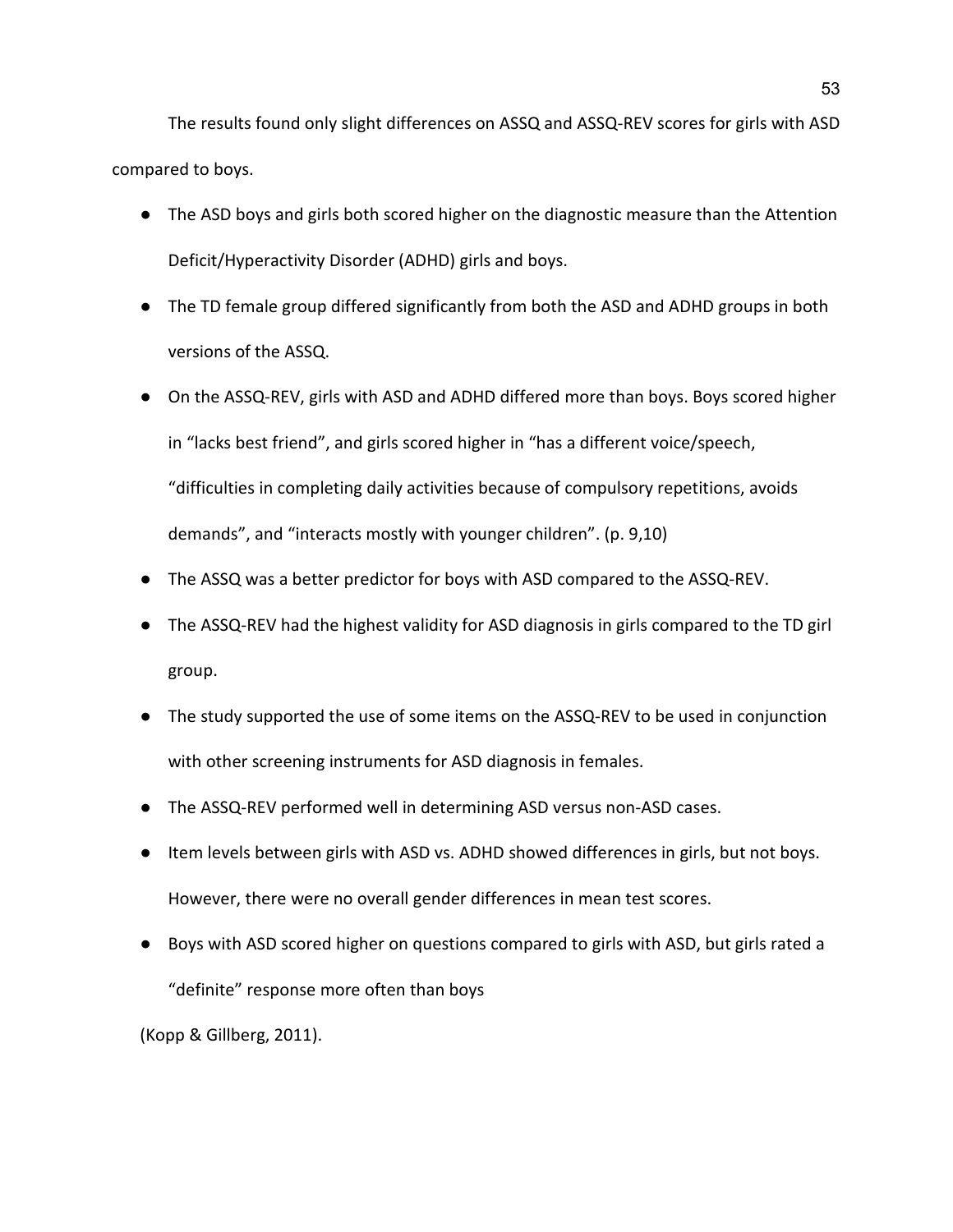The results found only slight differences on ASSQ and ASSQ-REV scores for girls with ASD compared to boys.

- The ASD boys and girls both scored higher on the diagnostic measure than the Attention Deficit/Hyperactivity Disorder (ADHD) girls and boys.
- The TD female group differed significantly from both the ASD and ADHD groups in both versions of the ASSQ.
- On the ASSQ-REV, girls with ASD and ADHD differed more than boys. Boys scored higher in "lacks best friend", and girls scored higher in "has a different voice/speech, "difficulties in completing daily activities because of compulsory repetitions, avoids demands", and "interacts mostly with younger children". (p. 9,10)
- The ASSQ was a better predictor for boys with ASD compared to the ASSQ-REV.
- The ASSQ-REV had the highest validity for ASD diagnosis in girls compared to the TD girl group.
- The study supported the use of some items on the ASSQ-REV to be used in conjunction with other screening instruments for ASD diagnosis in females.
- The ASSQ-REV performed well in determining ASD versus non-ASD cases.
- Item levels between girls with ASD vs. ADHD showed differences in girls, but not boys. However, there were no overall gender differences in mean test scores.
- Boys with ASD scored higher on questions compared to girls with ASD, but girls rated a "definite" response more often than boys

(Kopp & Gillberg, 2011).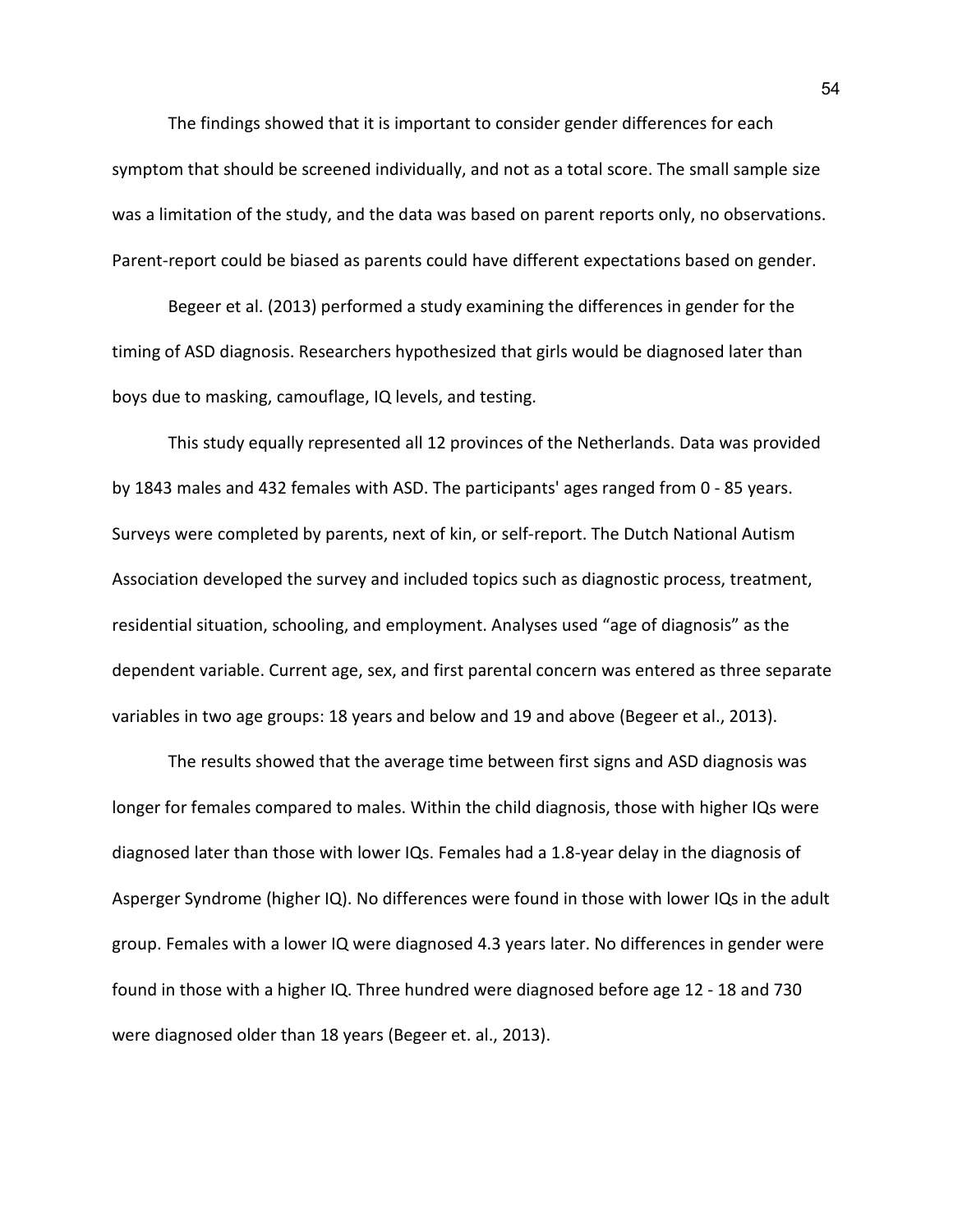The findings showed that it is important to consider gender differences for each symptom that should be screened individually, and not as a total score. The small sample size was a limitation of the study, and the data was based on parent reports only, no observations. Parent-report could be biased as parents could have different expectations based on gender.

Begeer et al. (2013) performed a study examining the differences in gender for the timing of ASD diagnosis. Researchers hypothesized that girls would be diagnosed later than boys due to masking, camouflage, IQ levels, and testing.

This study equally represented all 12 provinces of the Netherlands. Data was provided by 1843 males and 432 females with ASD. The participants' ages ranged from 0 - 85 years. Surveys were completed by parents, next of kin, or self-report. The Dutch National Autism Association developed the survey and included topics such as diagnostic process, treatment, residential situation, schooling, and employment. Analyses used "age of diagnosis" as the dependent variable. Current age, sex, and first parental concern was entered as three separate variables in two age groups: 18 years and below and 19 and above (Begeer et al., 2013).

The results showed that the average time between first signs and ASD diagnosis was longer for females compared to males. Within the child diagnosis, those with higher IQs were diagnosed later than those with lower IQs. Females had a 1.8-year delay in the diagnosis of Asperger Syndrome (higher IQ). No differences were found in those with lower IQs in the adult group. Females with a lower IQ were diagnosed 4.3 years later. No differences in gender were found in those with a higher IQ. Three hundred were diagnosed before age 12 - 18 and 730 were diagnosed older than 18 years (Begeer et. al., 2013).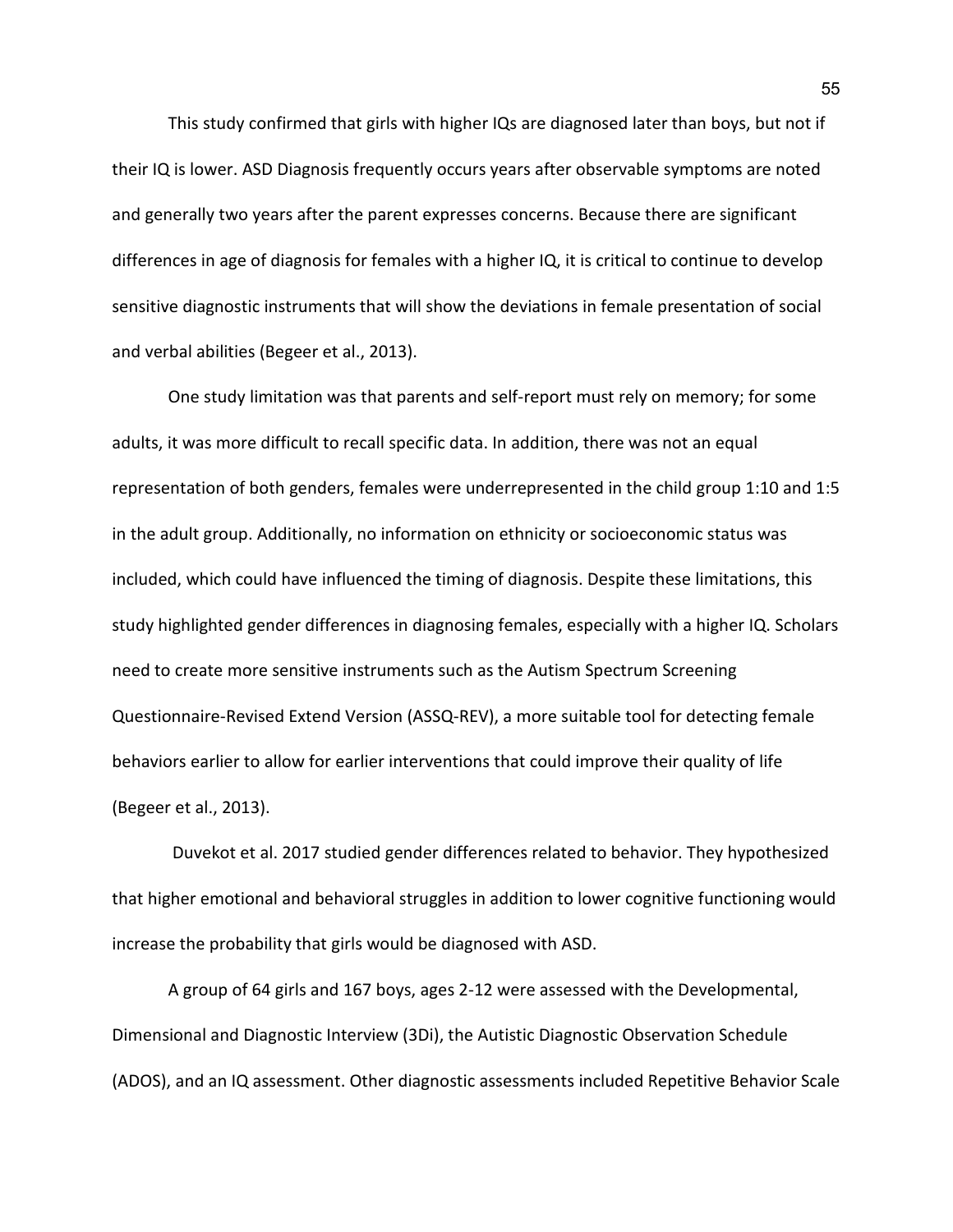This study confirmed that girls with higher IQs are diagnosed later than boys, but not if their IQ is lower. ASD Diagnosis frequently occurs years after observable symptoms are noted and generally two years after the parent expresses concerns. Because there are significant differences in age of diagnosis for females with a higher IQ, it is critical to continue to develop sensitive diagnostic instruments that will show the deviations in female presentation of social and verbal abilities (Begeer et al., 2013).

One study limitation was that parents and self-report must rely on memory; for some adults, it was more difficult to recall specific data. In addition, there was not an equal representation of both genders, females were underrepresented in the child group 1:10 and 1:5 in the adult group. Additionally, no information on ethnicity or socioeconomic status was included, which could have influenced the timing of diagnosis. Despite these limitations, this study highlighted gender differences in diagnosing females, especially with a higher IQ. Scholars need to create more sensitive instruments such as the Autism Spectrum Screening Questionnaire-Revised Extend Version (ASSQ-REV), a more suitable tool for detecting female behaviors earlier to allow for earlier interventions that could improve their quality of life (Begeer et al., 2013).

 Duvekot et al. 2017 studied gender differences related to behavior. They hypothesized that higher emotional and behavioral struggles in addition to lower cognitive functioning would increase the probability that girls would be diagnosed with ASD.

A group of 64 girls and 167 boys, ages 2-12 were assessed with the Developmental, Dimensional and Diagnostic Interview (3Di), the Autistic Diagnostic Observation Schedule (ADOS), and an IQ assessment. Other diagnostic assessments included Repetitive Behavior Scale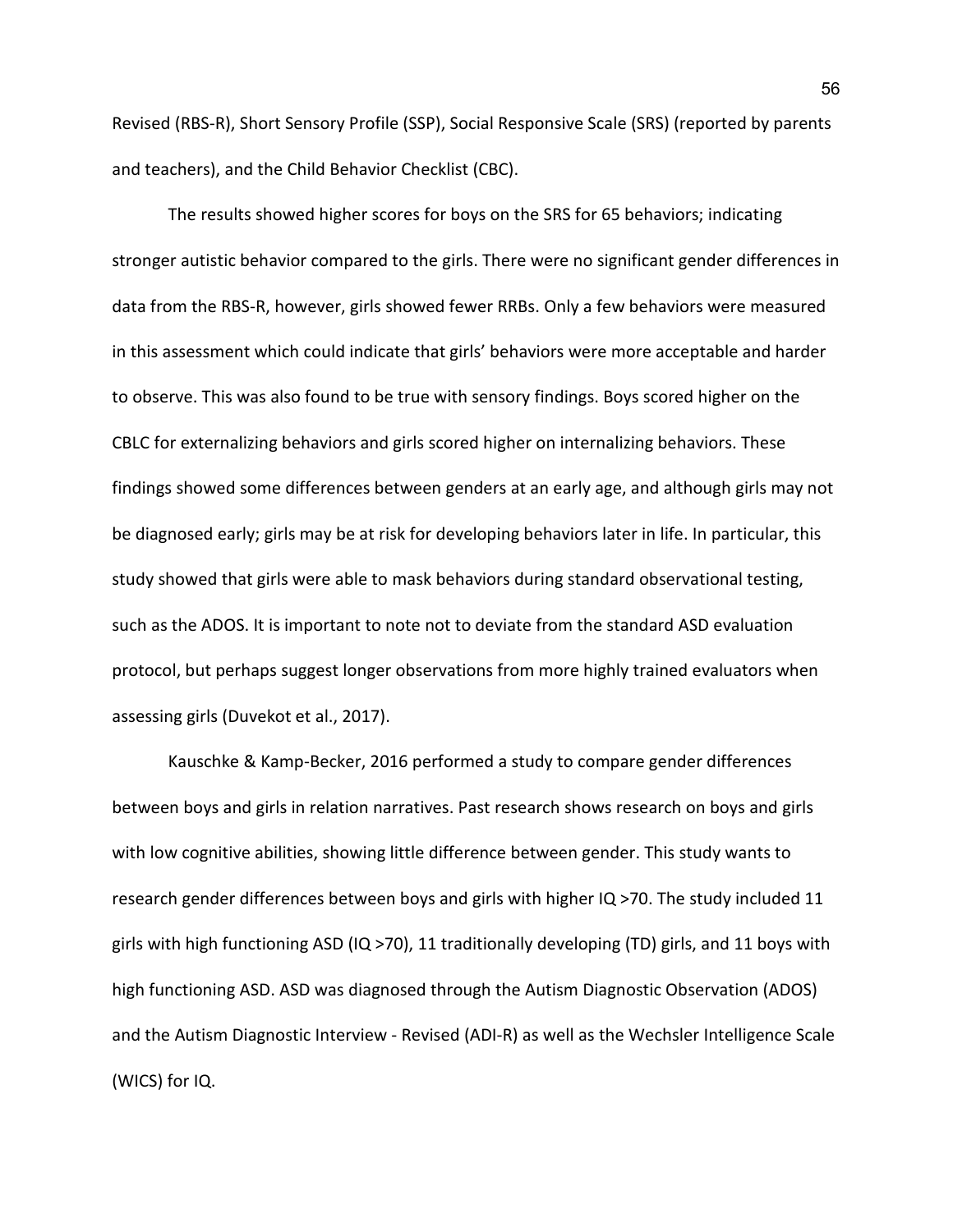Revised (RBS-R), Short Sensory Profile (SSP), Social Responsive Scale (SRS) (reported by parents and teachers), and the Child Behavior Checklist (CBC).

The results showed higher scores for boys on the SRS for 65 behaviors; indicating stronger autistic behavior compared to the girls. There were no significant gender differences in data from the RBS-R, however, girls showed fewer RRBs. Only a few behaviors were measured in this assessment which could indicate that girls' behaviors were more acceptable and harder to observe. This was also found to be true with sensory findings. Boys scored higher on the CBLC for externalizing behaviors and girls scored higher on internalizing behaviors. These findings showed some differences between genders at an early age, and although girls may not be diagnosed early; girls may be at risk for developing behaviors later in life. In particular, this study showed that girls were able to mask behaviors during standard observational testing, such as the ADOS. It is important to note not to deviate from the standard ASD evaluation protocol, but perhaps suggest longer observations from more highly trained evaluators when assessing girls (Duvekot et al., 2017).

Kauschke & Kamp-Becker, 2016 performed a study to compare gender differences between boys and girls in relation narratives. Past research shows research on boys and girls with low cognitive abilities, showing little difference between gender. This study wants to research gender differences between boys and girls with higher IQ >70. The study included 11 girls with high functioning ASD (IQ >70), 11 traditionally developing (TD) girls, and 11 boys with high functioning ASD. ASD was diagnosed through the Autism Diagnostic Observation (ADOS) and the Autism Diagnostic Interview - Revised (ADI-R) as well as the Wechsler Intelligence Scale (WICS) for IQ.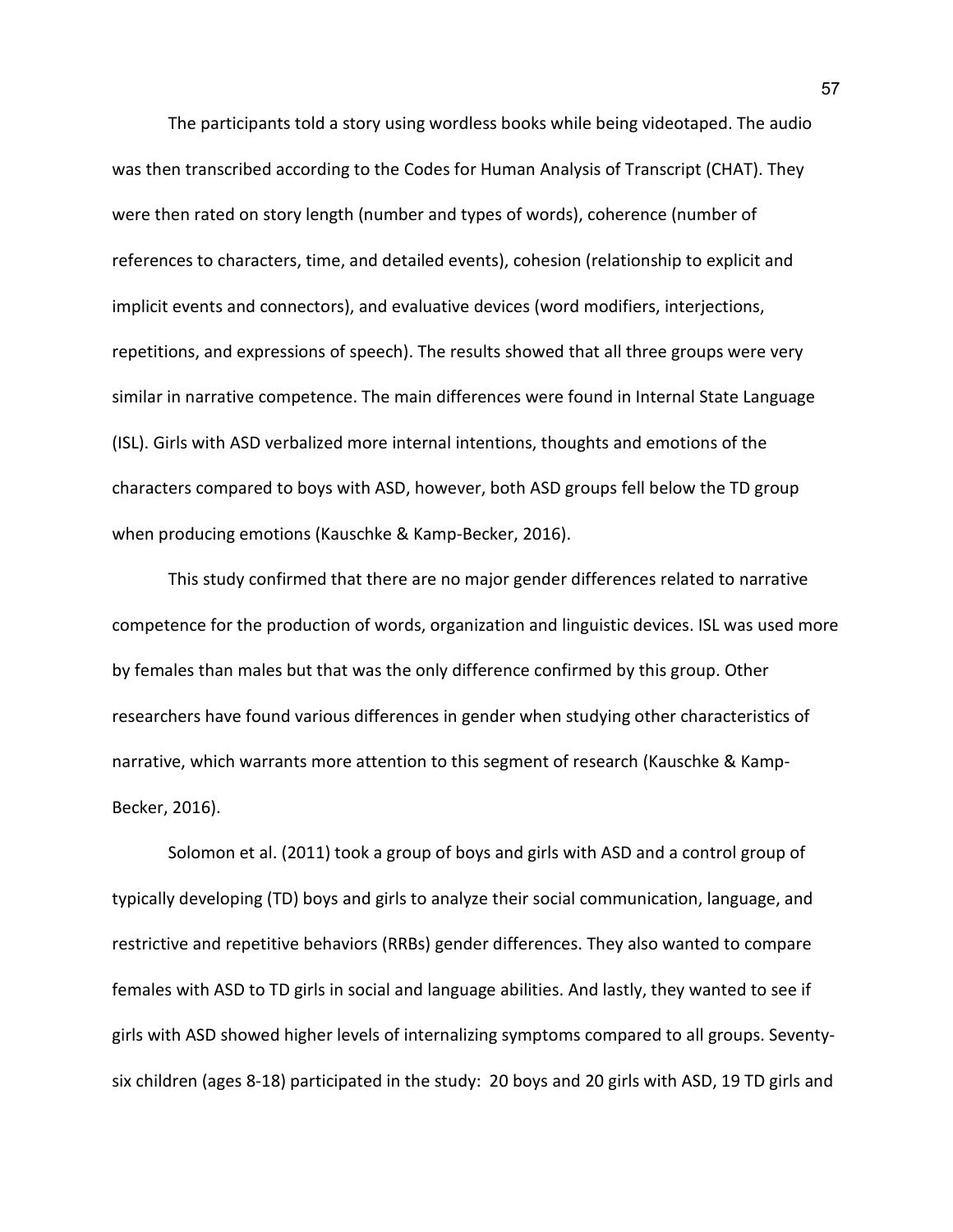The participants told a story using wordless books while being videotaped. The audio was then transcribed according to the Codes for Human Analysis of Transcript (CHAT). They were then rated on story length (number and types of words), coherence (number of references to characters, time, and detailed events), cohesion (relationship to explicit and implicit events and connectors), and evaluative devices (word modifiers, interjections, repetitions, and expressions of speech). The results showed that all three groups were very similar in narrative competence. The main differences were found in Internal State Language (ISL). Girls with ASD verbalized more internal intentions, thoughts and emotions of the characters compared to boys with ASD, however, both ASD groups fell below the TD group when producing emotions (Kauschke & Kamp-Becker, 2016).

This study confirmed that there are no major gender differences related to narrative competence for the production of words, organization and linguistic devices. ISL was used more by females than males but that was the only difference confirmed by this group. Other researchers have found various differences in gender when studying other characteristics of narrative, which warrants more attention to this segment of research (Kauschke & Kamp-Becker, 2016).

Solomon et al. (2011) took a group of boys and girls with ASD and a control group of typically developing (TD) boys and girls to analyze their social communication, language, and restrictive and repetitive behaviors (RRBs) gender differences. They also wanted to compare females with ASD to TD girls in social and language abilities. And lastly, they wanted to see if girls with ASD showed higher levels of internalizing symptoms compared to all groups. Seventysix children (ages 8-18) participated in the study: 20 boys and 20 girls with ASD, 19 TD girls and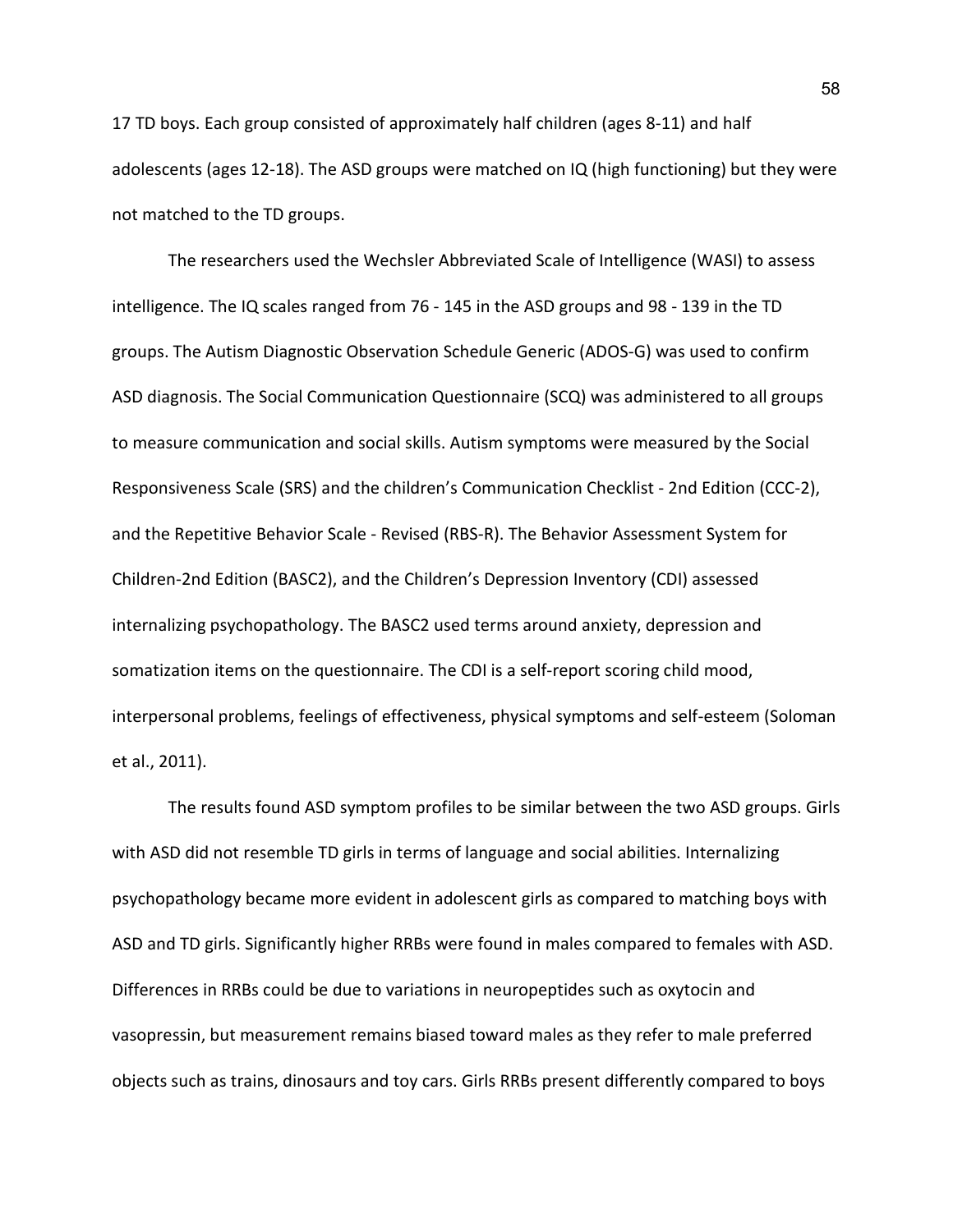17 TD boys. Each group consisted of approximately half children (ages 8-11) and half adolescents (ages 12-18). The ASD groups were matched on IQ (high functioning) but they were not matched to the TD groups.

The researchers used the Wechsler Abbreviated Scale of Intelligence (WASI) to assess intelligence. The IQ scales ranged from 76 - 145 in the ASD groups and 98 - 139 in the TD groups. The Autism Diagnostic Observation Schedule Generic (ADOS-G) was used to confirm ASD diagnosis. The Social Communication Questionnaire (SCQ) was administered to all groups to measure communication and social skills. Autism symptoms were measured by the Social Responsiveness Scale (SRS) and the children's Communication Checklist - 2nd Edition (CCC-2), and the Repetitive Behavior Scale - Revised (RBS-R). The Behavior Assessment System for Children-2nd Edition (BASC2), and the Children's Depression Inventory (CDI) assessed internalizing psychopathology. The BASC2 used terms around anxiety, depression and somatization items on the questionnaire. The CDI is a self-report scoring child mood, interpersonal problems, feelings of effectiveness, physical symptoms and self-esteem (Soloman et al., 2011).

The results found ASD symptom profiles to be similar between the two ASD groups. Girls with ASD did not resemble TD girls in terms of language and social abilities. Internalizing psychopathology became more evident in adolescent girls as compared to matching boys with ASD and TD girls. Significantly higher RRBs were found in males compared to females with ASD. Differences in RRBs could be due to variations in neuropeptides such as oxytocin and vasopressin, but measurement remains biased toward males as they refer to male preferred objects such as trains, dinosaurs and toy cars. Girls RRBs present differently compared to boys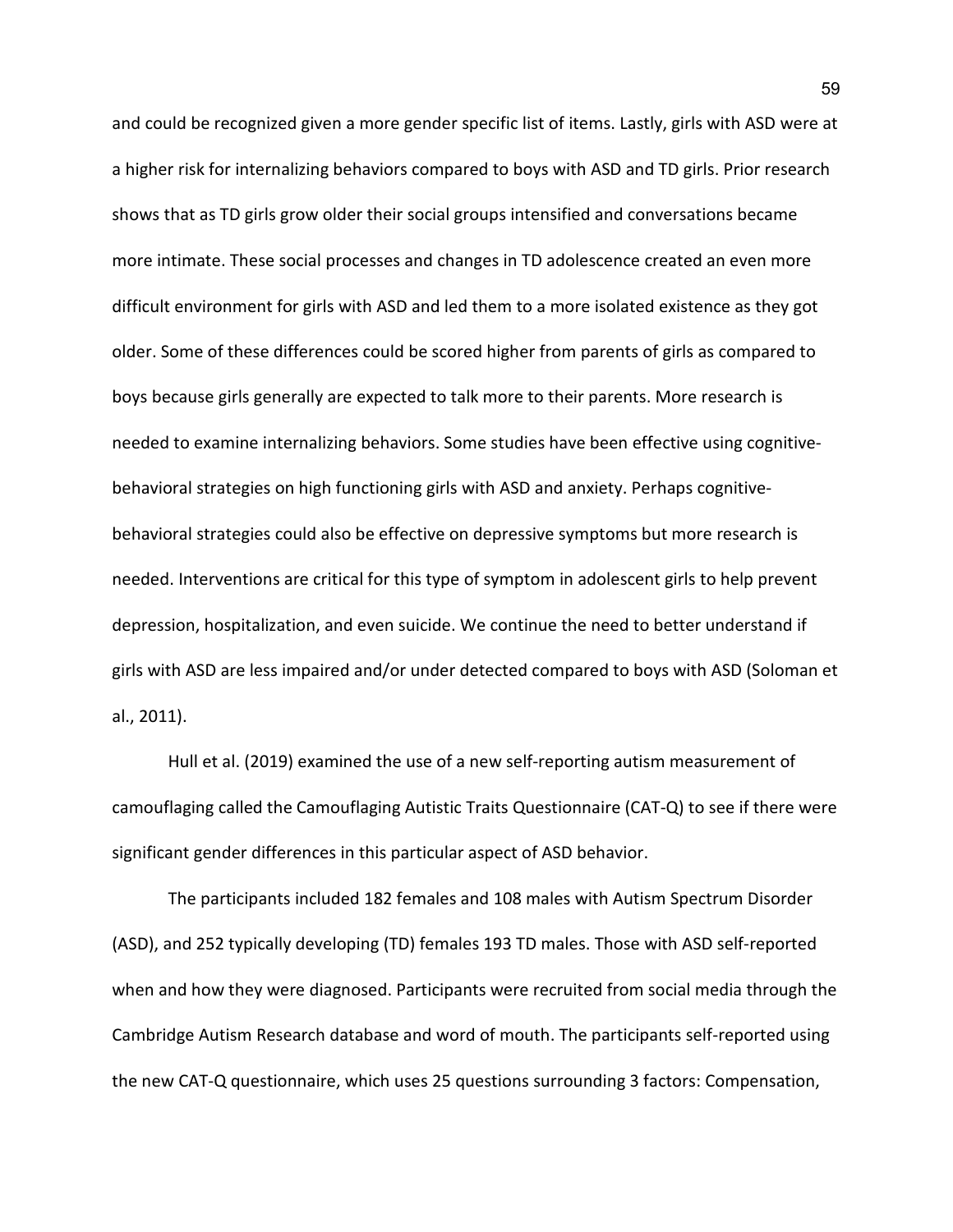and could be recognized given a more gender specific list of items. Lastly, girls with ASD were at a higher risk for internalizing behaviors compared to boys with ASD and TD girls. Prior research shows that as TD girls grow older their social groups intensified and conversations became more intimate. These social processes and changes in TD adolescence created an even more difficult environment for girls with ASD and led them to a more isolated existence as they got older. Some of these differences could be scored higher from parents of girls as compared to boys because girls generally are expected to talk more to their parents. More research is needed to examine internalizing behaviors. Some studies have been effective using cognitivebehavioral strategies on high functioning girls with ASD and anxiety. Perhaps cognitivebehavioral strategies could also be effective on depressive symptoms but more research is needed. Interventions are critical for this type of symptom in adolescent girls to help prevent depression, hospitalization, and even suicide. We continue the need to better understand if girls with ASD are less impaired and/or under detected compared to boys with ASD (Soloman et al., 2011).

Hull et al. (2019) examined the use of a new self-reporting autism measurement of camouflaging called the Camouflaging Autistic Traits Questionnaire (CAT-Q) to see if there were significant gender differences in this particular aspect of ASD behavior.

The participants included 182 females and 108 males with Autism Spectrum Disorder (ASD), and 252 typically developing (TD) females 193 TD males. Those with ASD self-reported when and how they were diagnosed. Participants were recruited from social media through the Cambridge Autism Research database and word of mouth. The participants self-reported using the new CAT-Q questionnaire, which uses 25 questions surrounding 3 factors: Compensation,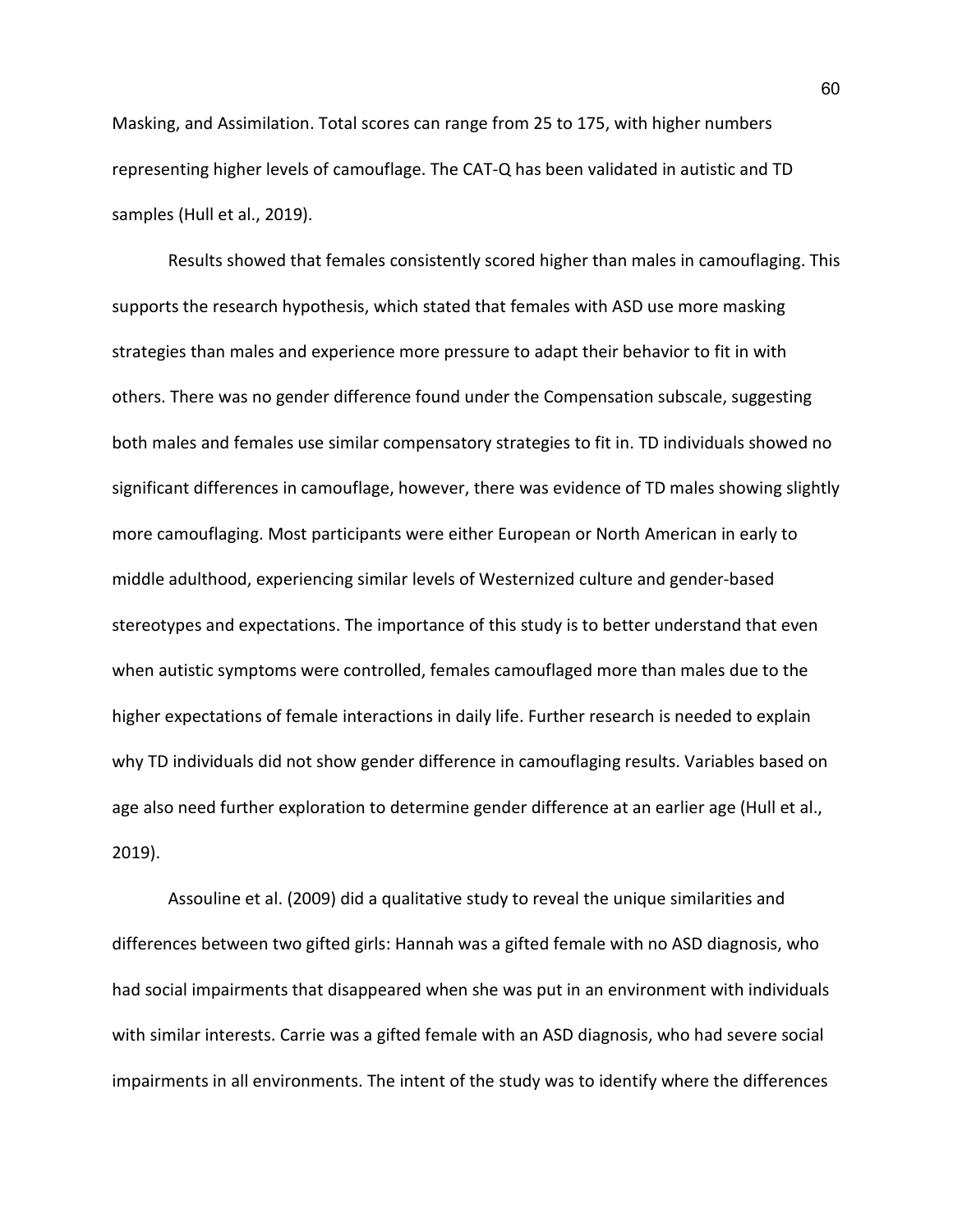Masking, and Assimilation. Total scores can range from 25 to 175, with higher numbers representing higher levels of camouflage. The CAT-Q has been validated in autistic and TD samples (Hull et al., 2019).

Results showed that females consistently scored higher than males in camouflaging. This supports the research hypothesis, which stated that females with ASD use more masking strategies than males and experience more pressure to adapt their behavior to fit in with others. There was no gender difference found under the Compensation subscale, suggesting both males and females use similar compensatory strategies to fit in. TD individuals showed no significant differences in camouflage, however, there was evidence of TD males showing slightly more camouflaging. Most participants were either European or North American in early to middle adulthood, experiencing similar levels of Westernized culture and gender-based stereotypes and expectations. The importance of this study is to better understand that even when autistic symptoms were controlled, females camouflaged more than males due to the higher expectations of female interactions in daily life. Further research is needed to explain why TD individuals did not show gender difference in camouflaging results. Variables based on age also need further exploration to determine gender difference at an earlier age (Hull et al., 2019).

Assouline et al. (2009) did a qualitative study to reveal the unique similarities and differences between two gifted girls: Hannah was a gifted female with no ASD diagnosis, who had social impairments that disappeared when she was put in an environment with individuals with similar interests. Carrie was a gifted female with an ASD diagnosis, who had severe social impairments in all environments. The intent of the study was to identify where the differences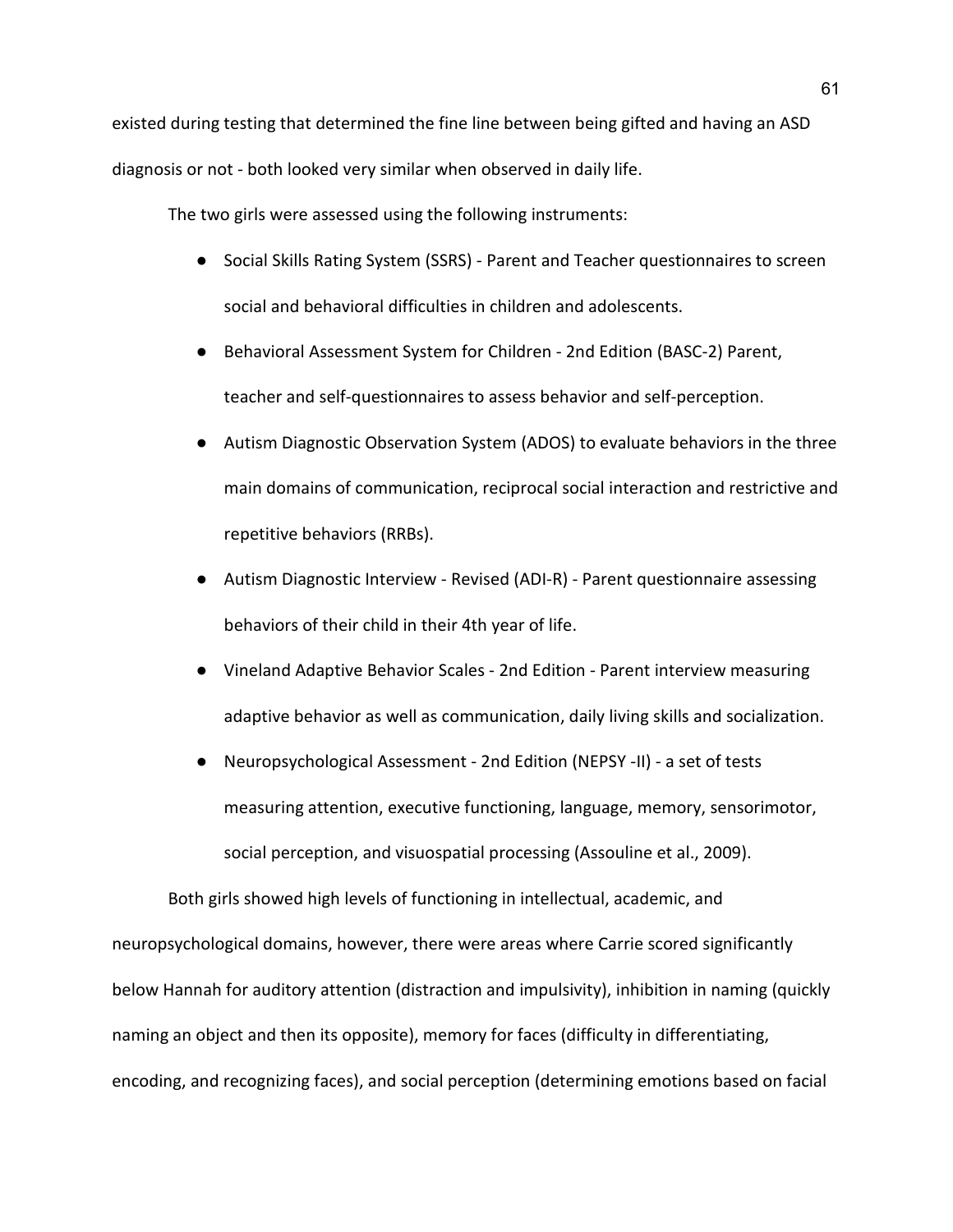existed during testing that determined the fine line between being gifted and having an ASD diagnosis or not - both looked very similar when observed in daily life.

The two girls were assessed using the following instruments:

- Social Skills Rating System (SSRS) Parent and Teacher questionnaires to screen social and behavioral difficulties in children and adolescents.
- Behavioral Assessment System for Children 2nd Edition (BASC-2) Parent, teacher and self-questionnaires to assess behavior and self-perception.
- Autism Diagnostic Observation System (ADOS) to evaluate behaviors in the three main domains of communication, reciprocal social interaction and restrictive and repetitive behaviors (RRBs).
- Autism Diagnostic Interview Revised (ADI-R) Parent questionnaire assessing behaviors of their child in their 4th year of life.
- Vineland Adaptive Behavior Scales 2nd Edition Parent interview measuring adaptive behavior as well as communication, daily living skills and socialization.
- Neuropsychological Assessment 2nd Edition (NEPSY -II) a set of tests measuring attention, executive functioning, language, memory, sensorimotor, social perception, and visuospatial processing (Assouline et al., 2009).

Both girls showed high levels of functioning in intellectual, academic, and neuropsychological domains, however, there were areas where Carrie scored significantly below Hannah for auditory attention (distraction and impulsivity), inhibition in naming (quickly naming an object and then its opposite), memory for faces (difficulty in differentiating, encoding, and recognizing faces), and social perception (determining emotions based on facial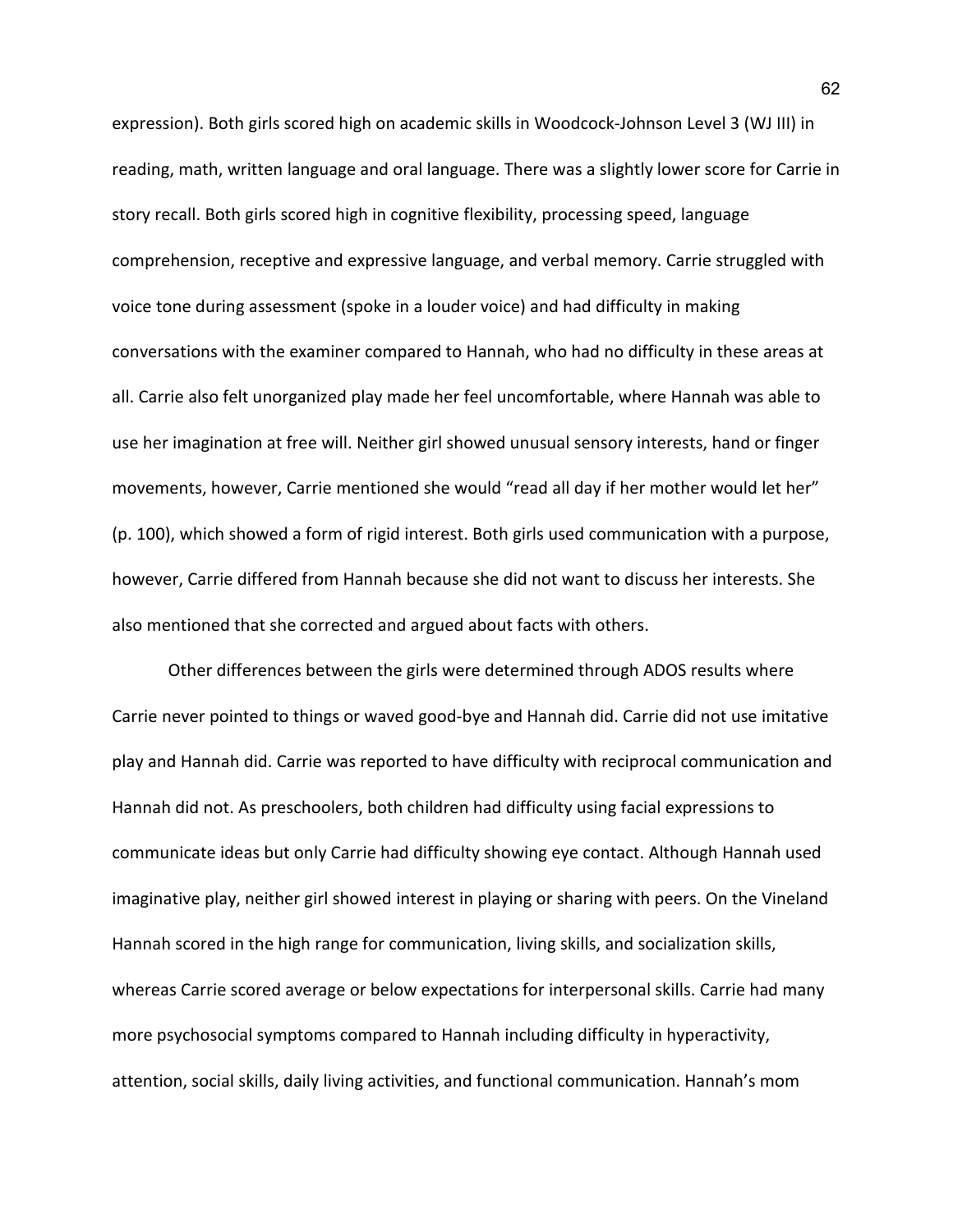expression). Both girls scored high on academic skills in Woodcock-Johnson Level 3 (WJ III) in reading, math, written language and oral language. There was a slightly lower score for Carrie in story recall. Both girls scored high in cognitive flexibility, processing speed, language comprehension, receptive and expressive language, and verbal memory. Carrie struggled with voice tone during assessment (spoke in a louder voice) and had difficulty in making conversations with the examiner compared to Hannah, who had no difficulty in these areas at all. Carrie also felt unorganized play made her feel uncomfortable, where Hannah was able to use her imagination at free will. Neither girl showed unusual sensory interests, hand or finger movements, however, Carrie mentioned she would "read all day if her mother would let her" (p. 100), which showed a form of rigid interest. Both girls used communication with a purpose, however, Carrie differed from Hannah because she did not want to discuss her interests. She also mentioned that she corrected and argued about facts with others.

Other differences between the girls were determined through ADOS results where Carrie never pointed to things or waved good-bye and Hannah did. Carrie did not use imitative play and Hannah did. Carrie was reported to have difficulty with reciprocal communication and Hannah did not. As preschoolers, both children had difficulty using facial expressions to communicate ideas but only Carrie had difficulty showing eye contact. Although Hannah used imaginative play, neither girl showed interest in playing or sharing with peers. On the Vineland Hannah scored in the high range for communication, living skills, and socialization skills, whereas Carrie scored average or below expectations for interpersonal skills. Carrie had many more psychosocial symptoms compared to Hannah including difficulty in hyperactivity, attention, social skills, daily living activities, and functional communication. Hannah's mom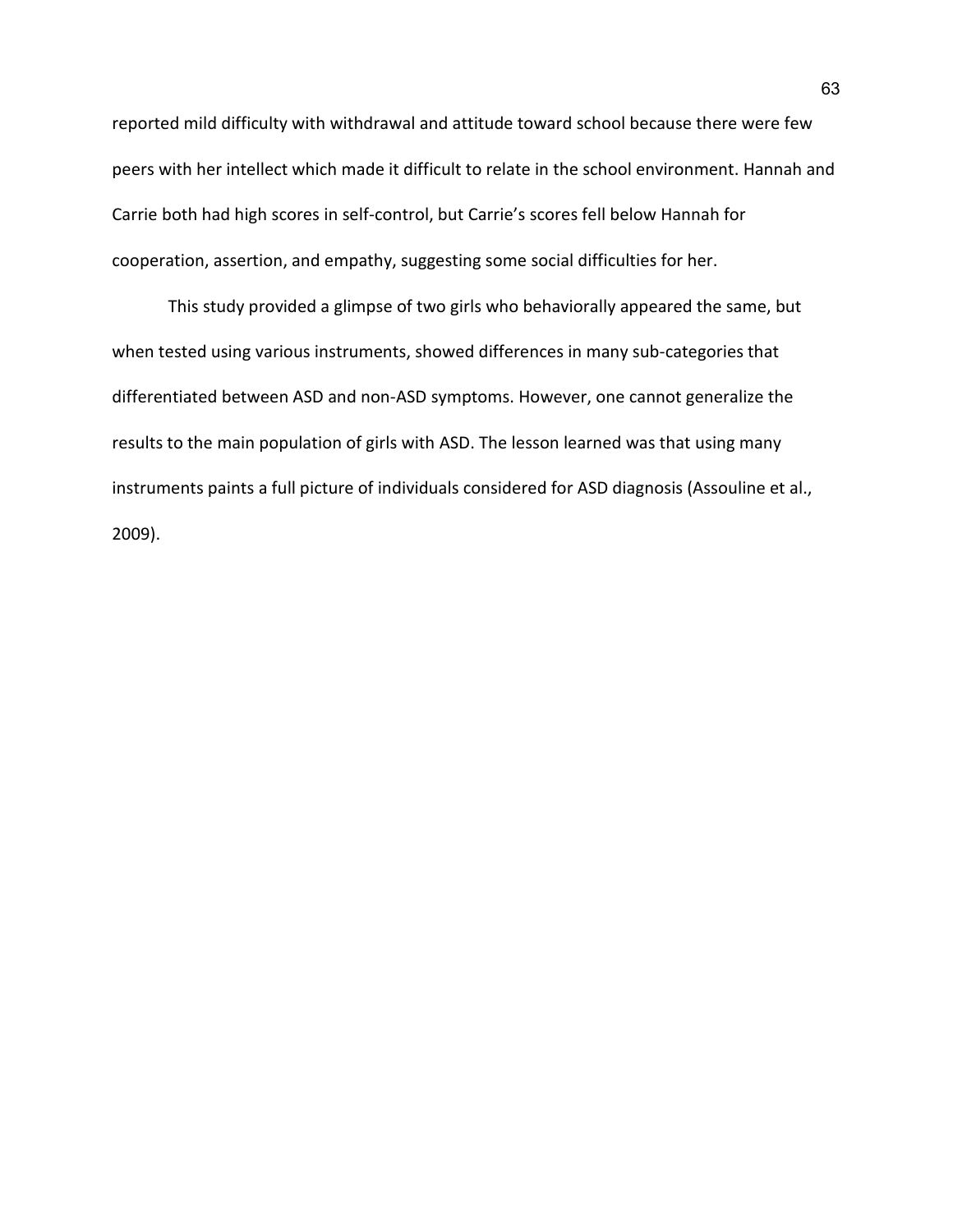reported mild difficulty with withdrawal and attitude toward school because there were few peers with her intellect which made it difficult to relate in the school environment. Hannah and Carrie both had high scores in self-control, but Carrie's scores fell below Hannah for cooperation, assertion, and empathy, suggesting some social difficulties for her.

This study provided a glimpse of two girls who behaviorally appeared the same, but when tested using various instruments, showed differences in many sub-categories that differentiated between ASD and non-ASD symptoms. However, one cannot generalize the results to the main population of girls with ASD. The lesson learned was that using many instruments paints a full picture of individuals considered for ASD diagnosis (Assouline et al., 2009).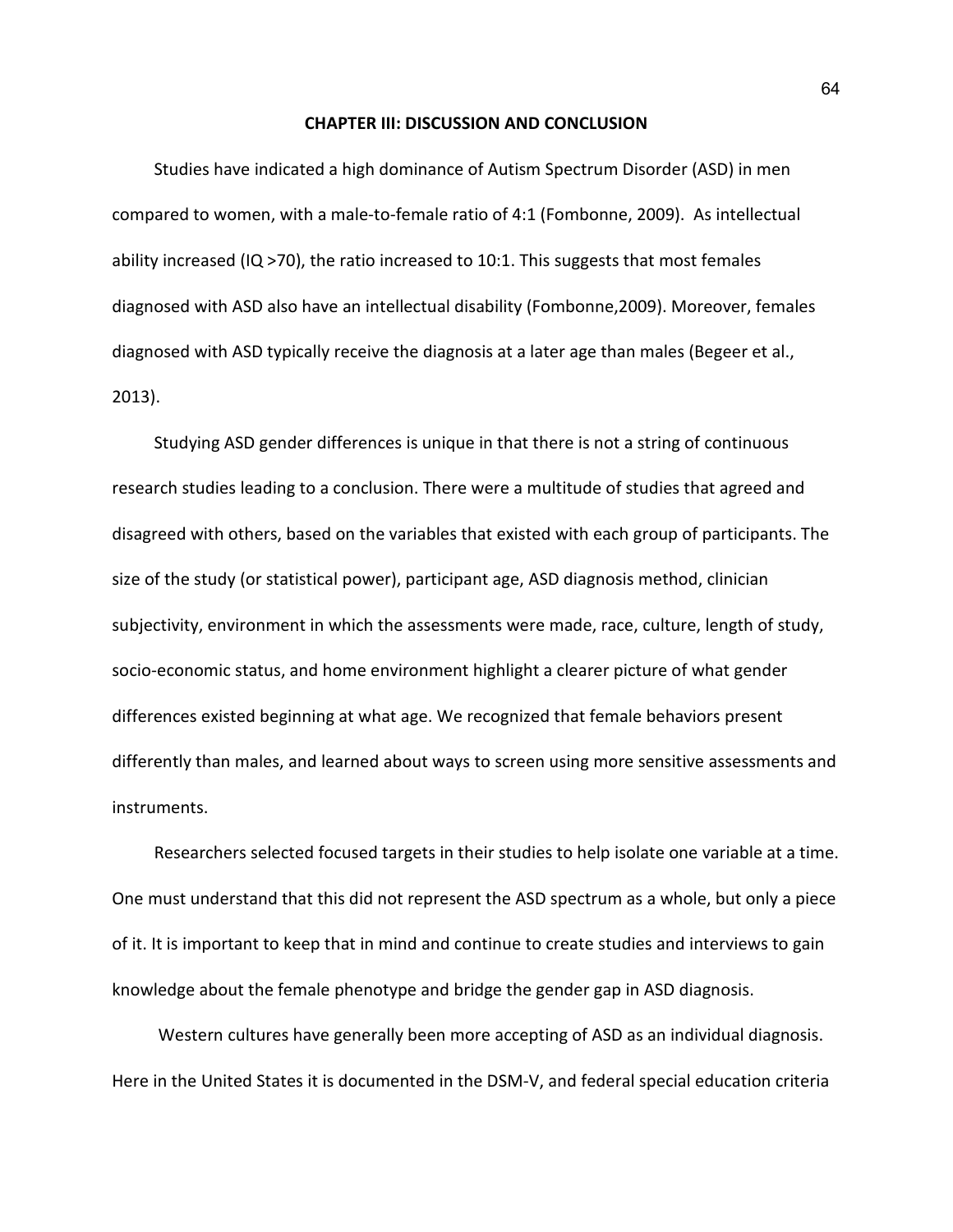## **CHAPTER III: DISCUSSION AND CONCLUSION**

Studies have indicated a high dominance of Autism Spectrum Disorder (ASD) in men compared to women, with a male-to-female ratio of 4:1 (Fombonne, 2009). As intellectual ability increased (IQ  $>$ 70), the ratio increased to 10:1. This suggests that most females diagnosed with ASD also have an intellectual disability (Fombonne,2009). Moreover, females diagnosed with ASD typically receive the diagnosis at a later age than males (Begeer et al., 2013).

Studying ASD gender differences is unique in that there is not a string of continuous research studies leading to a conclusion. There were a multitude of studies that agreed and disagreed with others, based on the variables that existed with each group of participants. The size of the study (or statistical power), participant age, ASD diagnosis method, clinician subjectivity, environment in which the assessments were made, race, culture, length of study, socio-economic status, and home environment highlight a clearer picture of what gender differences existed beginning at what age. We recognized that female behaviors present differently than males, and learned about ways to screen using more sensitive assessments and instruments.

Researchers selected focused targets in their studies to help isolate one variable at a time. One must understand that this did not represent the ASD spectrum as a whole, but only a piece of it. It is important to keep that in mind and continue to create studies and interviews to gain knowledge about the female phenotype and bridge the gender gap in ASD diagnosis.

Western cultures have generally been more accepting of ASD as an individual diagnosis. Here in the United States it is documented in the DSM-V, and federal special education criteria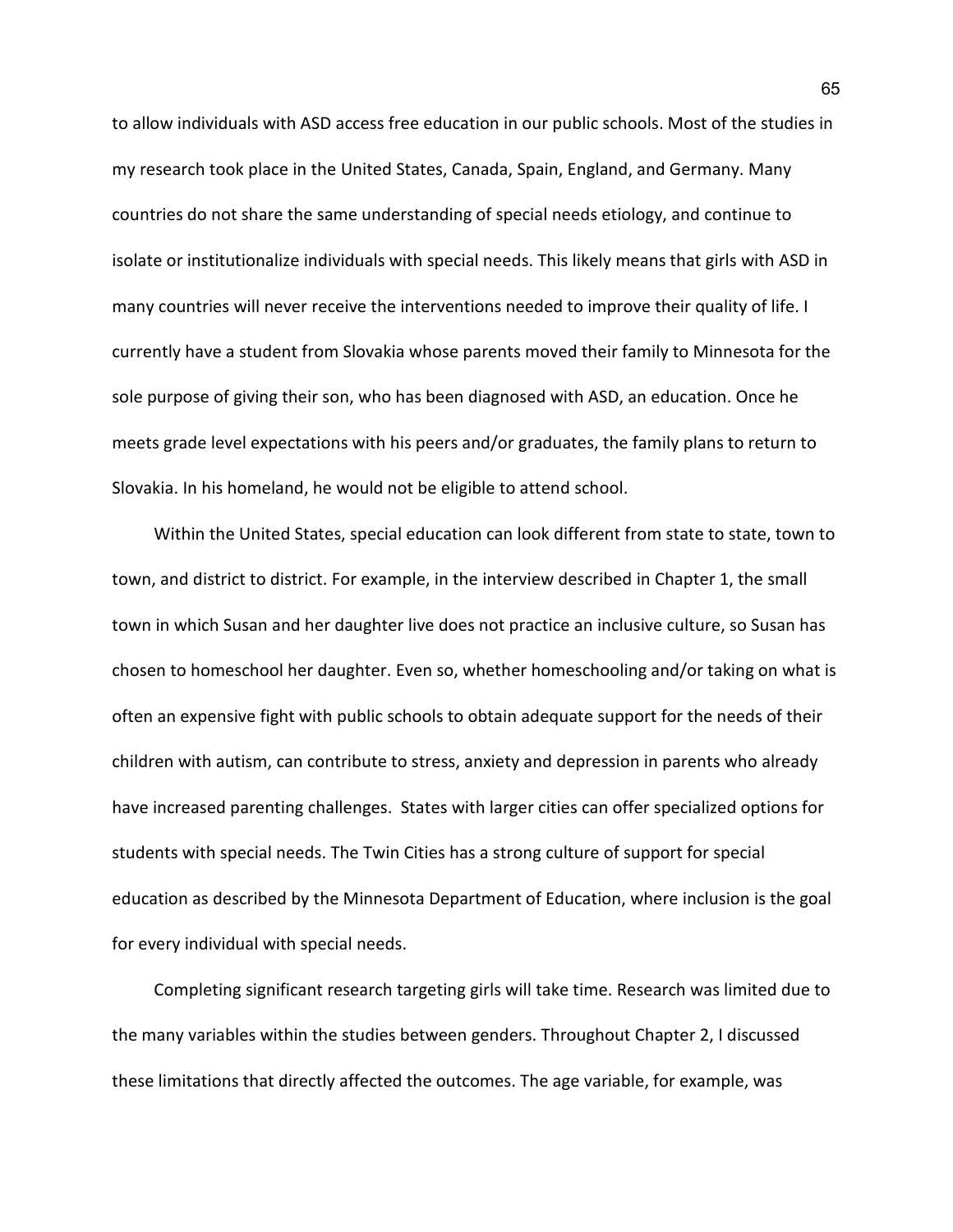to allow individuals with ASD access free education in our public schools. Most of the studies in my research took place in the United States, Canada, Spain, England, and Germany. Many countries do not share the same understanding of special needs etiology, and continue to isolate or institutionalize individuals with special needs. This likely means that girls with ASD in many countries will never receive the interventions needed to improve their quality of life. I currently have a student from Slovakia whose parents moved their family to Minnesota for the sole purpose of giving their son, who has been diagnosed with ASD, an education. Once he meets grade level expectations with his peers and/or graduates, the family plans to return to Slovakia. In his homeland, he would not be eligible to attend school.

Within the United States, special education can look different from state to state, town to town, and district to district. For example, in the interview described in Chapter 1, the small town in which Susan and her daughter live does not practice an inclusive culture, so Susan has chosen to homeschool her daughter. Even so, whether homeschooling and/or taking on what is often an expensive fight with public schools to obtain adequate support for the needs of their children with autism, can contribute to stress, anxiety and depression in parents who already have increased parenting challenges. States with larger cities can offer specialized options for students with special needs. The Twin Cities has a strong culture of support for special education as described by the Minnesota Department of Education, where inclusion is the goal for every individual with special needs.

Completing significant research targeting girls will take time. Research was limited due to the many variables within the studies between genders. Throughout Chapter 2, I discussed these limitations that directly affected the outcomes. The age variable, for example, was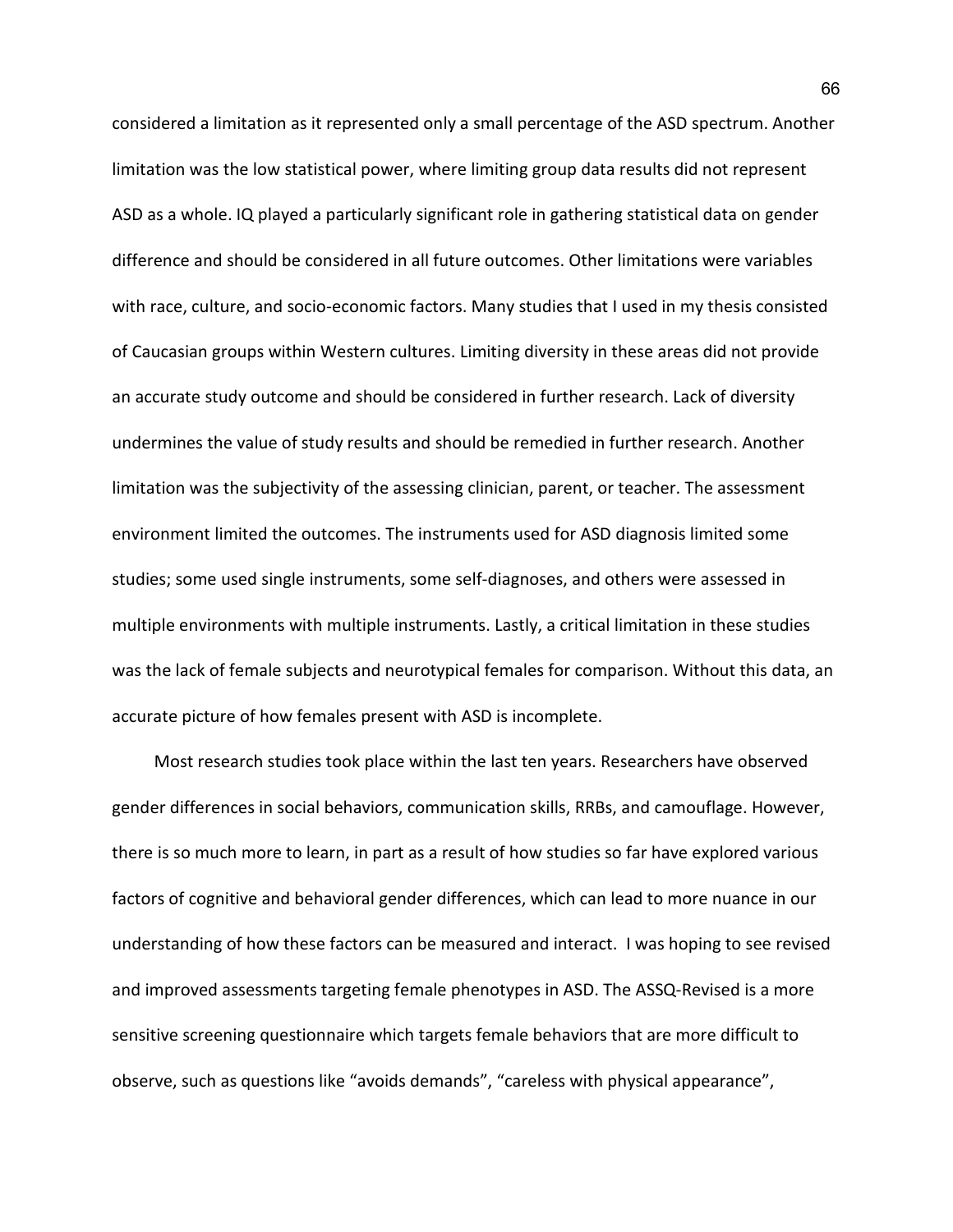considered a limitation as it represented only a small percentage of the ASD spectrum. Another limitation was the low statistical power, where limiting group data results did not represent ASD as a whole. IQ played a particularly significant role in gathering statistical data on gender difference and should be considered in all future outcomes. Other limitations were variables with race, culture, and socio-economic factors. Many studies that I used in my thesis consisted of Caucasian groups within Western cultures. Limiting diversity in these areas did not provide an accurate study outcome and should be considered in further research. Lack of diversity undermines the value of study results and should be remedied in further research. Another limitation was the subjectivity of the assessing clinician, parent, or teacher. The assessment environment limited the outcomes. The instruments used for ASD diagnosis limited some studies; some used single instruments, some self-diagnoses, and others were assessed in multiple environments with multiple instruments. Lastly, a critical limitation in these studies was the lack of female subjects and neurotypical females for comparison. Without this data, an accurate picture of how females present with ASD is incomplete.

Most research studies took place within the last ten years. Researchers have observed gender differences in social behaviors, communication skills, RRBs, and camouflage. However, there is so much more to learn, in part as a result of how studies so far have explored various factors of cognitive and behavioral gender differences, which can lead to more nuance in our understanding of how these factors can be measured and interact. I was hoping to see revised and improved assessments targeting female phenotypes in ASD. The ASSQ-Revised is a more sensitive screening questionnaire which targets female behaviors that are more difficult to observe, such as questions like "avoids demands", "careless with physical appearance",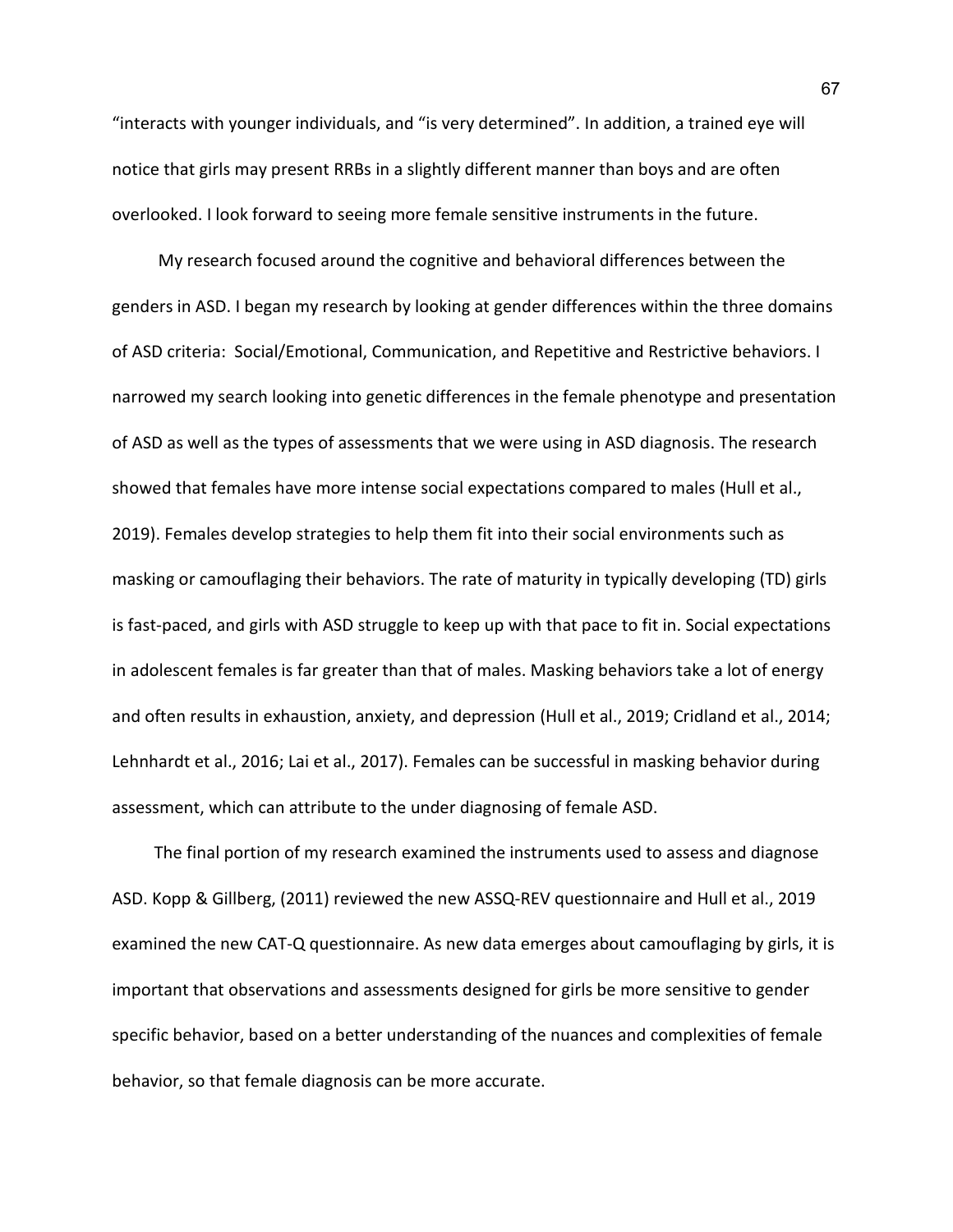"interacts with younger individuals, and "is very determined". In addition, a trained eye will notice that girls may present RRBs in a slightly different manner than boys and are often overlooked. I look forward to seeing more female sensitive instruments in the future.

My research focused around the cognitive and behavioral differences between the genders in ASD. I began my research by looking at gender differences within the three domains of ASD criteria: Social/Emotional, Communication, and Repetitive and Restrictive behaviors. I narrowed my search looking into genetic differences in the female phenotype and presentation of ASD as well as the types of assessments that we were using in ASD diagnosis. The research showed that females have more intense social expectations compared to males (Hull et al., 2019). Females develop strategies to help them fit into their social environments such as masking or camouflaging their behaviors. The rate of maturity in typically developing (TD) girls is fast-paced, and girls with ASD struggle to keep up with that pace to fit in. Social expectations in adolescent females is far greater than that of males. Masking behaviors take a lot of energy and often results in exhaustion, anxiety, and depression (Hull et al., 2019; Cridland et al., 2014; Lehnhardt et al., 2016; Lai et al., 2017). Females can be successful in masking behavior during assessment, which can attribute to the under diagnosing of female ASD.

The final portion of my research examined the instruments used to assess and diagnose ASD. Kopp & Gillberg, (2011) reviewed the new ASSQ-REV questionnaire and Hull et al., 2019 examined the new CAT-Q questionnaire. As new data emerges about camouflaging by girls, it is important that observations and assessments designed for girls be more sensitive to gender specific behavior, based on a better understanding of the nuances and complexities of female behavior, so that female diagnosis can be more accurate.

67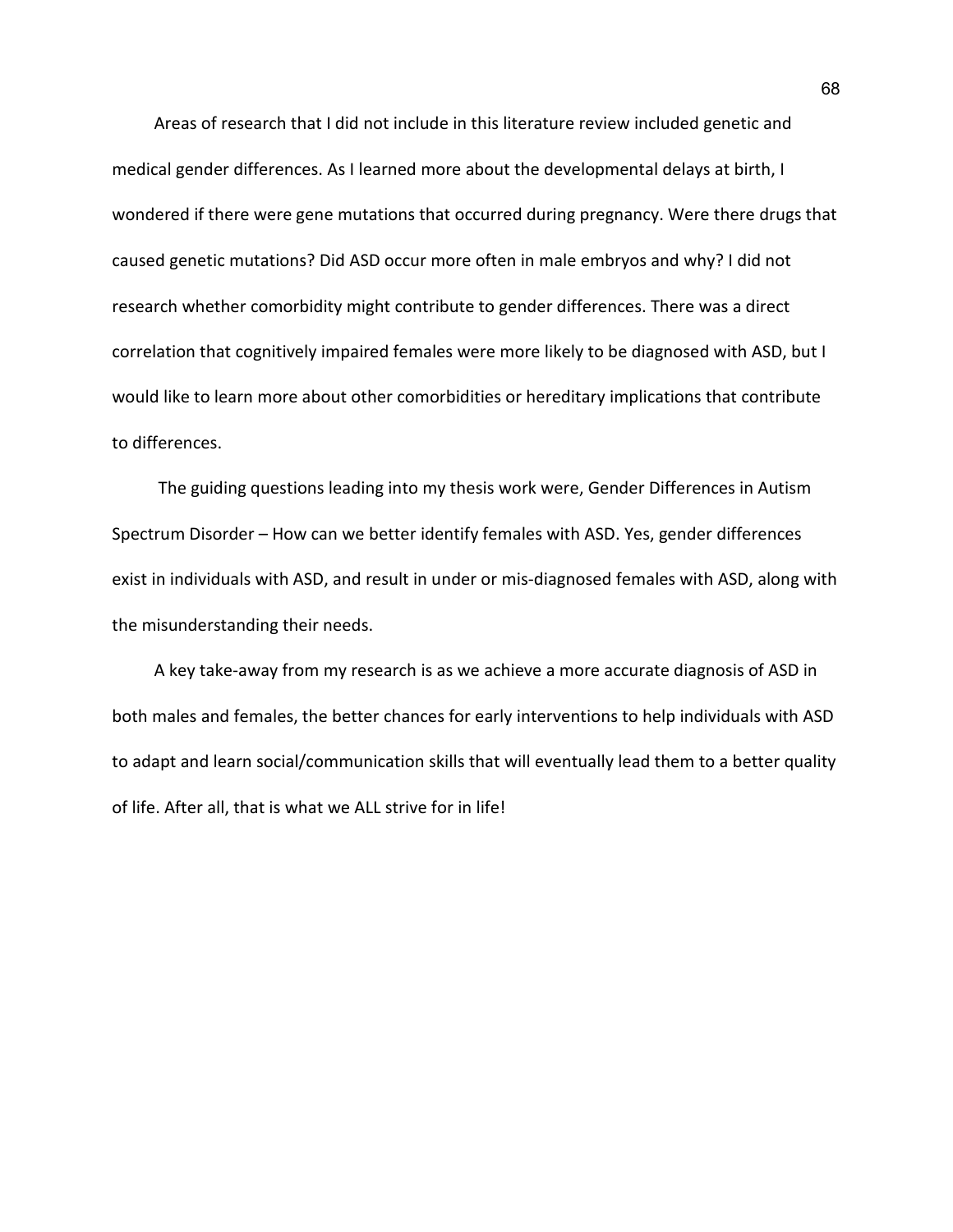Areas of research that I did not include in this literature review included genetic and medical gender differences. As I learned more about the developmental delays at birth, I wondered if there were gene mutations that occurred during pregnancy. Were there drugs that caused genetic mutations? Did ASD occur more often in male embryos and why? I did not research whether comorbidity might contribute to gender differences. There was a direct correlation that cognitively impaired females were more likely to be diagnosed with ASD, but I would like to learn more about other comorbidities or hereditary implications that contribute to differences.

The guiding questions leading into my thesis work were, Gender Differences in Autism Spectrum Disorder – How can we better identify females with ASD. Yes, gender differences exist in individuals with ASD, and result in under or mis-diagnosed females with ASD, along with the misunderstanding their needs.

A key take-away from my research is as we achieve a more accurate diagnosis of ASD in both males and females, the better chances for early interventions to help individuals with ASD to adapt and learn social/communication skills that will eventually lead them to a better quality of life. After all, that is what we ALL strive for in life!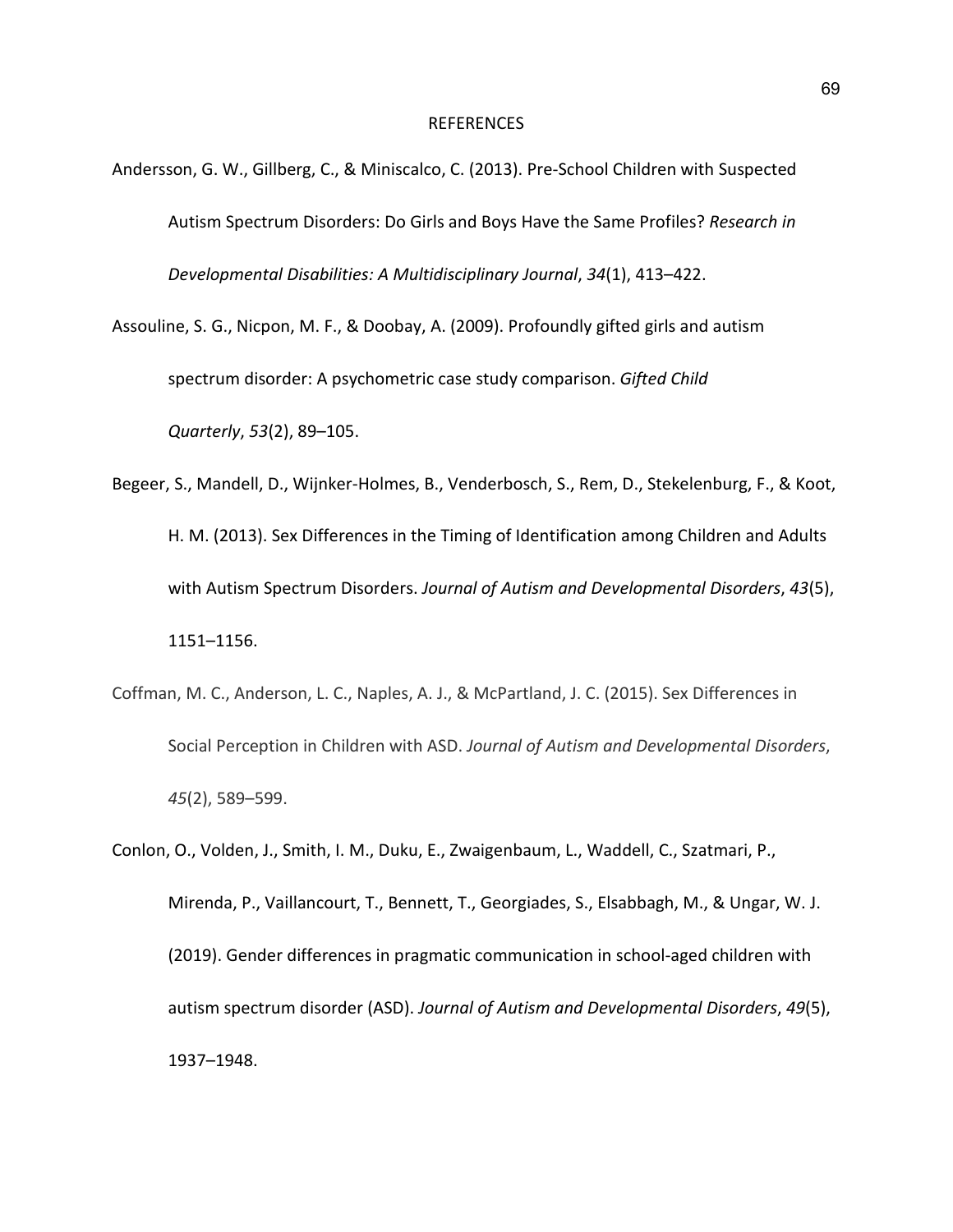## REFERENCES

- Andersson, G. W., Gillberg, C., & Miniscalco, C. (2013). Pre-School Children with Suspected Autism Spectrum Disorders: Do Girls and Boys Have the Same Profiles? *Research in Developmental Disabilities: A Multidisciplinary Journal*, *34*(1), 413–422.
- Assouline, S. G., Nicpon, M. F., & Doobay, A. (2009). Profoundly gifted girls and autism spectrum disorder: A psychometric case study comparison. *Gifted Child Quarterly*, *53*(2), 89–105.
- Begeer, S., Mandell, D., Wijnker-Holmes, B., Venderbosch, S., Rem, D., Stekelenburg, F., & Koot, H. M. (2013). Sex Differences in the Timing of Identification among Children and Adults with Autism Spectrum Disorders. *Journal of Autism and Developmental Disorders*, *43*(5), 1151–1156.
- Coffman, M. C., Anderson, L. C., Naples, A. J., & McPartland, J. C. (2015). Sex Differences in Social Perception in Children with ASD. *Journal of Autism and Developmental Disorders*, *45*(2), 589–599.
- Conlon, O., Volden, J., Smith, I. M., Duku, E., Zwaigenbaum, L., Waddell, C., Szatmari, P., Mirenda, P., Vaillancourt, T., Bennett, T., Georgiades, S., Elsabbagh, M., & Ungar, W. J. (2019). Gender differences in pragmatic communication in school-aged children with autism spectrum disorder (ASD). *Journal of Autism and Developmental Disorders*, *49*(5), 1937–1948.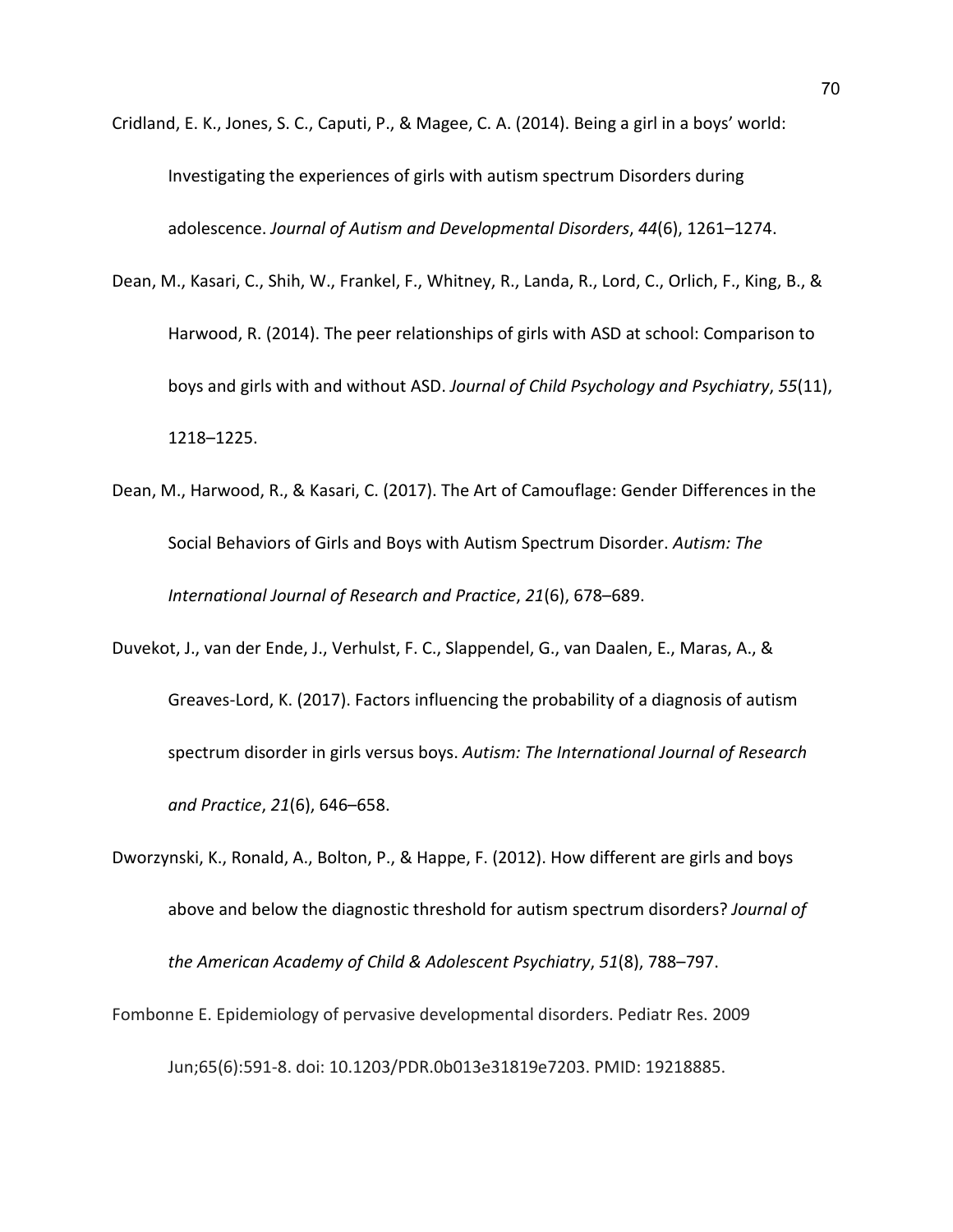- Cridland, E. K., Jones, S. C., Caputi, P., & Magee, C. A. (2014). Being a girl in a boys' world: Investigating the experiences of girls with autism spectrum Disorders during adolescence. *Journal of Autism and Developmental Disorders*, *44*(6), 1261–1274.
- Dean, M., Kasari, C., Shih, W., Frankel, F., Whitney, R., Landa, R., Lord, C., Orlich, F., King, B., & Harwood, R. (2014). The peer relationships of girls with ASD at school: Comparison to boys and girls with and without ASD. *Journal of Child Psychology and Psychiatry*, *55*(11), 1218–1225.
- Dean, M., Harwood, R., & Kasari, C. (2017). The Art of Camouflage: Gender Differences in the Social Behaviors of Girls and Boys with Autism Spectrum Disorder. *Autism: The International Journal of Research and Practice*, *21*(6), 678–689.
- Duvekot, J., van der Ende, J., Verhulst, F. C., Slappendel, G., van Daalen, E., Maras, A., & Greaves-Lord, K. (2017). Factors influencing the probability of a diagnosis of autism spectrum disorder in girls versus boys. *Autism: The International Journal of Research and Practice*, *21*(6), 646–658.
- Dworzynski, K., Ronald, A., Bolton, P., & Happe, F. (2012). How different are girls and boys above and below the diagnostic threshold for autism spectrum disorders? *Journal of the American Academy of Child & Adolescent Psychiatry*, *51*(8), 788–797.
- Fombonne E. Epidemiology of pervasive developmental disorders. Pediatr Res. 2009 Jun;65(6):591-8. doi: 10.1203/PDR.0b013e31819e7203. PMID: 19218885.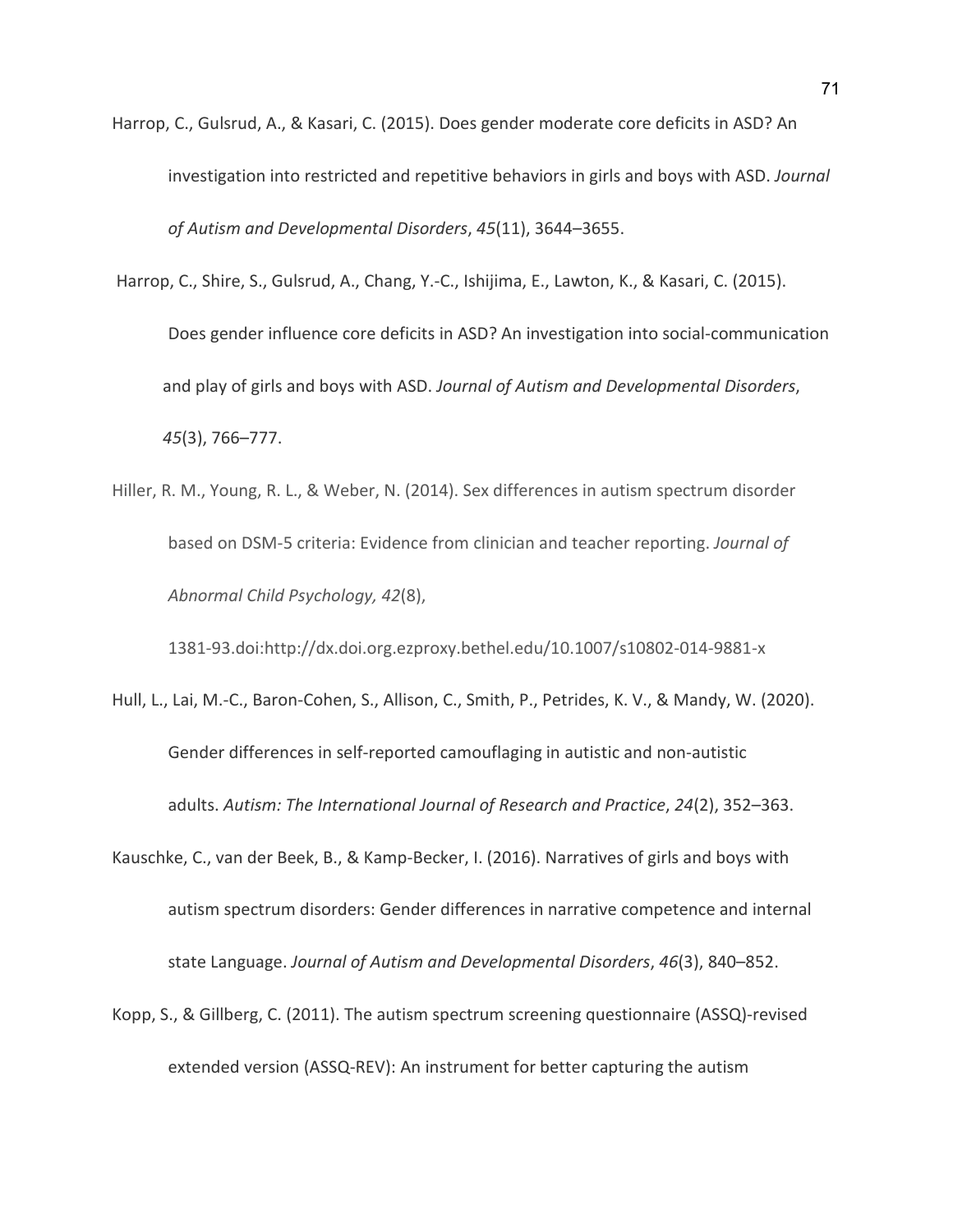- Harrop, C., Gulsrud, A., & Kasari, C. (2015). Does gender moderate core deficits in ASD? An investigation into restricted and repetitive behaviors in girls and boys with ASD. *Journal of Autism and Developmental Disorders*, *45*(11), 3644–3655.
- Harrop, C., Shire, S., Gulsrud, A., Chang, Y.-C., Ishijima, E., Lawton, K., & Kasari, C. (2015). Does gender influence core deficits in ASD? An investigation into social-communication and play of girls and boys with ASD. *Journal of Autism and Developmental Disorders*, *45*(3), 766–777.
- Hiller, R. M., Young, R. L., & Weber, N. (2014). Sex differences in autism spectrum disorder based on DSM-5 criteria: Evidence from clinician and teacher reporting. *Journal of Abnormal Child Psychology, 42*(8),

1381-93.doi:http://dx.doi.org.ezproxy.bethel.edu/10.1007/s10802-014-9881-x

- Hull, L., Lai, M.-C., Baron-Cohen, S., Allison, C., Smith, P., Petrides, K. V., & Mandy, W. (2020). Gender differences in self-reported camouflaging in autistic and non-autistic adults. *Autism: The International Journal of Research and Practice*, *24*(2), 352–363.
- Kauschke, C., van der Beek, B., & Kamp-Becker, I. (2016). Narratives of girls and boys with autism spectrum disorders: Gender differences in narrative competence and internal state Language. *Journal of Autism and Developmental Disorders*, *46*(3), 840–852.
- Kopp, S., & Gillberg, C. (2011). The autism spectrum screening questionnaire (ASSQ)-revised extended version (ASSQ-REV): An instrument for better capturing the autism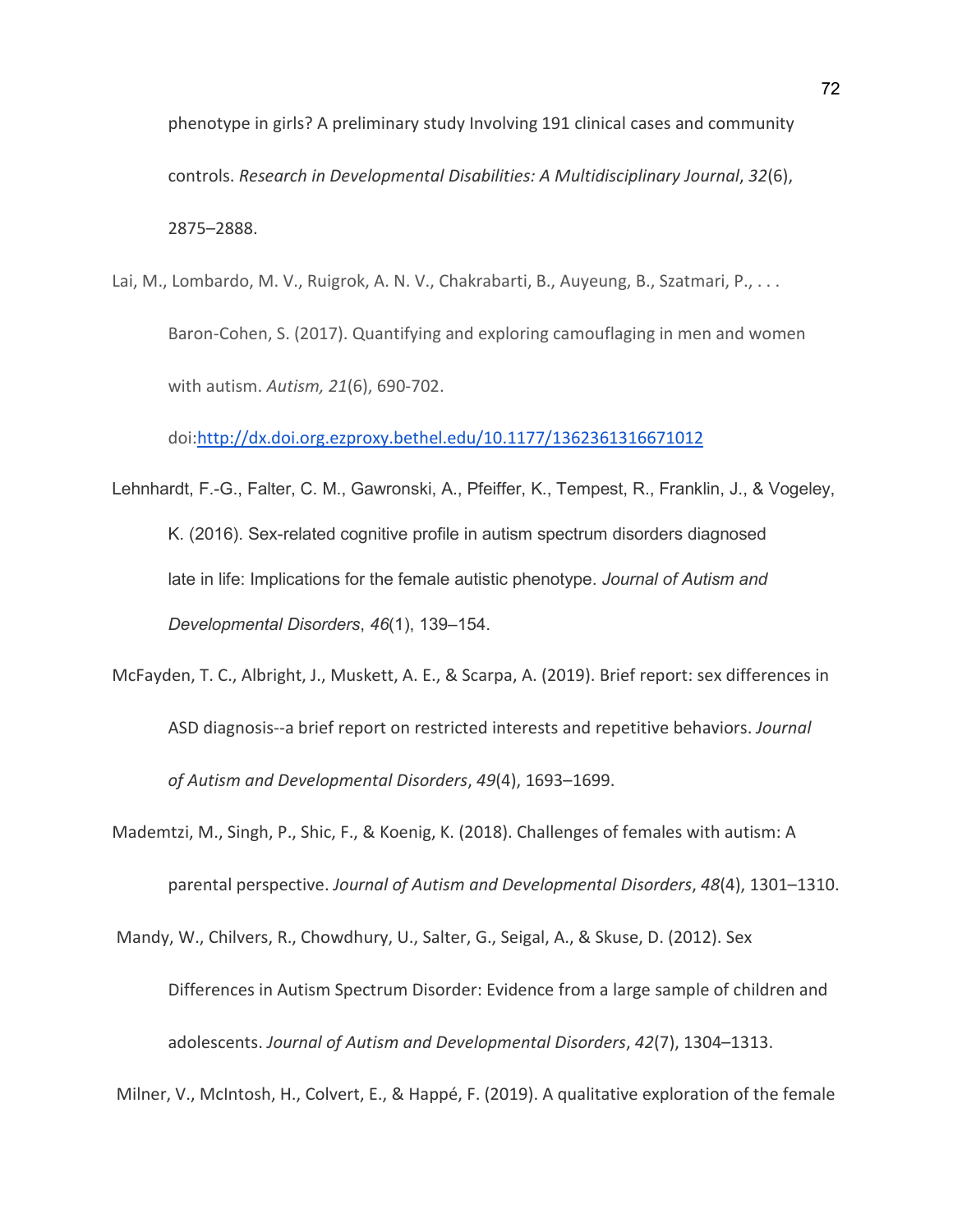phenotype in girls? A preliminary study Involving 191 clinical cases and community controls. *Research in Developmental Disabilities: A Multidisciplinary Journal*, *32*(6), 2875–2888.

Lai, M., Lombardo, M. V., Ruigrok, A. N. V., Chakrabarti, B., Auyeung, B., Szatmari, P., . . . Baron-Cohen, S. (2017). Quantifying and exploring camouflaging in men and women with autism. *Autism, 21*(6), 690-702.

doi[:http://dx.doi.org.ezproxy.bethel.edu/10.1177/1362361316671012](http://dx.doi.org.ezproxy.bethel.edu/10.1177/1362361316671012)

- Lehnhardt, F.-G., Falter, C. M., Gawronski, A., Pfeiffer, K., Tempest, R., Franklin, J., & Vogeley, K. (2016). Sex-related cognitive profile in autism spectrum disorders diagnosed late in life: Implications for the female autistic phenotype. *Journal of Autism and Developmental Disorders*, *46*(1), 139–154.
- McFayden, T. C., Albright, J., Muskett, A. E., & Scarpa, A. (2019). Brief report: sex differences in ASD diagnosis--a brief report on restricted interests and repetitive behaviors. *Journal of Autism and Developmental Disorders*, *49*(4), 1693–1699.
- Mademtzi, M., Singh, P., Shic, F., & Koenig, K. (2018). Challenges of females with autism: A parental perspective. *Journal of Autism and Developmental Disorders*, *48*(4), 1301–1310.

Mandy, W., Chilvers, R., Chowdhury, U., Salter, G., Seigal, A., & Skuse, D. (2012). Sex Differences in Autism Spectrum Disorder: Evidence from a large sample of children and adolescents. *Journal of Autism and Developmental Disorders*, *42*(7), 1304–1313.

Milner, V., McIntosh, H., Colvert, E., & Happé, F. (2019). A qualitative exploration of the female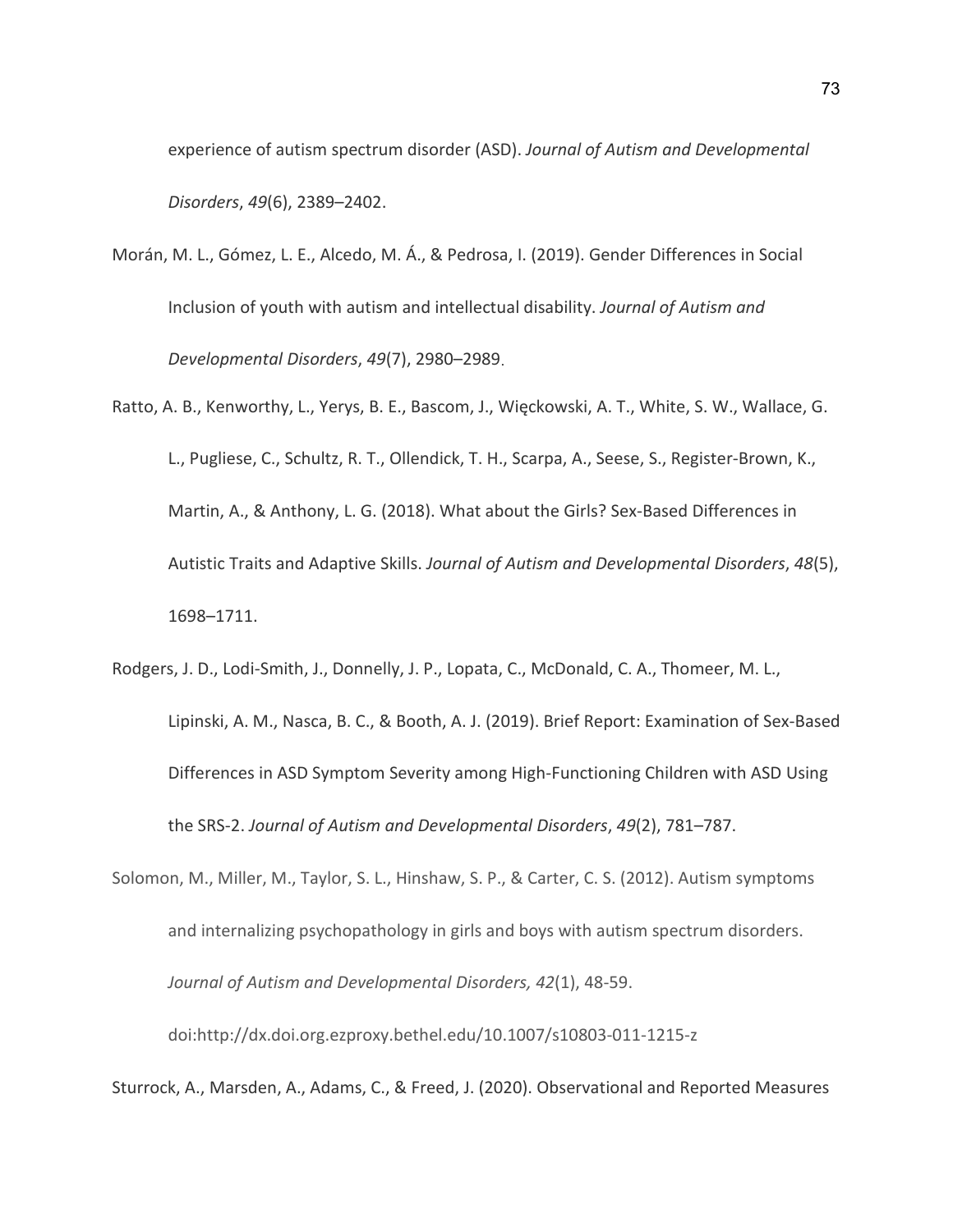experience of autism spectrum disorder (ASD). *Journal of Autism and Developmental Disorders*, *49*(6), 2389–2402.

- Morán, M. L., Gómez, L. E., Alcedo, M. Á., & Pedrosa, I. (2019). Gender Differences in Social Inclusion of youth with autism and intellectual disability. *Journal of Autism and Developmental Disorders*, *49*(7), 2980–2989.
- Ratto, A. B., Kenworthy, L., Yerys, B. E., Bascom, J., Więckowski, A. T., White, S. W., Wallace, G. L., Pugliese, C., Schultz, R. T., Ollendick, T. H., Scarpa, A., Seese, S., Register-Brown, K., Martin, A., & Anthony, L. G. (2018). What about the Girls? Sex-Based Differences in Autistic Traits and Adaptive Skills. *Journal of Autism and Developmental Disorders*, *48*(5), 1698–1711.
- Rodgers, J. D., Lodi-Smith, J., Donnelly, J. P., Lopata, C., McDonald, C. A., Thomeer, M. L., Lipinski, A. M., Nasca, B. C., & Booth, A. J. (2019). Brief Report: Examination of Sex-Based Differences in ASD Symptom Severity among High-Functioning Children with ASD Using the SRS-2. *Journal of Autism and Developmental Disorders*, *49*(2), 781–787.
- Solomon, M., Miller, M., Taylor, S. L., Hinshaw, S. P., & Carter, C. S. (2012). Autism symptoms and internalizing psychopathology in girls and boys with autism spectrum disorders. *Journal of Autism and Developmental Disorders, 42*(1), 48-59. doi:http://dx.doi.org.ezproxy.bethel.edu/10.1007/s10803-011-1215-z

Sturrock, A., Marsden, A., Adams, C., & Freed, J. (2020). Observational and Reported Measures